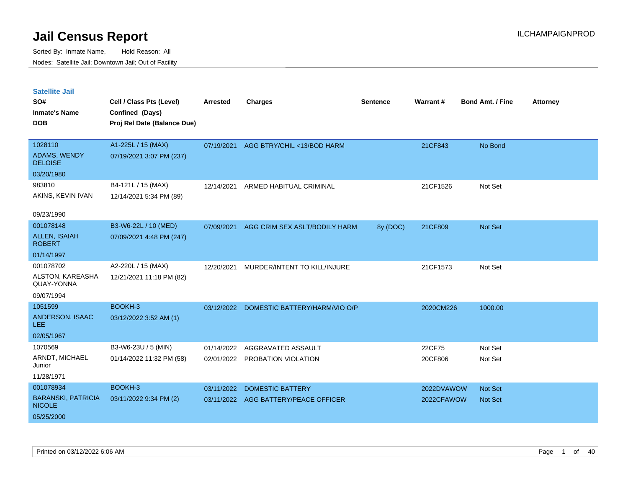| <b>Satellite Jail</b><br>SO#<br><b>Inmate's Name</b><br><b>DOB</b>    | Cell / Class Pts (Level)<br>Confined (Days)<br>Proj Rel Date (Balance Due) | <b>Arrested</b>          | <b>Charges</b>                                       | <b>Sentence</b> | Warrant#                 | <b>Bond Amt. / Fine</b>   | <b>Attorney</b> |
|-----------------------------------------------------------------------|----------------------------------------------------------------------------|--------------------------|------------------------------------------------------|-----------------|--------------------------|---------------------------|-----------------|
| 1028110<br><b>ADAMS, WENDY</b><br><b>DELOISE</b>                      | A1-225L / 15 (MAX)<br>07/19/2021 3:07 PM (237)                             | 07/19/2021               | AGG BTRY/CHIL <13/BOD HARM                           |                 | 21CF843                  | No Bond                   |                 |
| 03/20/1980<br>983810<br>AKINS, KEVIN IVAN<br>09/23/1990               | B4-121L / 15 (MAX)<br>12/14/2021 5:34 PM (89)                              | 12/14/2021               | ARMED HABITUAL CRIMINAL                              |                 | 21CF1526                 | Not Set                   |                 |
| 001078148<br><b>ALLEN, ISAIAH</b><br><b>ROBERT</b><br>01/14/1997      | B3-W6-22L / 10 (MED)<br>07/09/2021 4:48 PM (247)                           | 07/09/2021               | AGG CRIM SEX ASLT/BODILY HARM                        | 8y (DOC)        | 21CF809                  | <b>Not Set</b>            |                 |
| 001078702<br>ALSTON, KAREASHA<br>QUAY-YONNA<br>09/07/1994             | A2-220L / 15 (MAX)<br>12/21/2021 11:18 PM (82)                             | 12/20/2021               | MURDER/INTENT TO KILL/INJURE                         |                 | 21CF1573                 | Not Set                   |                 |
| 1051599<br>ANDERSON, ISAAC<br><b>LEE</b><br>02/05/1967                | BOOKH-3<br>03/12/2022 3:52 AM (1)                                          | 03/12/2022               | DOMESTIC BATTERY/HARM/VIO O/P                        |                 | 2020CM226                | 1000.00                   |                 |
| 1070569<br>ARNDT, MICHAEL<br>Junior<br>11/28/1971                     | B3-W6-23U / 5 (MIN)<br>01/14/2022 11:32 PM (58)                            | 01/14/2022<br>02/01/2022 | AGGRAVATED ASSAULT<br>PROBATION VIOLATION            |                 | 22CF75<br>20CF806        | Not Set<br>Not Set        |                 |
| 001078934<br><b>BARANSKI, PATRICIA</b><br><b>NICOLE</b><br>05/25/2000 | BOOKH-3<br>03/11/2022 9:34 PM (2)                                          | 03/11/2022<br>03/11/2022 | <b>DOMESTIC BATTERY</b><br>AGG BATTERY/PEACE OFFICER |                 | 2022DVAWOW<br>2022CFAWOW | <b>Not Set</b><br>Not Set |                 |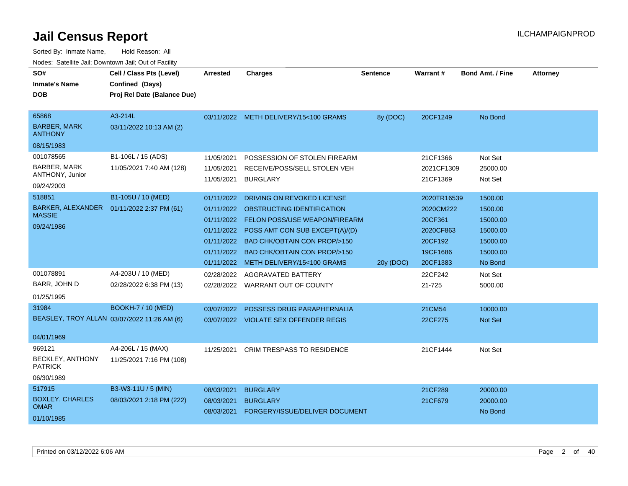| SO#<br><b>Inmate's Name</b><br><b>DOB</b>                                                        | Cell / Class Pts (Level)<br>Confined (Days)<br>Proj Rel Date (Balance Due) | Arrested                                                                                       | <b>Charges</b>                                                                                                                                                                                                                                                                        | <b>Sentence</b> | <b>Warrant#</b>                                                                                | <b>Bond Amt. / Fine</b>                                                                  | <b>Attorney</b> |
|--------------------------------------------------------------------------------------------------|----------------------------------------------------------------------------|------------------------------------------------------------------------------------------------|---------------------------------------------------------------------------------------------------------------------------------------------------------------------------------------------------------------------------------------------------------------------------------------|-----------------|------------------------------------------------------------------------------------------------|------------------------------------------------------------------------------------------|-----------------|
| 65868<br><b>BARBER, MARK</b><br><b>ANTHONY</b><br>08/15/1983                                     | A3-214L<br>03/11/2022 10:13 AM (2)                                         |                                                                                                | 03/11/2022 METH DELIVERY/15<100 GRAMS                                                                                                                                                                                                                                                 | 8y (DOC)        | 20CF1249                                                                                       | No Bond                                                                                  |                 |
| 001078565<br>BARBER, MARK<br>ANTHONY, Junior<br>09/24/2003                                       | B1-106L / 15 (ADS)<br>11/05/2021 7:40 AM (128)                             | 11/05/2021<br>11/05/2021<br>11/05/2021                                                         | POSSESSION OF STOLEN FIREARM<br>RECEIVE/POSS/SELL STOLEN VEH<br><b>BURGLARY</b>                                                                                                                                                                                                       |                 | 21CF1366<br>2021CF1309<br>21CF1369                                                             | Not Set<br>25000.00<br>Not Set                                                           |                 |
| 518851<br>BARKER, ALEXANDER  01/11/2022 2:37 PM (61)<br><b>MASSIE</b><br>09/24/1986<br>001078891 | B1-105U / 10 (MED)<br>A4-203U / 10 (MED)                                   | 01/11/2022<br>01/11/2022<br>01/11/2022<br>01/11/2022<br>01/11/2022<br>01/11/2022<br>02/28/2022 | DRIVING ON REVOKED LICENSE<br>OBSTRUCTING IDENTIFICATION<br><b>FELON POSS/USE WEAPON/FIREARM</b><br>POSS AMT CON SUB EXCEPT(A)/(D)<br><b>BAD CHK/OBTAIN CON PROP/&gt;150</b><br><b>BAD CHK/OBTAIN CON PROP/&gt;150</b><br>01/11/2022 METH DELIVERY/15<100 GRAMS<br>AGGRAVATED BATTERY | 20y (DOC)       | 2020TR16539<br>2020CM222<br>20CF361<br>2020CF863<br>20CF192<br>19CF1686<br>20CF1383<br>22CF242 | 1500.00<br>1500.00<br>15000.00<br>15000.00<br>15000.00<br>15000.00<br>No Bond<br>Not Set |                 |
| BARR, JOHN D<br>01/25/1995                                                                       | 02/28/2022 6:38 PM (13)                                                    | 02/28/2022                                                                                     | WARRANT OUT OF COUNTY                                                                                                                                                                                                                                                                 |                 | 21-725                                                                                         | 5000.00                                                                                  |                 |
| 31984<br>BEASLEY, TROY ALLAN 03/07/2022 11:26 AM (6)<br>04/01/1969                               | <b>BOOKH-7 / 10 (MED)</b>                                                  | 03/07/2022                                                                                     | POSSESS DRUG PARAPHERNALIA<br>03/07/2022 VIOLATE SEX OFFENDER REGIS                                                                                                                                                                                                                   |                 | 21CM54<br>22CF275                                                                              | 10000.00<br>Not Set                                                                      |                 |
| 969121<br>BECKLEY, ANTHONY<br><b>PATRICK</b><br>06/30/1989                                       | A4-206L / 15 (MAX)<br>11/25/2021 7:16 PM (108)                             | 11/25/2021                                                                                     | <b>CRIM TRESPASS TO RESIDENCE</b>                                                                                                                                                                                                                                                     |                 | 21CF1444                                                                                       | Not Set                                                                                  |                 |
| 517915<br><b>BOXLEY, CHARLES</b><br><b>OMAR</b><br>01/10/1985                                    | B3-W3-11U / 5 (MIN)<br>08/03/2021 2:18 PM (222)                            | 08/03/2021<br>08/03/2021<br>08/03/2021                                                         | <b>BURGLARY</b><br><b>BURGLARY</b><br>FORGERY/ISSUE/DELIVER DOCUMENT                                                                                                                                                                                                                  |                 | 21CF289<br>21CF679                                                                             | 20000.00<br>20000.00<br>No Bond                                                          |                 |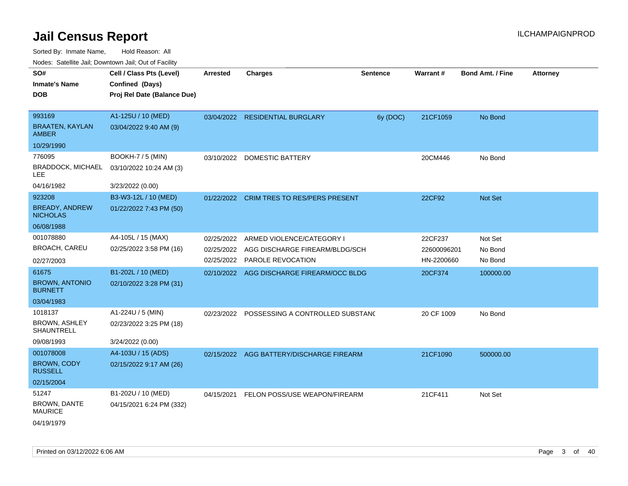Sorted By: Inmate Name, Hold Reason: All

| SO#<br><b>Inmate's Name</b><br><b>DOB</b>                             | Cell / Class Pts (Level)<br>Confined (Days)<br>Proj Rel Date (Balance Due) | <b>Arrested</b> | <b>Charges</b>                                                                                         | <b>Sentence</b> | Warrant#                             | <b>Bond Amt. / Fine</b>       | <b>Attorney</b> |
|-----------------------------------------------------------------------|----------------------------------------------------------------------------|-----------------|--------------------------------------------------------------------------------------------------------|-----------------|--------------------------------------|-------------------------------|-----------------|
| 993169<br><b>BRAATEN, KAYLAN</b><br><b>AMBER</b>                      | A1-125U / 10 (MED)<br>03/04/2022 9:40 AM (9)                               |                 | 03/04/2022 RESIDENTIAL BURGLARY                                                                        | 6y (DOC)        | 21CF1059                             | No Bond                       |                 |
| 10/29/1990<br>776095<br><b>BRADDOCK, MICHAEL</b><br>LEE<br>04/16/1982 | <b>BOOKH-7 / 5 (MIN)</b><br>03/10/2022 10:24 AM (3)<br>3/23/2022 (0.00)    | 03/10/2022      | <b>DOMESTIC BATTERY</b>                                                                                |                 | 20CM446                              | No Bond                       |                 |
| 923208<br><b>BREADY, ANDREW</b><br><b>NICHOLAS</b><br>06/08/1988      | B3-W3-12L / 10 (MED)<br>01/22/2022 7:43 PM (50)                            |                 | 01/22/2022 CRIM TRES TO RES/PERS PRESENT                                                               |                 | 22CF92                               | Not Set                       |                 |
| 001078880<br>BROACH, CAREU<br>02/27/2003                              | A4-105L / 15 (MAX)<br>02/25/2022 3:58 PM (16)                              | 02/25/2022      | ARMED VIOLENCE/CATEGORY I<br>02/25/2022 AGG DISCHARGE FIREARM/BLDG/SCH<br>02/25/2022 PAROLE REVOCATION |                 | 22CF237<br>22600096201<br>HN-2200660 | Not Set<br>No Bond<br>No Bond |                 |
| 61675<br><b>BROWN, ANTONIO</b><br><b>BURNETT</b><br>03/04/1983        | B1-202L / 10 (MED)<br>02/10/2022 3:28 PM (31)                              |                 | 02/10/2022 AGG DISCHARGE FIREARM/OCC BLDG                                                              |                 | 20CF374                              | 100000.00                     |                 |
| 1018137<br><b>BROWN, ASHLEY</b><br>SHAUNTRELL<br>09/08/1993           | A1-224U / 5 (MIN)<br>02/23/2022 3:25 PM (18)<br>3/24/2022 (0.00)           |                 | 02/23/2022 POSSESSING A CONTROLLED SUBSTANC                                                            |                 | 20 CF 1009                           | No Bond                       |                 |
| 001078008<br><b>BROWN, CODY</b><br><b>RUSSELL</b><br>02/15/2004       | A4-103U / 15 (ADS)<br>02/15/2022 9:17 AM (26)                              | 02/15/2022      | AGG BATTERY/DISCHARGE FIREARM                                                                          |                 | 21CF1090                             | 500000.00                     |                 |
| 51247<br>BROWN, DANTE<br><b>MAURICE</b><br>04/19/1979                 | B1-202U / 10 (MED)<br>04/15/2021 6:24 PM (332)                             | 04/15/2021      | FELON POSS/USE WEAPON/FIREARM                                                                          |                 | 21CF411                              | Not Set                       |                 |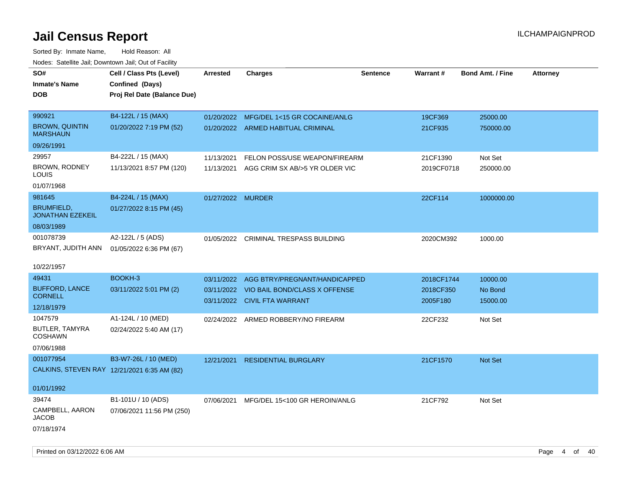| SO#<br>Inmate's Name<br><b>DOB</b>                                     | Cell / Class Pts (Level)<br>Confined (Days)<br>Proj Rel Date (Balance Due) | <b>Arrested</b>          | <b>Charges</b>                                                                                            | <b>Sentence</b> | Warrant#                            | <b>Bond Amt. / Fine</b>         | <b>Attorney</b> |
|------------------------------------------------------------------------|----------------------------------------------------------------------------|--------------------------|-----------------------------------------------------------------------------------------------------------|-----------------|-------------------------------------|---------------------------------|-----------------|
| 990921<br><b>BROWN, QUINTIN</b><br><b>MARSHAUN</b><br>09/26/1991       | B4-122L / 15 (MAX)<br>01/20/2022 7:19 PM (52)                              | 01/20/2022               | MFG/DEL 1<15 GR COCAINE/ANLG<br>01/20/2022 ARMED HABITUAL CRIMINAL                                        |                 | 19CF369<br>21CF935                  | 25000.00<br>750000.00           |                 |
| 29957<br>BROWN, RODNEY<br>LOUIS<br>01/07/1968                          | B4-222L / 15 (MAX)<br>11/13/2021 8:57 PM (120)                             | 11/13/2021<br>11/13/2021 | FELON POSS/USE WEAPON/FIREARM<br>AGG CRIM SX AB/>5 YR OLDER VIC                                           |                 | 21CF1390<br>2019CF0718              | Not Set<br>250000.00            |                 |
| 981645<br><b>BRUMFIELD,</b><br><b>JONATHAN EZEKEIL</b><br>08/03/1989   | B4-224L / 15 (MAX)<br>01/27/2022 8:15 PM (45)                              | 01/27/2022 MURDER        |                                                                                                           |                 | 22CF114                             | 1000000.00                      |                 |
| 001078739<br>BRYANT, JUDITH ANN<br>10/22/1957                          | A2-122L / 5 (ADS)<br>01/05/2022 6:36 PM (67)                               |                          | 01/05/2022 CRIMINAL TRESPASS BUILDING                                                                     |                 | 2020CM392                           | 1000.00                         |                 |
| 49431<br><b>BUFFORD, LANCE</b><br><b>CORNELL</b><br>12/18/1979         | BOOKH-3<br>03/11/2022 5:01 PM (2)                                          | 03/11/2022               | AGG BTRY/PREGNANT/HANDICAPPED<br>03/11/2022 VIO BAIL BOND/CLASS X OFFENSE<br>03/11/2022 CIVIL FTA WARRANT |                 | 2018CF1744<br>2018CF350<br>2005F180 | 10000.00<br>No Bond<br>15000.00 |                 |
| 1047579<br>BUTLER, TAMYRA<br><b>COSHAWN</b><br>07/06/1988              | A1-124L / 10 (MED)<br>02/24/2022 5:40 AM (17)                              |                          | 02/24/2022 ARMED ROBBERY/NO FIREARM                                                                       |                 | 22CF232                             | Not Set                         |                 |
| 001077954<br>CALKINS, STEVEN RAY 12/21/2021 6:35 AM (82)<br>01/01/1992 | B3-W7-26L / 10 (MED)                                                       | 12/21/2021               | <b>RESIDENTIAL BURGLARY</b>                                                                               |                 | 21CF1570                            | Not Set                         |                 |
| 39474<br>CAMPBELL, AARON<br><b>JACOB</b><br>07/18/1974                 | B1-101U / 10 (ADS)<br>07/06/2021 11:56 PM (250)                            | 07/06/2021               | MFG/DEL 15<100 GR HEROIN/ANLG                                                                             |                 | 21CF792                             | Not Set                         |                 |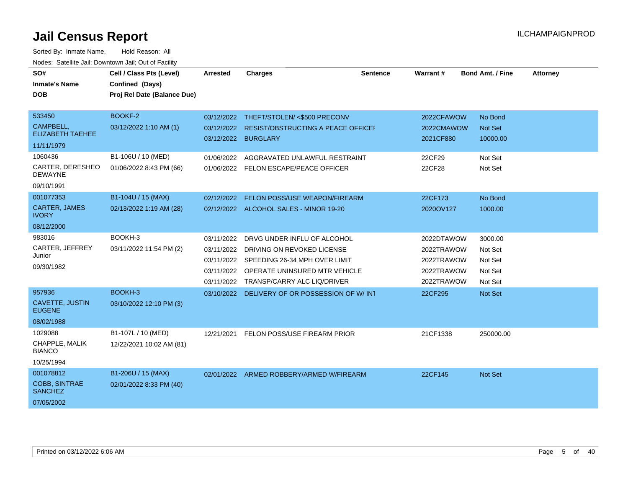| SO#                                     | Cell / Class Pts (Level)    | <b>Arrested</b>     | <b>Charges</b>                                | <b>Sentence</b> | Warrant#   | <b>Bond Amt. / Fine</b> | <b>Attorney</b> |
|-----------------------------------------|-----------------------------|---------------------|-----------------------------------------------|-----------------|------------|-------------------------|-----------------|
| <b>Inmate's Name</b>                    | Confined (Days)             |                     |                                               |                 |            |                         |                 |
| <b>DOB</b>                              | Proj Rel Date (Balance Due) |                     |                                               |                 |            |                         |                 |
|                                         |                             |                     |                                               |                 |            |                         |                 |
| 533450                                  | BOOKF-2                     |                     | 03/12/2022 THEFT/STOLEN/ <\$500 PRECONV       |                 | 2022CFAWOW | No Bond                 |                 |
| CAMPBELL,                               | 03/12/2022 1:10 AM (1)      | 03/12/2022          | <b>RESIST/OBSTRUCTING A PEACE OFFICEF</b>     |                 | 2022CMAWOW | Not Set                 |                 |
| <b>ELIZABETH TAEHEE</b>                 |                             | 03/12/2022 BURGLARY |                                               |                 | 2021CF880  | 10000.00                |                 |
| 11/11/1979                              |                             |                     |                                               |                 |            |                         |                 |
| 1060436                                 | B1-106U / 10 (MED)          | 01/06/2022          | AGGRAVATED UNLAWFUL RESTRAINT                 |                 | 22CF29     | Not Set                 |                 |
| CARTER, DERESHEO<br><b>DEWAYNE</b>      | 01/06/2022 8:43 PM (66)     |                     | 01/06/2022 FELON ESCAPE/PEACE OFFICER         |                 | 22CF28     | Not Set                 |                 |
| 09/10/1991                              |                             |                     |                                               |                 |            |                         |                 |
| 001077353                               | B1-104U / 15 (MAX)          | 02/12/2022          | <b>FELON POSS/USE WEAPON/FIREARM</b>          |                 | 22CF173    | No Bond                 |                 |
| <b>CARTER, JAMES</b><br><b>IVORY</b>    | 02/13/2022 1:19 AM (28)     |                     | 02/12/2022 ALCOHOL SALES - MINOR 19-20        |                 | 2020OV127  | 1000.00                 |                 |
| 08/12/2000                              |                             |                     |                                               |                 |            |                         |                 |
| 983016                                  | BOOKH-3                     | 03/11/2022          | DRVG UNDER INFLU OF ALCOHOL                   |                 | 2022DTAWOW | 3000.00                 |                 |
| CARTER, JEFFREY                         | 03/11/2022 11:54 PM (2)     | 03/11/2022          | DRIVING ON REVOKED LICENSE                    |                 | 2022TRAWOW | Not Set                 |                 |
| Junior                                  |                             |                     | 03/11/2022 SPEEDING 26-34 MPH OVER LIMIT      |                 | 2022TRAWOW | Not Set                 |                 |
| 09/30/1982                              |                             |                     | 03/11/2022 OPERATE UNINSURED MTR VEHICLE      |                 | 2022TRAWOW | Not Set                 |                 |
|                                         |                             | 03/11/2022          | TRANSP/CARRY ALC LIQ/DRIVER                   |                 | 2022TRAWOW | Not Set                 |                 |
| 957936                                  | BOOKH-3                     |                     | 03/10/2022 DELIVERY OF OR POSSESSION OF W/INT |                 | 22CF295    | Not Set                 |                 |
| <b>CAVETTE, JUSTIN</b><br><b>EUGENE</b> | 03/10/2022 12:10 PM (3)     |                     |                                               |                 |            |                         |                 |
| 08/02/1988                              |                             |                     |                                               |                 |            |                         |                 |
| 1029088                                 | B1-107L / 10 (MED)          | 12/21/2021          | FELON POSS/USE FIREARM PRIOR                  |                 | 21CF1338   | 250000.00               |                 |
| CHAPPLE, MALIK<br><b>BIANCO</b>         | 12/22/2021 10:02 AM (81)    |                     |                                               |                 |            |                         |                 |
| 10/25/1994                              |                             |                     |                                               |                 |            |                         |                 |
| 001078812                               | B1-206U / 15 (MAX)          |                     | 02/01/2022 ARMED ROBBERY/ARMED W/FIREARM      |                 | 22CF145    | <b>Not Set</b>          |                 |
| <b>COBB, SINTRAE</b><br><b>SANCHEZ</b>  | 02/01/2022 8:33 PM (40)     |                     |                                               |                 |            |                         |                 |
| 07/05/2002                              |                             |                     |                                               |                 |            |                         |                 |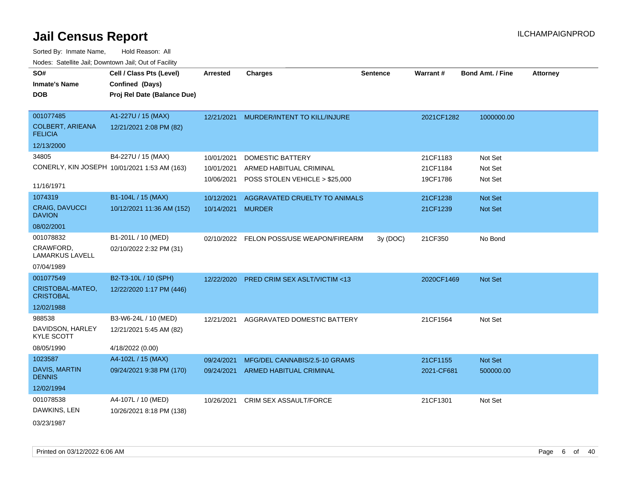| SO#                                       | Cell / Class Pts (Level)                     | <b>Arrested</b>   | <b>Charges</b>                           | <b>Sentence</b> | Warrant#   | <b>Bond Amt. / Fine</b> | <b>Attorney</b> |
|-------------------------------------------|----------------------------------------------|-------------------|------------------------------------------|-----------------|------------|-------------------------|-----------------|
| <b>Inmate's Name</b>                      | Confined (Days)                              |                   |                                          |                 |            |                         |                 |
| <b>DOB</b>                                | Proj Rel Date (Balance Due)                  |                   |                                          |                 |            |                         |                 |
|                                           |                                              |                   |                                          |                 |            |                         |                 |
| 001077485                                 | A1-227U / 15 (MAX)                           |                   | 12/21/2021 MURDER/INTENT TO KILL/INJURE  |                 | 2021CF1282 | 1000000.00              |                 |
| <b>COLBERT, ARIEANA</b><br><b>FELICIA</b> | 12/21/2021 2:08 PM (82)                      |                   |                                          |                 |            |                         |                 |
| 12/13/2000                                |                                              |                   |                                          |                 |            |                         |                 |
| 34805                                     | B4-227U / 15 (MAX)                           | 10/01/2021        | <b>DOMESTIC BATTERY</b>                  |                 | 21CF1183   | Not Set                 |                 |
|                                           | CONERLY, KIN JOSEPH 10/01/2021 1:53 AM (163) | 10/01/2021        | ARMED HABITUAL CRIMINAL                  |                 | 21CF1184   | Not Set                 |                 |
|                                           |                                              | 10/06/2021        | POSS STOLEN VEHICLE > \$25,000           |                 | 19CF1786   | Not Set                 |                 |
| 11/16/1971                                |                                              |                   |                                          |                 |            |                         |                 |
| 1074319                                   | B1-104L / 15 (MAX)                           | 10/12/2021        | AGGRAVATED CRUELTY TO ANIMALS            |                 | 21CF1238   | <b>Not Set</b>          |                 |
| CRAIG, DAVUCCI<br><b>DAVION</b>           | 10/12/2021 11:36 AM (152)                    | 10/14/2021 MURDER |                                          |                 | 21CF1239   | Not Set                 |                 |
| 08/02/2001                                |                                              |                   |                                          |                 |            |                         |                 |
| 001078832                                 | B1-201L / 10 (MED)                           |                   | 02/10/2022 FELON POSS/USE WEAPON/FIREARM | 3y(DOC)         | 21CF350    | No Bond                 |                 |
| CRAWFORD,<br><b>LAMARKUS LAVELL</b>       | 02/10/2022 2:32 PM (31)                      |                   |                                          |                 |            |                         |                 |
| 07/04/1989                                |                                              |                   |                                          |                 |            |                         |                 |
| 001077549                                 | B2-T3-10L / 10 (SPH)                         | 12/22/2020        | <b>PRED CRIM SEX ASLT/VICTIM &lt;13</b>  |                 | 2020CF1469 | Not Set                 |                 |
| CRISTOBAL-MATEO,<br><b>CRISTOBAL</b>      | 12/22/2020 1:17 PM (446)                     |                   |                                          |                 |            |                         |                 |
| 12/02/1988                                |                                              |                   |                                          |                 |            |                         |                 |
| 988538                                    | B3-W6-24L / 10 (MED)                         | 12/21/2021        | AGGRAVATED DOMESTIC BATTERY              |                 | 21CF1564   | Not Set                 |                 |
| DAVIDSON, HARLEY<br><b>KYLE SCOTT</b>     | 12/21/2021 5:45 AM (82)                      |                   |                                          |                 |            |                         |                 |
| 08/05/1990                                | 4/18/2022 (0.00)                             |                   |                                          |                 |            |                         |                 |
| 1023587                                   | A4-102L / 15 (MAX)                           | 09/24/2021        | MFG/DEL CANNABIS/2.5-10 GRAMS            |                 | 21CF1155   | Not Set                 |                 |
| <b>DAVIS, MARTIN</b><br><b>DENNIS</b>     | 09/24/2021 9:38 PM (170)                     |                   | 09/24/2021 ARMED HABITUAL CRIMINAL       |                 | 2021-CF681 | 500000.00               |                 |
| 12/02/1994                                |                                              |                   |                                          |                 |            |                         |                 |
| 001078538                                 | A4-107L / 10 (MED)                           | 10/26/2021        | <b>CRIM SEX ASSAULT/FORCE</b>            |                 | 21CF1301   | Not Set                 |                 |
| DAWKINS, LEN                              | 10/26/2021 8:18 PM (138)                     |                   |                                          |                 |            |                         |                 |
| 03/23/1987                                |                                              |                   |                                          |                 |            |                         |                 |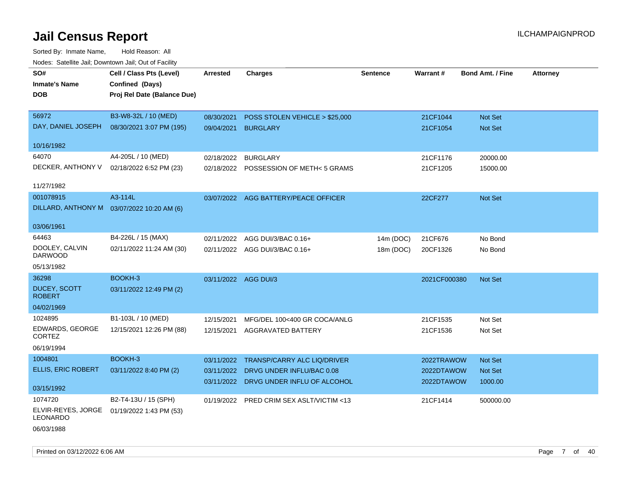| rougs. Calcing Jan, Downtown Jan, Out of Facinty |                                             |                      |                                          |                 |                 |                         |                 |
|--------------------------------------------------|---------------------------------------------|----------------------|------------------------------------------|-----------------|-----------------|-------------------------|-----------------|
| SO#                                              | Cell / Class Pts (Level)                    | <b>Arrested</b>      | <b>Charges</b>                           | <b>Sentence</b> | <b>Warrant#</b> | <b>Bond Amt. / Fine</b> | <b>Attorney</b> |
| <b>Inmate's Name</b>                             | Confined (Days)                             |                      |                                          |                 |                 |                         |                 |
| <b>DOB</b>                                       | Proj Rel Date (Balance Due)                 |                      |                                          |                 |                 |                         |                 |
|                                                  |                                             |                      |                                          |                 |                 |                         |                 |
| 56972                                            | B3-W8-32L / 10 (MED)                        | 08/30/2021           | POSS STOLEN VEHICLE > \$25,000           |                 | 21CF1044        | Not Set                 |                 |
| DAY, DANIEL JOSEPH                               | 08/30/2021 3:07 PM (195)                    | 09/04/2021           | <b>BURGLARY</b>                          |                 | 21CF1054        | <b>Not Set</b>          |                 |
|                                                  |                                             |                      |                                          |                 |                 |                         |                 |
| 10/16/1982                                       |                                             |                      |                                          |                 |                 |                         |                 |
| 64070                                            | A4-205L / 10 (MED)                          | 02/18/2022           | <b>BURGLARY</b>                          |                 | 21CF1176        | 20000.00                |                 |
| DECKER, ANTHONY V                                | 02/18/2022 6:52 PM (23)                     |                      | 02/18/2022 POSSESSION OF METH< 5 GRAMS   |                 | 21CF1205        | 15000.00                |                 |
| 11/27/1982                                       |                                             |                      |                                          |                 |                 |                         |                 |
| 001078915                                        | A3-114L                                     |                      | 03/07/2022 AGG BATTERY/PEACE OFFICER     |                 | 22CF277         | Not Set                 |                 |
|                                                  | DILLARD, ANTHONY M  03/07/2022 10:20 AM (6) |                      |                                          |                 |                 |                         |                 |
|                                                  |                                             |                      |                                          |                 |                 |                         |                 |
| 03/06/1961                                       |                                             |                      |                                          |                 |                 |                         |                 |
| 64463                                            | B4-226L / 15 (MAX)                          |                      | 02/11/2022 AGG DUI/3/BAC 0.16+           | 14m (DOC)       | 21CF676         | No Bond                 |                 |
| DOOLEY, CALVIN<br><b>DARWOOD</b>                 | 02/11/2022 11:24 AM (30)                    |                      | 02/11/2022 AGG DUI/3/BAC 0.16+           | 18m (DOC)       | 20CF1326        | No Bond                 |                 |
| 05/13/1982                                       |                                             |                      |                                          |                 |                 |                         |                 |
| 36298                                            | BOOKH-3                                     | 03/11/2022 AGG DUI/3 |                                          |                 | 2021CF000380    | Not Set                 |                 |
| <b>DUCEY, SCOTT</b><br><b>ROBERT</b>             | 03/11/2022 12:49 PM (2)                     |                      |                                          |                 |                 |                         |                 |
| 04/02/1969                                       |                                             |                      |                                          |                 |                 |                         |                 |
| 1024895                                          | B1-103L / 10 (MED)                          | 12/15/2021           | MFG/DEL 100<400 GR COCA/ANLG             |                 | 21CF1535        | Not Set                 |                 |
| EDWARDS, GEORGE<br>CORTEZ                        | 12/15/2021 12:26 PM (88)                    | 12/15/2021           | <b>AGGRAVATED BATTERY</b>                |                 | 21CF1536        | Not Set                 |                 |
| 06/19/1994                                       |                                             |                      |                                          |                 |                 |                         |                 |
| 1004801                                          | BOOKH-3                                     |                      | 03/11/2022 TRANSP/CARRY ALC LIQ/DRIVER   |                 | 2022TRAWOW      | Not Set                 |                 |
| <b>ELLIS, ERIC ROBERT</b>                        | 03/11/2022 8:40 PM (2)                      | 03/11/2022           | DRVG UNDER INFLU/BAC 0.08                |                 | 2022DTAWOW      | Not Set                 |                 |
|                                                  |                                             |                      | 03/11/2022 DRVG UNDER INFLU OF ALCOHOL   |                 | 2022DTAWOW      | 1000.00                 |                 |
| 03/15/1992                                       |                                             |                      |                                          |                 |                 |                         |                 |
| 1074720                                          | B2-T4-13U / 15 (SPH)                        |                      | 01/19/2022 PRED CRIM SEX ASLT/VICTIM <13 |                 | 21CF1414        | 500000.00               |                 |
| ELVIR-REYES, JORGE<br>LEONARDO                   | 01/19/2022 1:43 PM (53)                     |                      |                                          |                 |                 |                         |                 |
| 06/03/1988                                       |                                             |                      |                                          |                 |                 |                         |                 |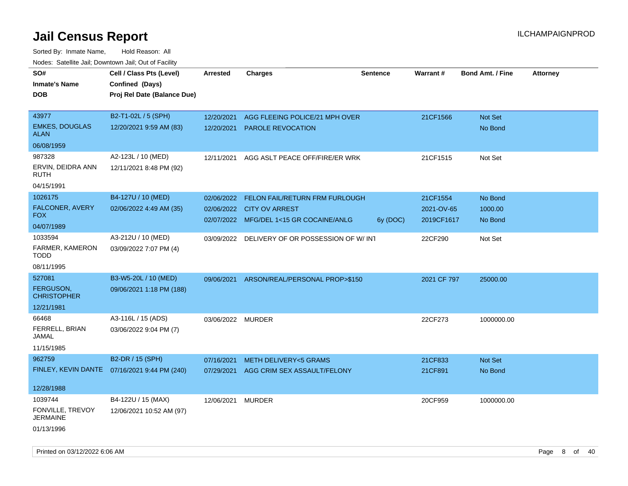| rouce. Calcillic Jali, Downtown Jali, Out of Facility |                                              |                   |                                               |                 |             |                         |                 |
|-------------------------------------------------------|----------------------------------------------|-------------------|-----------------------------------------------|-----------------|-------------|-------------------------|-----------------|
| SO#                                                   | Cell / Class Pts (Level)                     | <b>Arrested</b>   | <b>Charges</b>                                | <b>Sentence</b> | Warrant#    | <b>Bond Amt. / Fine</b> | <b>Attorney</b> |
| <b>Inmate's Name</b>                                  | Confined (Days)                              |                   |                                               |                 |             |                         |                 |
| DOB                                                   | Proj Rel Date (Balance Due)                  |                   |                                               |                 |             |                         |                 |
|                                                       |                                              |                   |                                               |                 |             |                         |                 |
| 43977                                                 | B2-T1-02L / 5 (SPH)                          | 12/20/2021        | AGG FLEEING POLICE/21 MPH OVER                |                 | 21CF1566    | Not Set                 |                 |
| <b>EMKES, DOUGLAS</b><br><b>ALAN</b>                  | 12/20/2021 9:59 AM (83)                      | 12/20/2021        | <b>PAROLE REVOCATION</b>                      |                 |             | No Bond                 |                 |
| 06/08/1959                                            |                                              |                   |                                               |                 |             |                         |                 |
| 987328                                                | A2-123L / 10 (MED)                           | 12/11/2021        | AGG ASLT PEACE OFF/FIRE/ER WRK                |                 | 21CF1515    | Not Set                 |                 |
| ERVIN, DEIDRA ANN<br>RUTH                             | 12/11/2021 8:48 PM (92)                      |                   |                                               |                 |             |                         |                 |
| 04/15/1991                                            |                                              |                   |                                               |                 |             |                         |                 |
| 1026175                                               | B4-127U / 10 (MED)                           | 02/06/2022        | <b>FELON FAIL/RETURN FRM FURLOUGH</b>         |                 | 21CF1554    | No Bond                 |                 |
| FALCONER, AVERY                                       | 02/06/2022 4:49 AM (35)                      |                   | 02/06/2022 CITY OV ARREST                     |                 | 2021-OV-65  | 1000.00                 |                 |
| <b>FOX</b>                                            |                                              |                   | 02/07/2022 MFG/DEL 1<15 GR COCAINE/ANLG       | 6y (DOC)        | 2019CF1617  | No Bond                 |                 |
| 04/07/1989                                            |                                              |                   |                                               |                 |             |                         |                 |
| 1033594                                               | A3-212U / 10 (MED)                           |                   | 03/09/2022 DELIVERY OF OR POSSESSION OF W/INT |                 | 22CF290     | Not Set                 |                 |
| FARMER, KAMERON<br><b>TODD</b>                        | 03/09/2022 7:07 PM (4)                       |                   |                                               |                 |             |                         |                 |
| 08/11/1995                                            |                                              |                   |                                               |                 |             |                         |                 |
| 527081                                                | B3-W5-20L / 10 (MED)                         | 09/06/2021        | ARSON/REAL/PERSONAL PROP>\$150                |                 | 2021 CF 797 | 25000.00                |                 |
| FERGUSON,<br><b>CHRISTOPHER</b>                       | 09/06/2021 1:18 PM (188)                     |                   |                                               |                 |             |                         |                 |
| 12/21/1981                                            |                                              |                   |                                               |                 |             |                         |                 |
| 66468                                                 | A3-116L / 15 (ADS)                           | 03/06/2022 MURDER |                                               |                 | 22CF273     | 1000000.00              |                 |
| FERRELL, BRIAN<br>JAMAL                               | 03/06/2022 9:04 PM (7)                       |                   |                                               |                 |             |                         |                 |
| 11/15/1985                                            |                                              |                   |                                               |                 |             |                         |                 |
| 962759                                                | B2-DR / 15 (SPH)                             | 07/16/2021        | <b>METH DELIVERY&lt;5 GRAMS</b>               |                 | 21CF833     | <b>Not Set</b>          |                 |
|                                                       | FINLEY, KEVIN DANTE 07/16/2021 9:44 PM (240) | 07/29/2021        | AGG CRIM SEX ASSAULT/FELONY                   |                 | 21CF891     | No Bond                 |                 |
|                                                       |                                              |                   |                                               |                 |             |                         |                 |
| 12/28/1988                                            |                                              |                   |                                               |                 |             |                         |                 |
| 1039744                                               | B4-122U / 15 (MAX)                           | 12/06/2021        | <b>MURDER</b>                                 |                 | 20CF959     | 1000000.00              |                 |
| FONVILLE, TREVOY<br>JERMAINE                          | 12/06/2021 10:52 AM (97)                     |                   |                                               |                 |             |                         |                 |
| 01/13/1996                                            |                                              |                   |                                               |                 |             |                         |                 |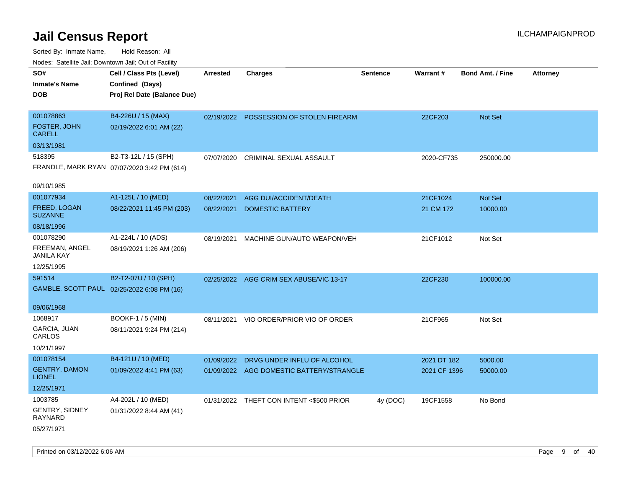| rougs. Calcing Jan, Downtown Jan, Out of Facility |                                             |                 |                                          |                 |              |                         |                 |
|---------------------------------------------------|---------------------------------------------|-----------------|------------------------------------------|-----------------|--------------|-------------------------|-----------------|
| SO#                                               | Cell / Class Pts (Level)                    | <b>Arrested</b> | <b>Charges</b>                           | <b>Sentence</b> | Warrant#     | <b>Bond Amt. / Fine</b> | <b>Attorney</b> |
| <b>Inmate's Name</b>                              | Confined (Days)                             |                 |                                          |                 |              |                         |                 |
| <b>DOB</b>                                        | Proj Rel Date (Balance Due)                 |                 |                                          |                 |              |                         |                 |
|                                                   |                                             |                 |                                          |                 |              |                         |                 |
| 001078863                                         | B4-226U / 15 (MAX)                          |                 | 02/19/2022 POSSESSION OF STOLEN FIREARM  |                 | 22CF203      | Not Set                 |                 |
| FOSTER, JOHN<br><b>CARELL</b>                     | 02/19/2022 6:01 AM (22)                     |                 |                                          |                 |              |                         |                 |
| 03/13/1981                                        |                                             |                 |                                          |                 |              |                         |                 |
| 518395                                            | B2-T3-12L / 15 (SPH)                        | 07/07/2020      | CRIMINAL SEXUAL ASSAULT                  |                 | 2020-CF735   | 250000.00               |                 |
|                                                   | FRANDLE, MARK RYAN 07/07/2020 3:42 PM (614) |                 |                                          |                 |              |                         |                 |
| 09/10/1985                                        |                                             |                 |                                          |                 |              |                         |                 |
| 001077934                                         | A1-125L / 10 (MED)                          | 08/22/2021      | AGG DUI/ACCIDENT/DEATH                   |                 | 21CF1024     | Not Set                 |                 |
| <b>FREED, LOGAN</b><br><b>SUZANNE</b>             | 08/22/2021 11:45 PM (203)                   | 08/22/2021      | <b>DOMESTIC BATTERY</b>                  |                 | 21 CM 172    | 10000.00                |                 |
| 08/18/1996                                        |                                             |                 |                                          |                 |              |                         |                 |
| 001078290                                         | A1-224L / 10 (ADS)                          | 08/19/2021      | MACHINE GUN/AUTO WEAPON/VEH              |                 | 21CF1012     | Not Set                 |                 |
| FREEMAN, ANGEL<br><b>JANILA KAY</b>               | 08/19/2021 1:26 AM (206)                    |                 |                                          |                 |              |                         |                 |
| 12/25/1995                                        |                                             |                 |                                          |                 |              |                         |                 |
| 591514                                            | B2-T2-07U / 10 (SPH)                        |                 | 02/25/2022 AGG CRIM SEX ABUSE/VIC 13-17  |                 | 22CF230      | 100000.00               |                 |
|                                                   | GAMBLE, SCOTT PAUL 02/25/2022 6:08 PM (16)  |                 |                                          |                 |              |                         |                 |
|                                                   |                                             |                 |                                          |                 |              |                         |                 |
| 09/06/1968                                        |                                             |                 |                                          |                 |              |                         |                 |
| 1068917                                           | <b>BOOKF-1 / 5 (MIN)</b>                    | 08/11/2021      | VIO ORDER/PRIOR VIO OF ORDER             |                 | 21CF965      | Not Set                 |                 |
| GARCIA, JUAN<br>CARLOS                            | 08/11/2021 9:24 PM (214)                    |                 |                                          |                 |              |                         |                 |
| 10/21/1997                                        |                                             |                 |                                          |                 |              |                         |                 |
| 001078154                                         | B4-121U / 10 (MED)                          | 01/09/2022      | DRVG UNDER INFLU OF ALCOHOL              |                 | 2021 DT 182  | 5000.00                 |                 |
| <b>GENTRY, DAMON</b><br><b>LIONEL</b>             | 01/09/2022 4:41 PM (63)                     |                 | 01/09/2022 AGG DOMESTIC BATTERY/STRANGLE |                 | 2021 CF 1396 | 50000.00                |                 |
| 12/25/1971                                        |                                             |                 |                                          |                 |              |                         |                 |
| 1003785                                           | A4-202L / 10 (MED)                          |                 | 01/31/2022 THEFT CON INTENT <\$500 PRIOR | 4y (DOC)        | 19CF1558     | No Bond                 |                 |
| GENTRY, SIDNEY<br>RAYNARD                         | 01/31/2022 8:44 AM (41)                     |                 |                                          |                 |              |                         |                 |
| 05/27/1971                                        |                                             |                 |                                          |                 |              |                         |                 |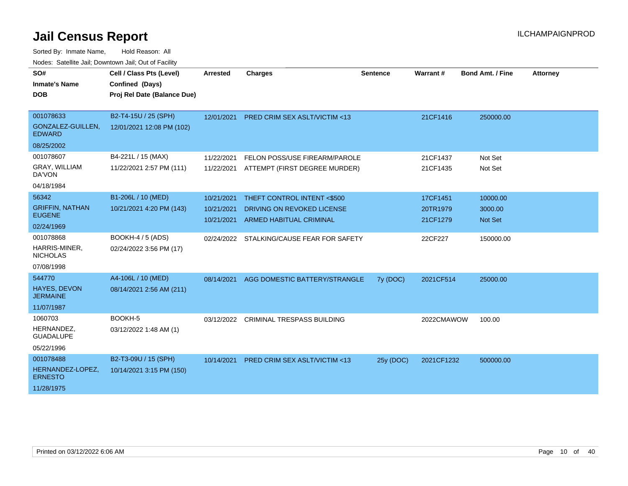| SO#                                     | Cell / Class Pts (Level)    | <b>Arrested</b> | <b>Charges</b>                            | <b>Sentence</b> | Warrant#   | <b>Bond Amt. / Fine</b> | <b>Attorney</b> |
|-----------------------------------------|-----------------------------|-----------------|-------------------------------------------|-----------------|------------|-------------------------|-----------------|
| <b>Inmate's Name</b>                    | Confined (Days)             |                 |                                           |                 |            |                         |                 |
| <b>DOB</b>                              | Proj Rel Date (Balance Due) |                 |                                           |                 |            |                         |                 |
|                                         |                             |                 |                                           |                 |            |                         |                 |
| 001078633                               | B2-T4-15U / 25 (SPH)        | 12/01/2021      | PRED CRIM SEX ASLT/VICTIM <13             |                 | 21CF1416   | 250000.00               |                 |
| GONZALEZ-GUILLEN,<br><b>EDWARD</b>      | 12/01/2021 12:08 PM (102)   |                 |                                           |                 |            |                         |                 |
| 08/25/2002                              |                             |                 |                                           |                 |            |                         |                 |
| 001078607                               | B4-221L / 15 (MAX)          | 11/22/2021      | FELON POSS/USE FIREARM/PAROLE             |                 | 21CF1437   | Not Set                 |                 |
| GRAY, WILLIAM<br>DA'VON                 | 11/22/2021 2:57 PM (111)    | 11/22/2021      | ATTEMPT (FIRST DEGREE MURDER)             |                 | 21CF1435   | Not Set                 |                 |
| 04/18/1984                              |                             |                 |                                           |                 |            |                         |                 |
| 56342                                   | B1-206L / 10 (MED)          | 10/21/2021      | THEFT CONTROL INTENT <\$500               |                 | 17CF1451   | 10000.00                |                 |
| <b>GRIFFIN, NATHAN</b><br><b>EUGENE</b> | 10/21/2021 4:20 PM (143)    | 10/21/2021      | DRIVING ON REVOKED LICENSE                |                 | 20TR1979   | 3000.00                 |                 |
| 02/24/1969                              |                             | 10/21/2021      | <b>ARMED HABITUAL CRIMINAL</b>            |                 | 21CF1279   | <b>Not Set</b>          |                 |
| 001078868                               | <b>BOOKH-4 / 5 (ADS)</b>    |                 | 02/24/2022 STALKING/CAUSE FEAR FOR SAFETY |                 | 22CF227    | 150000.00               |                 |
| HARRIS-MINER,<br><b>NICHOLAS</b>        | 02/24/2022 3:56 PM (17)     |                 |                                           |                 |            |                         |                 |
| 07/08/1998                              |                             |                 |                                           |                 |            |                         |                 |
| 544770                                  | A4-106L / 10 (MED)          | 08/14/2021      | AGG DOMESTIC BATTERY/STRANGLE             | 7y (DOC)        | 2021CF514  | 25000.00                |                 |
| <b>HAYES, DEVON</b><br><b>JERMAINE</b>  | 08/14/2021 2:56 AM (211)    |                 |                                           |                 |            |                         |                 |
| 11/07/1987                              |                             |                 |                                           |                 |            |                         |                 |
| 1060703                                 | BOOKH-5                     | 03/12/2022      | <b>CRIMINAL TRESPASS BUILDING</b>         |                 | 2022CMAWOW | 100.00                  |                 |
| HERNANDEZ,<br><b>GUADALUPE</b>          | 03/12/2022 1:48 AM (1)      |                 |                                           |                 |            |                         |                 |
| 05/22/1996                              |                             |                 |                                           |                 |            |                         |                 |
| 001078488                               | B2-T3-09U / 15 (SPH)        | 10/14/2021      | <b>PRED CRIM SEX ASLT/VICTIM &lt;13</b>   | 25y (DOC)       | 2021CF1232 | 500000.00               |                 |
| HERNANDEZ-LOPEZ,<br><b>ERNESTO</b>      | 10/14/2021 3:15 PM (150)    |                 |                                           |                 |            |                         |                 |
| 11/28/1975                              |                             |                 |                                           |                 |            |                         |                 |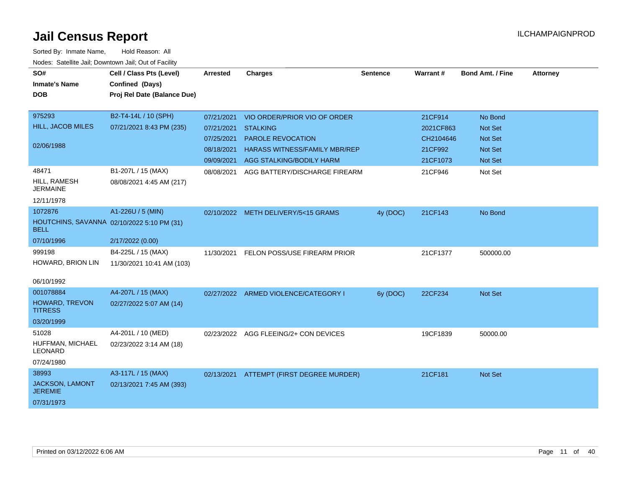| SO#                                | Cell / Class Pts (Level)                   | Arrested   | <b>Charges</b>                           | <b>Sentence</b> | Warrant#  | <b>Bond Amt. / Fine</b> | <b>Attorney</b> |
|------------------------------------|--------------------------------------------|------------|------------------------------------------|-----------------|-----------|-------------------------|-----------------|
| <b>Inmate's Name</b>               | Confined (Days)                            |            |                                          |                 |           |                         |                 |
| <b>DOB</b>                         | Proj Rel Date (Balance Due)                |            |                                          |                 |           |                         |                 |
|                                    |                                            |            |                                          |                 |           |                         |                 |
| 975293                             | B2-T4-14L / 10 (SPH)                       | 07/21/2021 | VIO ORDER/PRIOR VIO OF ORDER             |                 | 21CF914   | No Bond                 |                 |
| HILL, JACOB MILES                  | 07/21/2021 8:43 PM (235)                   | 07/21/2021 | <b>STALKING</b>                          |                 | 2021CF863 | Not Set                 |                 |
| 02/06/1988                         |                                            | 07/25/2021 | PAROLE REVOCATION                        |                 | CH2104646 | <b>Not Set</b>          |                 |
|                                    |                                            | 08/18/2021 | HARASS WITNESS/FAMILY MBR/REP            |                 | 21CF992   | <b>Not Set</b>          |                 |
|                                    |                                            |            | 09/09/2021 AGG STALKING/BODILY HARM      |                 | 21CF1073  | Not Set                 |                 |
| 48471                              | B1-207L / 15 (MAX)                         | 08/08/2021 | AGG BATTERY/DISCHARGE FIREARM            |                 | 21CF946   | Not Set                 |                 |
| HILL, RAMESH<br><b>JERMAINE</b>    | 08/08/2021 4:45 AM (217)                   |            |                                          |                 |           |                         |                 |
| 12/11/1978                         |                                            |            |                                          |                 |           |                         |                 |
| 1072876                            | A1-226U / 5 (MIN)                          |            | 02/10/2022 METH DELIVERY/5<15 GRAMS      | 4y (DOC)        | 21CF143   | No Bond                 |                 |
| <b>BELL</b>                        | HOUTCHINS, SAVANNA 02/10/2022 5:10 PM (31) |            |                                          |                 |           |                         |                 |
| 07/10/1996                         | 2/17/2022 (0.00)                           |            |                                          |                 |           |                         |                 |
| 999198                             | B4-225L / 15 (MAX)                         | 11/30/2021 | FELON POSS/USE FIREARM PRIOR             |                 | 21CF1377  | 500000.00               |                 |
| HOWARD, BRION LIN                  | 11/30/2021 10:41 AM (103)                  |            |                                          |                 |           |                         |                 |
| 06/10/1992                         |                                            |            |                                          |                 |           |                         |                 |
| 001078884                          | A4-207L / 15 (MAX)                         |            | 02/27/2022 ARMED VIOLENCE/CATEGORY I     | 6y (DOC)        | 22CF234   | Not Set                 |                 |
| HOWARD, TREVON<br><b>TITRESS</b>   | 02/27/2022 5:07 AM (14)                    |            |                                          |                 |           |                         |                 |
| 03/20/1999                         |                                            |            |                                          |                 |           |                         |                 |
| 51028                              | A4-201L / 10 (MED)                         |            | 02/23/2022 AGG FLEEING/2+ CON DEVICES    |                 | 19CF1839  | 50000.00                |                 |
| HUFFMAN, MICHAEL<br><b>LEONARD</b> | 02/23/2022 3:14 AM (18)                    |            |                                          |                 |           |                         |                 |
| 07/24/1980                         |                                            |            |                                          |                 |           |                         |                 |
| 38993                              | A3-117L / 15 (MAX)                         |            | 02/13/2021 ATTEMPT (FIRST DEGREE MURDER) |                 | 21CF181   | Not Set                 |                 |
| JACKSON, LAMONT<br><b>JEREMIE</b>  | 02/13/2021 7:45 AM (393)                   |            |                                          |                 |           |                         |                 |
| 07/31/1973                         |                                            |            |                                          |                 |           |                         |                 |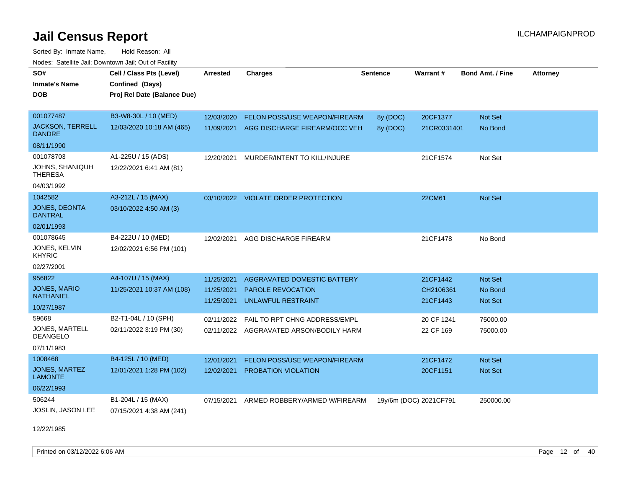Sorted By: Inmate Name, Hold Reason: All Nodes: Satellite Jail; Downtown Jail; Out of Facility

| SO#<br><b>Inmate's Name</b><br>DOB       | Cell / Class Pts (Level)<br>Confined (Days)<br>Proj Rel Date (Balance Due) | <b>Arrested</b> | <b>Charges</b>                      | <b>Sentence</b> | Warrant#               | <b>Bond Amt. / Fine</b> | <b>Attorney</b> |
|------------------------------------------|----------------------------------------------------------------------------|-----------------|-------------------------------------|-----------------|------------------------|-------------------------|-----------------|
| 001077487                                | B3-W8-30L / 10 (MED)                                                       | 12/03/2020      | FELON POSS/USE WEAPON/FIREARM       | 8y (DOC)        | 20CF1377               | Not Set                 |                 |
| <b>JACKSON, TERRELL</b><br><b>DANDRE</b> | 12/03/2020 10:18 AM (465)                                                  | 11/09/2021      | AGG DISCHARGE FIREARM/OCC VEH       | 8y (DOC)        | 21CR0331401            | No Bond                 |                 |
| 08/11/1990                               |                                                                            |                 |                                     |                 |                        |                         |                 |
| 001078703                                | A1-225U / 15 (ADS)                                                         | 12/20/2021      | MURDER/INTENT TO KILL/INJURE        |                 | 21CF1574               | Not Set                 |                 |
| JOHNS, SHANIQUH<br><b>THERESA</b>        | 12/22/2021 6:41 AM (81)                                                    |                 |                                     |                 |                        |                         |                 |
| 04/03/1992                               |                                                                            |                 |                                     |                 |                        |                         |                 |
| 1042582                                  | A3-212L / 15 (MAX)                                                         |                 | 03/10/2022 VIOLATE ORDER PROTECTION |                 | 22CM61                 | <b>Not Set</b>          |                 |
| <b>JONES, DEONTA</b><br><b>DANTRAL</b>   | 03/10/2022 4:50 AM (3)                                                     |                 |                                     |                 |                        |                         |                 |
| 02/01/1993                               |                                                                            |                 |                                     |                 |                        |                         |                 |
| 001078645                                | B4-222U / 10 (MED)                                                         | 12/02/2021      | AGG DISCHARGE FIREARM               |                 | 21CF1478               | No Bond                 |                 |
| JONES, KELVIN<br><b>KHYRIC</b>           | 12/02/2021 6:56 PM (101)                                                   |                 |                                     |                 |                        |                         |                 |
| 02/27/2001                               |                                                                            |                 |                                     |                 |                        |                         |                 |
| 956822                                   | A4-107U / 15 (MAX)                                                         | 11/25/2021      | <b>AGGRAVATED DOMESTIC BATTERY</b>  |                 | 21CF1442               | <b>Not Set</b>          |                 |
| <b>JONES, MARIO</b>                      | 11/25/2021 10:37 AM (108)                                                  | 11/25/2021      | PAROLE REVOCATION                   |                 | CH2106361              | No Bond                 |                 |
| <b>NATHANIEL</b>                         |                                                                            | 11/25/2021      | <b>UNLAWFUL RESTRAINT</b>           |                 | 21CF1443               | <b>Not Set</b>          |                 |
| 10/27/1987                               |                                                                            |                 |                                     |                 |                        |                         |                 |
| 59668                                    | B2-T1-04L / 10 (SPH)                                                       | 02/11/2022      | FAIL TO RPT CHNG ADDRESS/EMPL       |                 | 20 CF 1241             | 75000.00                |                 |
| <b>JONES, MARTELL</b><br><b>DEANGELO</b> | 02/11/2022 3:19 PM (30)                                                    | 02/11/2022      | AGGRAVATED ARSON/BODILY HARM        |                 | 22 CF 169              | 75000.00                |                 |
| 07/11/1983                               |                                                                            |                 |                                     |                 |                        |                         |                 |
| 1008468                                  | B4-125L / 10 (MED)                                                         | 12/01/2021      | FELON POSS/USE WEAPON/FIREARM       |                 | 21CF1472               | <b>Not Set</b>          |                 |
| JONES, MARTEZ<br><b>LAMONTE</b>          | 12/01/2021 1:28 PM (102)                                                   | 12/02/2021      | PROBATION VIOLATION                 |                 | 20CF1151               | <b>Not Set</b>          |                 |
| 06/22/1993                               |                                                                            |                 |                                     |                 |                        |                         |                 |
| 506244                                   | B1-204L / 15 (MAX)                                                         | 07/15/2021      | ARMED ROBBERY/ARMED W/FIREARM       |                 | 19y/6m (DOC) 2021CF791 | 250000.00               |                 |
| <b>JOSLIN, JASON LEE</b>                 | 07/15/2021 4:38 AM (241)                                                   |                 |                                     |                 |                        |                         |                 |

12/22/1985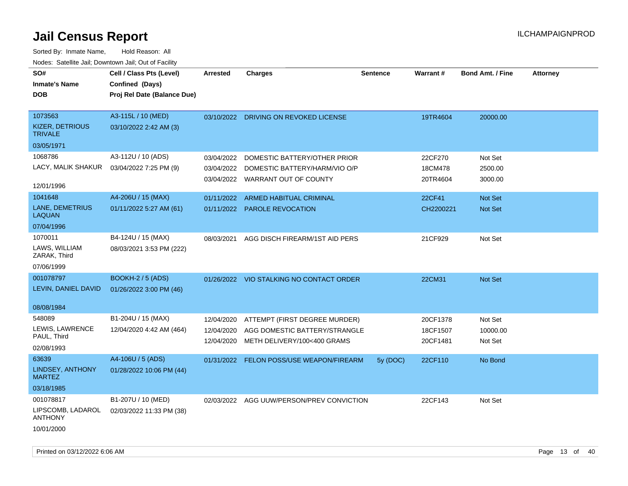| SO#<br><b>Inmate's Name</b>                                          | Cell / Class Pts (Level)<br>Confined (Days)         | <b>Arrested</b>                        | <b>Charges</b>                                                                                               | <b>Sentence</b> | Warrant#                         | <b>Bond Amt. / Fine</b>        | <b>Attorney</b> |
|----------------------------------------------------------------------|-----------------------------------------------------|----------------------------------------|--------------------------------------------------------------------------------------------------------------|-----------------|----------------------------------|--------------------------------|-----------------|
| <b>DOB</b>                                                           | Proj Rel Date (Balance Due)                         |                                        |                                                                                                              |                 |                                  |                                |                 |
| 1073563<br>KIZER, DETRIOUS<br><b>TRIVALE</b>                         | A3-115L / 10 (MED)<br>03/10/2022 2:42 AM (3)        |                                        | 03/10/2022 DRIVING ON REVOKED LICENSE                                                                        |                 | 19TR4604                         | 20000.00                       |                 |
| 03/05/1971<br>1068786<br>LACY, MALIK SHAKUR<br>12/01/1996            | A3-112U / 10 (ADS)<br>03/04/2022 7:25 PM (9)        | 03/04/2022                             | DOMESTIC BATTERY/OTHER PRIOR<br>03/04/2022 DOMESTIC BATTERY/HARM/VIO O/P<br>03/04/2022 WARRANT OUT OF COUNTY |                 | 22CF270<br>18CM478<br>20TR4604   | Not Set<br>2500.00<br>3000.00  |                 |
| 1041648<br>LANE, DEMETRIUS<br><b>LAQUAN</b><br>07/04/1996            | A4-206U / 15 (MAX)<br>01/11/2022 5:27 AM (61)       |                                        | 01/11/2022 ARMED HABITUAL CRIMINAL<br>01/11/2022 PAROLE REVOCATION                                           |                 | 22CF41<br>CH2200221              | <b>Not Set</b><br>Not Set      |                 |
| 1070011<br>LAWS, WILLIAM<br>ZARAK, Third<br>07/06/1999               | B4-124U / 15 (MAX)<br>08/03/2021 3:53 PM (222)      | 08/03/2021                             | AGG DISCH FIREARM/1ST AID PERS                                                                               |                 | 21CF929                          | Not Set                        |                 |
| 001078797<br>LEVIN, DANIEL DAVID                                     | <b>BOOKH-2 / 5 (ADS)</b><br>01/26/2022 3:00 PM (46) |                                        | 01/26/2022 VIO STALKING NO CONTACT ORDER                                                                     |                 | 22CM31                           | Not Set                        |                 |
| 08/08/1984<br>548089<br>LEWIS, LAWRENCE<br>PAUL, Third<br>02/08/1993 | B1-204U / 15 (MAX)<br>12/04/2020 4:42 AM (464)      | 12/04/2020<br>12/04/2020<br>12/04/2020 | ATTEMPT (FIRST DEGREE MURDER)<br>AGG DOMESTIC BATTERY/STRANGLE<br>METH DELIVERY/100<400 GRAMS                |                 | 20CF1378<br>18CF1507<br>20CF1481 | Not Set<br>10000.00<br>Not Set |                 |
| 63639<br><b>LINDSEY, ANTHONY</b><br><b>MARTEZ</b><br>03/18/1985      | A4-106U / 5 (ADS)<br>01/28/2022 10:06 PM (44)       |                                        | 01/31/2022 FELON POSS/USE WEAPON/FIREARM                                                                     | 5y (DOC)        | 22CF110                          | No Bond                        |                 |
| 001078817<br>LIPSCOMB, LADAROL<br><b>ANTHONY</b><br>10/01/2000       | B1-207U / 10 (MED)<br>02/03/2022 11:33 PM (38)      |                                        | 02/03/2022 AGG UUW/PERSON/PREV CONVICTION                                                                    |                 | 22CF143                          | Not Set                        |                 |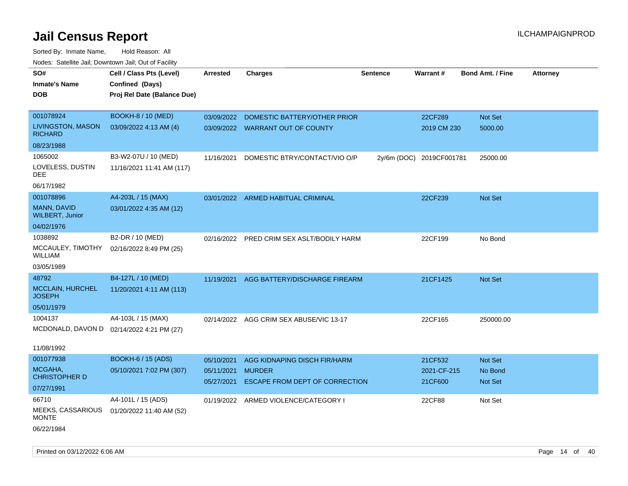| <b>Nouse:</b> Satellite Sall, Downtown Sall, Out of Fability |                             |            |                                         |                 |                          |                         |                 |
|--------------------------------------------------------------|-----------------------------|------------|-----------------------------------------|-----------------|--------------------------|-------------------------|-----------------|
| SO#                                                          | Cell / Class Pts (Level)    | Arrested   | <b>Charges</b>                          | <b>Sentence</b> | Warrant#                 | <b>Bond Amt. / Fine</b> | <b>Attorney</b> |
| <b>Inmate's Name</b>                                         | Confined (Days)             |            |                                         |                 |                          |                         |                 |
| <b>DOB</b>                                                   | Proj Rel Date (Balance Due) |            |                                         |                 |                          |                         |                 |
|                                                              |                             |            |                                         |                 |                          |                         |                 |
| 001078924                                                    | <b>BOOKH-8 / 10 (MED)</b>   |            | 03/09/2022 DOMESTIC BATTERY/OTHER PRIOR |                 | 22CF289                  | Not Set                 |                 |
| LIVINGSTON, MASON<br><b>RICHARD</b>                          | 03/09/2022 4:13 AM (4)      |            | 03/09/2022 WARRANT OUT OF COUNTY        |                 | 2019 CM 230              | 5000.00                 |                 |
| 08/23/1988                                                   |                             |            |                                         |                 |                          |                         |                 |
| 1065002                                                      | B3-W2-07U / 10 (MED)        | 11/16/2021 | DOMESTIC BTRY/CONTACT/VIO O/P           |                 | 2y/6m (DOC) 2019CF001781 | 25000.00                |                 |
| LOVELESS, DUSTIN<br>DEE                                      | 11/16/2021 11:41 AM (117)   |            |                                         |                 |                          |                         |                 |
| 06/17/1982                                                   |                             |            |                                         |                 |                          |                         |                 |
| 001078896                                                    | A4-203L / 15 (MAX)          |            | 03/01/2022 ARMED HABITUAL CRIMINAL      |                 | 22CF239                  | <b>Not Set</b>          |                 |
| MANN, DAVID<br><b>WILBERT, Junior</b>                        | 03/01/2022 4:35 AM (12)     |            |                                         |                 |                          |                         |                 |
| 04/02/1976                                                   |                             |            |                                         |                 |                          |                         |                 |
| 1038892                                                      | B2-DR / 10 (MED)            | 02/16/2022 | PRED CRIM SEX ASLT/BODILY HARM          |                 | 22CF199                  | No Bond                 |                 |
| MCCAULEY, TIMOTHY<br>WILLIAM                                 | 02/16/2022 8:49 PM (25)     |            |                                         |                 |                          |                         |                 |
| 03/05/1989                                                   |                             |            |                                         |                 |                          |                         |                 |
| 48792                                                        | B4-127L / 10 (MED)          | 11/19/2021 | AGG BATTERY/DISCHARGE FIREARM           |                 | 21CF1425                 | Not Set                 |                 |
| <b>MCCLAIN, HURCHEL</b><br><b>JOSEPH</b>                     | 11/20/2021 4:11 AM (113)    |            |                                         |                 |                          |                         |                 |
| 05/01/1979                                                   |                             |            |                                         |                 |                          |                         |                 |
| 1004137                                                      | A4-103L / 15 (MAX)          |            | 02/14/2022 AGG CRIM SEX ABUSE/VIC 13-17 |                 | 22CF165                  | 250000.00               |                 |
| MCDONALD, DAVON D 02/14/2022 4:21 PM (27)                    |                             |            |                                         |                 |                          |                         |                 |
|                                                              |                             |            |                                         |                 |                          |                         |                 |
| 11/08/1992                                                   |                             |            |                                         |                 |                          |                         |                 |
| 001077938                                                    | <b>BOOKH-6 / 15 (ADS)</b>   | 05/10/2021 | AGG KIDNAPING DISCH FIR/HARM            |                 | 21CF532                  | Not Set                 |                 |
| MCGAHA,<br><b>CHRISTOPHER D</b>                              | 05/10/2021 7:02 PM (307)    | 05/11/2021 | <b>MURDER</b>                           |                 | 2021-CF-215              | No Bond                 |                 |
| 07/27/1991                                                   |                             | 05/27/2021 | ESCAPE FROM DEPT OF CORRECTION          |                 | 21CF600                  | Not Set                 |                 |
| 66710                                                        | A4-101L / 15 (ADS)          |            | 01/19/2022 ARMED VIOLENCE/CATEGORY I    |                 | 22CF88                   | Not Set                 |                 |
| MEEKS, CASSARIOUS                                            | 01/20/2022 11:40 AM (52)    |            |                                         |                 |                          |                         |                 |
| <b>MONTE</b>                                                 |                             |            |                                         |                 |                          |                         |                 |
| 06/22/1984                                                   |                             |            |                                         |                 |                          |                         |                 |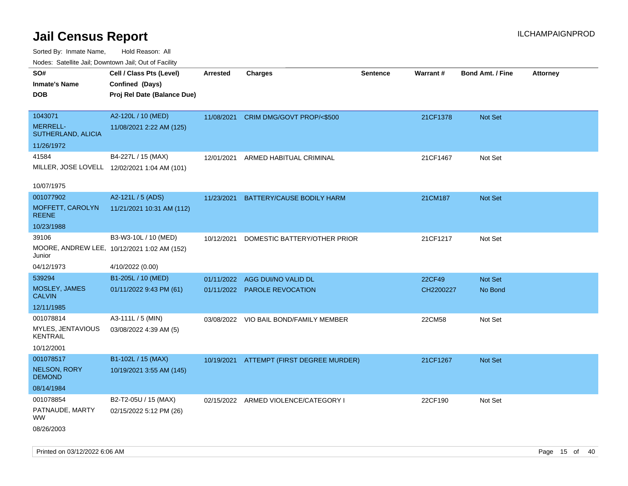Sorted By: Inmate Name, Hold Reason: All

| Nodes: Satellite Jail; Downtown Jail; Out of Facility |                                              |            |                                      |                 |                 |                  |                 |
|-------------------------------------------------------|----------------------------------------------|------------|--------------------------------------|-----------------|-----------------|------------------|-----------------|
| SO#                                                   | Cell / Class Pts (Level)                     | Arrested   | <b>Charges</b>                       | <b>Sentence</b> | <b>Warrant#</b> | Bond Amt. / Fine | <b>Attorney</b> |
| <b>Inmate's Name</b>                                  | Confined (Days)                              |            |                                      |                 |                 |                  |                 |
| <b>DOB</b>                                            | Proj Rel Date (Balance Due)                  |            |                                      |                 |                 |                  |                 |
|                                                       |                                              |            |                                      |                 |                 |                  |                 |
| 1043071                                               | A2-120L / 10 (MED)                           | 11/08/2021 | CRIM DMG/GOVT PROP/<\$500            |                 | 21CF1378        | Not Set          |                 |
| MERRELL-<br>SUTHERLAND, ALICIA                        | 11/08/2021 2:22 AM (125)                     |            |                                      |                 |                 |                  |                 |
| 11/26/1972                                            |                                              |            |                                      |                 |                 |                  |                 |
| 41584                                                 | B4-227L / 15 (MAX)                           | 12/01/2021 | ARMED HABITUAL CRIMINAL              |                 | 21CF1467        | Not Set          |                 |
|                                                       | MILLER, JOSE LOVELL 12/02/2021 1:04 AM (101) |            |                                      |                 |                 |                  |                 |
|                                                       |                                              |            |                                      |                 |                 |                  |                 |
| 10/07/1975                                            |                                              |            |                                      |                 |                 |                  |                 |
| 001077902                                             | A2-121L / 5 (ADS)                            | 11/23/2021 | BATTERY/CAUSE BODILY HARM            |                 | 21CM187         | Not Set          |                 |
| MOFFETT, CAROLYN<br><b>REENE</b>                      | 11/21/2021 10:31 AM (112)                    |            |                                      |                 |                 |                  |                 |
| 10/23/1988                                            |                                              |            |                                      |                 |                 |                  |                 |
| 39106                                                 | B3-W3-10L / 10 (MED)                         | 10/12/2021 | DOMESTIC BATTERY/OTHER PRIOR         |                 | 21CF1217        | Not Set          |                 |
| Junior                                                | MOORE, ANDREW LEE, 10/12/2021 1:02 AM (152)  |            |                                      |                 |                 |                  |                 |
| 04/12/1973                                            | 4/10/2022 (0.00)                             |            |                                      |                 |                 |                  |                 |
| 539294                                                | B1-205L / 10 (MED)                           | 01/11/2022 | AGG DUI/NO VALID DL                  |                 | 22CF49          | Not Set          |                 |
| MOSLEY, JAMES                                         | 01/11/2022 9:43 PM (61)                      | 01/11/2022 | PAROLE REVOCATION                    |                 | CH2200227       | No Bond          |                 |
| <b>CALVIN</b>                                         |                                              |            |                                      |                 |                 |                  |                 |
| 12/11/1985                                            |                                              |            |                                      |                 |                 |                  |                 |
| 001078814                                             | A3-111L / 5 (MIN)                            | 03/08/2022 | VIO BAIL BOND/FAMILY MEMBER          |                 | 22CM58          | Not Set          |                 |
| MYLES, JENTAVIOUS<br><b>KENTRAIL</b>                  | 03/08/2022 4:39 AM (5)                       |            |                                      |                 |                 |                  |                 |
| 10/12/2001                                            |                                              |            |                                      |                 |                 |                  |                 |
| 001078517                                             | B1-102L / 15 (MAX)                           | 10/19/2021 | ATTEMPT (FIRST DEGREE MURDER)        |                 | 21CF1267        | Not Set          |                 |
| NELSON, RORY<br><b>DEMOND</b>                         | 10/19/2021 3:55 AM (145)                     |            |                                      |                 |                 |                  |                 |
| 08/14/1984                                            |                                              |            |                                      |                 |                 |                  |                 |
| 001078854                                             | B2-T2-05U / 15 (MAX)                         |            | 02/15/2022 ARMED VIOLENCE/CATEGORY I |                 | 22CF190         | Not Set          |                 |
| PATNAUDE, MARTY<br>WW                                 | 02/15/2022 5:12 PM (26)                      |            |                                      |                 |                 |                  |                 |
| 08/26/2003                                            |                                              |            |                                      |                 |                 |                  |                 |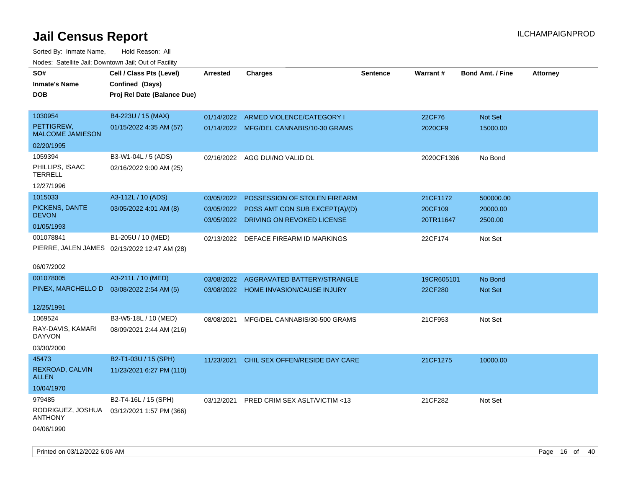| SO#<br><b>Inmate's Name</b><br>DOB         | Cell / Class Pts (Level)<br>Confined (Days)<br>Proj Rel Date (Balance Due) | Arrested   | <b>Charges</b>                            | <b>Sentence</b> | <b>Warrant#</b> | <b>Bond Amt. / Fine</b> | <b>Attorney</b> |
|--------------------------------------------|----------------------------------------------------------------------------|------------|-------------------------------------------|-----------------|-----------------|-------------------------|-----------------|
| 1030954                                    | B4-223U / 15 (MAX)                                                         | 01/14/2022 | ARMED VIOLENCE/CATEGORY I                 |                 | 22CF76          | Not Set                 |                 |
| PETTIGREW,<br><b>MALCOME JAMIESON</b>      | 01/15/2022 4:35 AM (57)                                                    |            | 01/14/2022 MFG/DEL CANNABIS/10-30 GRAMS   |                 | 2020CF9         | 15000.00                |                 |
| 02/20/1995                                 |                                                                            |            |                                           |                 |                 |                         |                 |
| 1059394                                    | B3-W1-04L / 5 (ADS)                                                        | 02/16/2022 | AGG DUI/NO VALID DL                       |                 | 2020CF1396      | No Bond                 |                 |
| PHILLIPS, ISAAC<br><b>TERRELL</b>          | 02/16/2022 9:00 AM (25)                                                    |            |                                           |                 |                 |                         |                 |
| 12/27/1996                                 |                                                                            |            |                                           |                 |                 |                         |                 |
| 1015033                                    | A3-112L / 10 (ADS)                                                         | 03/05/2022 | POSSESSION OF STOLEN FIREARM              |                 | 21CF1172        | 500000.00               |                 |
| PICKENS, DANTE                             | 03/05/2022 4:01 AM (8)                                                     |            | 03/05/2022 POSS AMT CON SUB EXCEPT(A)/(D) |                 | 20CF109         | 20000.00                |                 |
| <b>DEVON</b><br>01/05/1993                 |                                                                            |            | 03/05/2022 DRIVING ON REVOKED LICENSE     |                 | 20TR11647       | 2500.00                 |                 |
| 001078841                                  | B1-205U / 10 (MED)                                                         | 02/13/2022 | DEFACE FIREARM ID MARKINGS                |                 | 22CF174         | Not Set                 |                 |
|                                            | PIERRE, JALEN JAMES 02/13/2022 12:47 AM (28)                               |            |                                           |                 |                 |                         |                 |
| 06/07/2002                                 |                                                                            |            |                                           |                 |                 |                         |                 |
| 001078005                                  | A3-211L / 10 (MED)                                                         | 03/08/2022 | AGGRAVATED BATTERY/STRANGLE               |                 | 19CR605101      | No Bond                 |                 |
| PINEX, MARCHELLO D  03/08/2022 2:54 AM (5) |                                                                            |            | 03/08/2022 HOME INVASION/CAUSE INJURY     |                 | 22CF280         | Not Set                 |                 |
| 12/25/1991                                 |                                                                            |            |                                           |                 |                 |                         |                 |
| 1069524                                    | B3-W5-18L / 10 (MED)                                                       | 08/08/2021 | MFG/DEL CANNABIS/30-500 GRAMS             |                 | 21CF953         | Not Set                 |                 |
| RAY-DAVIS, KAMARI<br><b>DAYVON</b>         | 08/09/2021 2:44 AM (216)                                                   |            |                                           |                 |                 |                         |                 |
| 03/30/2000                                 |                                                                            |            |                                           |                 |                 |                         |                 |
| 45473                                      | B2-T1-03U / 15 (SPH)                                                       | 11/23/2021 | CHIL SEX OFFEN/RESIDE DAY CARE            |                 | 21CF1275        | 10000.00                |                 |
| REXROAD, CALVIN<br><b>ALLEN</b>            | 11/23/2021 6:27 PM (110)                                                   |            |                                           |                 |                 |                         |                 |
| 10/04/1970                                 |                                                                            |            |                                           |                 |                 |                         |                 |
| 979485                                     | B2-T4-16L / 15 (SPH)                                                       | 03/12/2021 | <b>PRED CRIM SEX ASLT/VICTIM &lt;13</b>   |                 | 21CF282         | Not Set                 |                 |
| RODRIGUEZ, JOSHUA<br><b>ANTHONY</b>        | 03/12/2021 1:57 PM (366)                                                   |            |                                           |                 |                 |                         |                 |
| 04/06/1990                                 |                                                                            |            |                                           |                 |                 |                         |                 |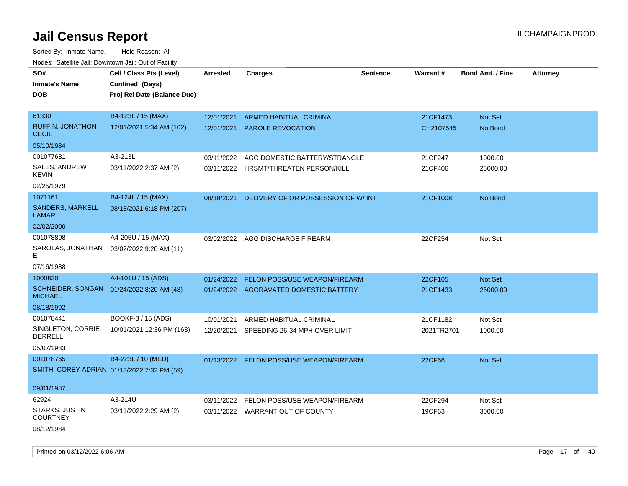Sorted By: Inmate Name, Hold Reason: All Nodes: Satellite Jail; Downtown Jail; Out of Facility

| SO#                                     | Cell / Class Pts (Level)                    | <b>Arrested</b> | <b>Charges</b>                           | <b>Sentence</b> | Warrant#   | <b>Bond Amt. / Fine</b> | <b>Attorney</b> |
|-----------------------------------------|---------------------------------------------|-----------------|------------------------------------------|-----------------|------------|-------------------------|-----------------|
| <b>Inmate's Name</b>                    | Confined (Days)                             |                 |                                          |                 |            |                         |                 |
| DOB                                     | Proj Rel Date (Balance Due)                 |                 |                                          |                 |            |                         |                 |
|                                         |                                             |                 |                                          |                 |            |                         |                 |
| 61330                                   | B4-123L / 15 (MAX)                          | 12/01/2021      | <b>ARMED HABITUAL CRIMINAL</b>           |                 | 21CF1473   | Not Set                 |                 |
| <b>RUFFIN, JONATHON</b><br><b>CECIL</b> | 12/01/2021 5:34 AM (102)                    |                 | 12/01/2021 PAROLE REVOCATION             |                 | CH2107545  | No Bond                 |                 |
| 05/10/1984                              |                                             |                 |                                          |                 |            |                         |                 |
| 001077681                               | A3-213L                                     | 03/11/2022      | AGG DOMESTIC BATTERY/STRANGLE            |                 | 21CF247    | 1000.00                 |                 |
| SALES, ANDREW<br>KEVIN                  | 03/11/2022 2:37 AM (2)                      |                 | 03/11/2022 HRSMT/THREATEN PERSON/KILL    |                 | 21CF406    | 25000.00                |                 |
| 02/25/1979                              |                                             |                 |                                          |                 |            |                         |                 |
| 1071161                                 | B4-124L / 15 (MAX)                          | 08/18/2021      | DELIVERY OF OR POSSESSION OF W/INT       |                 | 21CF1008   | No Bond                 |                 |
| <b>SANDERS, MARKELL</b><br>LAMAR        | 08/18/2021 6:18 PM (207)                    |                 |                                          |                 |            |                         |                 |
| 02/02/2000                              |                                             |                 |                                          |                 |            |                         |                 |
| 001078898                               | A4-205U / 15 (MAX)                          |                 | 03/02/2022 AGG DISCHARGE FIREARM         |                 | 22CF254    | Not Set                 |                 |
| SAROLAS, JONATHAN<br>E.                 | 03/02/2022 9:20 AM (11)                     |                 |                                          |                 |            |                         |                 |
| 07/16/1988                              |                                             |                 |                                          |                 |            |                         |                 |
| 1000820                                 | A4-101U / 15 (ADS)                          | 01/24/2022      | FELON POSS/USE WEAPON/FIREARM            |                 | 22CF105    | <b>Not Set</b>          |                 |
| SCHNEIDER, SONGAN<br><b>MICHAEL</b>     | 01/24/2022 8:20 AM (48)                     |                 | 01/24/2022 AGGRAVATED DOMESTIC BATTERY   |                 | 21CF1433   | 25000.00                |                 |
| 08/18/1992                              |                                             |                 |                                          |                 |            |                         |                 |
| 001078441                               | BOOKF-3 / 15 (ADS)                          | 10/01/2021      | ARMED HABITUAL CRIMINAL                  |                 | 21CF1182   | Not Set                 |                 |
| SINGLETON, CORRIE<br><b>DERRELL</b>     | 10/01/2021 12:36 PM (163)                   | 12/20/2021      | SPEEDING 26-34 MPH OVER LIMIT            |                 | 2021TR2701 | 1000.00                 |                 |
| 05/07/1983                              |                                             |                 |                                          |                 |            |                         |                 |
| 001078765                               | B4-223L / 10 (MED)                          |                 | 01/13/2022 FELON POSS/USE WEAPON/FIREARM |                 | 22CF66     | Not Set                 |                 |
|                                         | SMITH, COREY ADRIAN 01/13/2022 7:32 PM (59) |                 |                                          |                 |            |                         |                 |
| 09/01/1987                              |                                             |                 |                                          |                 |            |                         |                 |
| 62924                                   | A3-214U                                     |                 | 03/11/2022 FELON POSS/USE WEAPON/FIREARM |                 | 22CF294    | Not Set                 |                 |
| <b>STARKS, JUSTIN</b><br>COURTNEY       | 03/11/2022 2:29 AM (2)                      |                 | 03/11/2022 WARRANT OUT OF COUNTY         |                 | 19CF63     | 3000.00                 |                 |
| 08/12/1984                              |                                             |                 |                                          |                 |            |                         |                 |

Printed on 03/12/2022 6:06 AM Page 17 of 40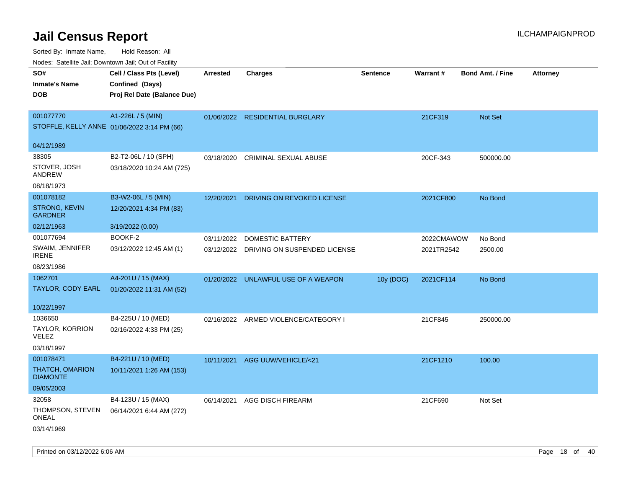Sorted By: Inmate Name, Hold Reason: All Nodes: Satellite Jail; Downtown Jail; Out of Facility

| indues. Satellite Jali, Downtown Jali, Out of Facility |                             |                 |                                         |                 |            |                         |                 |
|--------------------------------------------------------|-----------------------------|-----------------|-----------------------------------------|-----------------|------------|-------------------------|-----------------|
| SO#                                                    | Cell / Class Pts (Level)    | <b>Arrested</b> | <b>Charges</b>                          | <b>Sentence</b> | Warrant#   | <b>Bond Amt. / Fine</b> | <b>Attorney</b> |
| <b>Inmate's Name</b>                                   | Confined (Days)             |                 |                                         |                 |            |                         |                 |
| <b>DOB</b>                                             | Proj Rel Date (Balance Due) |                 |                                         |                 |            |                         |                 |
|                                                        |                             |                 |                                         |                 |            |                         |                 |
| 001077770                                              | A1-226L / 5 (MIN)           |                 | 01/06/2022 RESIDENTIAL BURGLARY         |                 | 21CF319    | Not Set                 |                 |
| STOFFLE, KELLY ANNE 01/06/2022 3:14 PM (66)            |                             |                 |                                         |                 |            |                         |                 |
|                                                        |                             |                 |                                         |                 |            |                         |                 |
| 04/12/1989                                             |                             |                 |                                         |                 |            |                         |                 |
| 38305                                                  | B2-T2-06L / 10 (SPH)        | 03/18/2020      | <b>CRIMINAL SEXUAL ABUSE</b>            |                 | 20CF-343   | 500000.00               |                 |
| STOVER, JOSH<br>ANDREW                                 | 03/18/2020 10:24 AM (725)   |                 |                                         |                 |            |                         |                 |
| 08/18/1973                                             |                             |                 |                                         |                 |            |                         |                 |
| 001078182                                              | B3-W2-06L / 5 (MIN)         | 12/20/2021      | DRIVING ON REVOKED LICENSE              |                 | 2021CF800  | No Bond                 |                 |
| <b>STRONG, KEVIN</b><br><b>GARDNER</b>                 | 12/20/2021 4:34 PM (83)     |                 |                                         |                 |            |                         |                 |
| 02/12/1963                                             | 3/19/2022 (0.00)            |                 |                                         |                 |            |                         |                 |
| 001077694                                              | BOOKF-2                     | 03/11/2022      | DOMESTIC BATTERY                        |                 | 2022CMAWOW | No Bond                 |                 |
| SWAIM, JENNIFER<br><b>IRENE</b>                        | 03/12/2022 12:45 AM (1)     |                 | 03/12/2022 DRIVING ON SUSPENDED LICENSE |                 | 2021TR2542 | 2500.00                 |                 |
| 08/23/1986                                             |                             |                 |                                         |                 |            |                         |                 |
| 1062701                                                | A4-201U / 15 (MAX)          |                 | 01/20/2022 UNLAWFUL USE OF A WEAPON     | 10y (DOC)       | 2021CF114  | No Bond                 |                 |
| TAYLOR, CODY EARL                                      | 01/20/2022 11:31 AM (52)    |                 |                                         |                 |            |                         |                 |
|                                                        |                             |                 |                                         |                 |            |                         |                 |
| 10/22/1997                                             |                             |                 |                                         |                 |            |                         |                 |
| 1036650                                                | B4-225U / 10 (MED)          |                 | 02/16/2022 ARMED VIOLENCE/CATEGORY I    |                 | 21CF845    | 250000.00               |                 |
| TAYLOR, KORRION<br><b>VELEZ</b>                        | 02/16/2022 4:33 PM (25)     |                 |                                         |                 |            |                         |                 |
| 03/18/1997                                             |                             |                 |                                         |                 |            |                         |                 |
| 001078471                                              | B4-221U / 10 (MED)          | 10/11/2021      | AGG UUW/VEHICLE/<21                     |                 | 21CF1210   | 100.00                  |                 |
| THATCH, OMARION<br><b>DIAMONTE</b>                     | 10/11/2021 1:26 AM (153)    |                 |                                         |                 |            |                         |                 |
| 09/05/2003                                             |                             |                 |                                         |                 |            |                         |                 |
| 32058                                                  | B4-123U / 15 (MAX)          | 06/14/2021      | <b>AGG DISCH FIREARM</b>                |                 | 21CF690    | Not Set                 |                 |
| THOMPSON, STEVEN<br>ONEAL                              | 06/14/2021 6:44 AM (272)    |                 |                                         |                 |            |                         |                 |
| 03/14/1969                                             |                             |                 |                                         |                 |            |                         |                 |

Printed on 03/12/2022 6:06 AM Page 18 of 40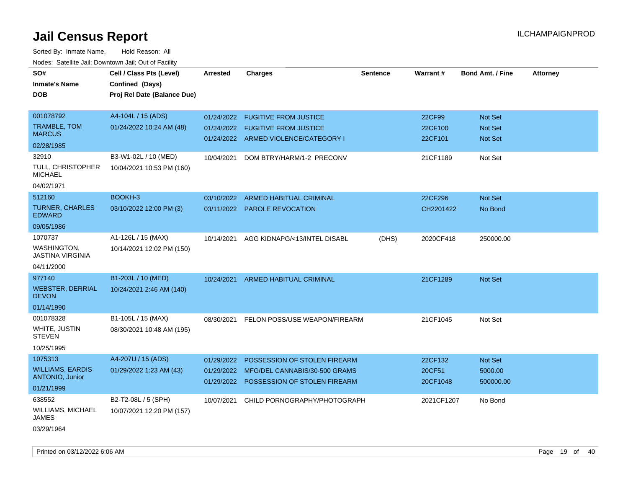| roaco. Catolino dall, Downtown dall, Out of Fability |                             |                 |                                      |                 |            |                         |                 |
|------------------------------------------------------|-----------------------------|-----------------|--------------------------------------|-----------------|------------|-------------------------|-----------------|
| SO#                                                  | Cell / Class Pts (Level)    | <b>Arrested</b> | <b>Charges</b>                       | <b>Sentence</b> | Warrant#   | <b>Bond Amt. / Fine</b> | <b>Attorney</b> |
| <b>Inmate's Name</b>                                 | Confined (Days)             |                 |                                      |                 |            |                         |                 |
| DOB                                                  | Proj Rel Date (Balance Due) |                 |                                      |                 |            |                         |                 |
|                                                      |                             |                 |                                      |                 |            |                         |                 |
| 001078792                                            | A4-104L / 15 (ADS)          | 01/24/2022      | <b>FUGITIVE FROM JUSTICE</b>         |                 | 22CF99     | Not Set                 |                 |
| TRAMBLE, TOM                                         | 01/24/2022 10:24 AM (48)    | 01/24/2022      | <b>FUGITIVE FROM JUSTICE</b>         |                 | 22CF100    | <b>Not Set</b>          |                 |
| <b>MARCUS</b>                                        |                             |                 | 01/24/2022 ARMED VIOLENCE/CATEGORY I |                 | 22CF101    | <b>Not Set</b>          |                 |
| 02/28/1985                                           |                             |                 |                                      |                 |            |                         |                 |
| 32910                                                | B3-W1-02L / 10 (MED)        | 10/04/2021      | DOM BTRY/HARM/1-2 PRECONV            |                 | 21CF1189   | Not Set                 |                 |
| TULL, CHRISTOPHER<br><b>MICHAEL</b>                  | 10/04/2021 10:53 PM (160)   |                 |                                      |                 |            |                         |                 |
| 04/02/1971                                           |                             |                 |                                      |                 |            |                         |                 |
| 512160                                               | BOOKH-3                     | 03/10/2022      | <b>ARMED HABITUAL CRIMINAL</b>       |                 | 22CF296    | Not Set                 |                 |
| <b>TURNER, CHARLES</b><br><b>EDWARD</b>              | 03/10/2022 12:00 PM (3)     | 03/11/2022      | PAROLE REVOCATION                    |                 | CH2201422  | No Bond                 |                 |
| 09/05/1986                                           |                             |                 |                                      |                 |            |                         |                 |
| 1070737                                              | A1-126L / 15 (MAX)          | 10/14/2021      | AGG KIDNAPG/<13/INTEL DISABL         | (DHS)           | 2020CF418  | 250000.00               |                 |
| WASHINGTON,<br>JASTINA VIRGINIA                      | 10/14/2021 12:02 PM (150)   |                 |                                      |                 |            |                         |                 |
| 04/11/2000                                           |                             |                 |                                      |                 |            |                         |                 |
| 977140                                               | B1-203L / 10 (MED)          | 10/24/2021      | ARMED HABITUAL CRIMINAL              |                 | 21CF1289   | <b>Not Set</b>          |                 |
| <b>WEBSTER, DERRIAL</b><br><b>DEVON</b>              | 10/24/2021 2:46 AM (140)    |                 |                                      |                 |            |                         |                 |
| 01/14/1990                                           |                             |                 |                                      |                 |            |                         |                 |
| 001078328                                            | B1-105L / 15 (MAX)          | 08/30/2021      | FELON POSS/USE WEAPON/FIREARM        |                 | 21CF1045   | Not Set                 |                 |
| WHITE, JUSTIN<br><b>STEVEN</b>                       | 08/30/2021 10:48 AM (195)   |                 |                                      |                 |            |                         |                 |
| 10/25/1995                                           |                             |                 |                                      |                 |            |                         |                 |
| 1075313                                              | A4-207U / 15 (ADS)          | 01/29/2022      | POSSESSION OF STOLEN FIREARM         |                 | 22CF132    | <b>Not Set</b>          |                 |
| <b>WILLIAMS, EARDIS</b>                              | 01/29/2022 1:23 AM (43)     | 01/29/2022      | MFG/DEL CANNABIS/30-500 GRAMS        |                 | 20CF51     | 5000.00                 |                 |
| <b>ANTONIO, Junior</b>                               |                             | 01/29/2022      | POSSESSION OF STOLEN FIREARM         |                 | 20CF1048   | 500000.00               |                 |
| 01/21/1999                                           |                             |                 |                                      |                 |            |                         |                 |
| 638552                                               | B2-T2-08L / 5 (SPH)         | 10/07/2021      | CHILD PORNOGRAPHY/PHOTOGRAPH         |                 | 2021CF1207 | No Bond                 |                 |
| <b>WILLIAMS, MICHAEL</b><br>JAMES                    | 10/07/2021 12:20 PM (157)   |                 |                                      |                 |            |                         |                 |
| 03/29/1964                                           |                             |                 |                                      |                 |            |                         |                 |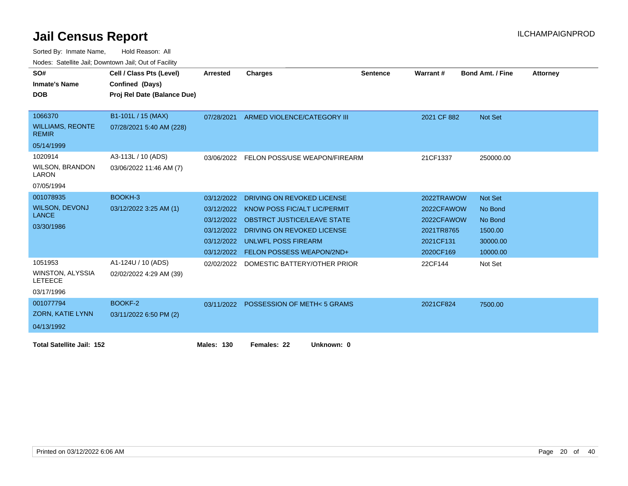| SO#                                       | Cell / Class Pts (Level)    | Arrested          | <b>Charges</b>                         | <b>Sentence</b> | Warrant#    | <b>Bond Amt. / Fine</b> | <b>Attorney</b> |
|-------------------------------------------|-----------------------------|-------------------|----------------------------------------|-----------------|-------------|-------------------------|-----------------|
| <b>Inmate's Name</b>                      | Confined (Days)             |                   |                                        |                 |             |                         |                 |
| <b>DOB</b>                                | Proj Rel Date (Balance Due) |                   |                                        |                 |             |                         |                 |
|                                           |                             |                   |                                        |                 |             |                         |                 |
| 1066370                                   | B1-101L / 15 (MAX)          | 07/28/2021        | ARMED VIOLENCE/CATEGORY III            |                 | 2021 CF 882 | Not Set                 |                 |
| <b>WILLIAMS, REONTE</b><br><b>REMIR</b>   | 07/28/2021 5:40 AM (228)    |                   |                                        |                 |             |                         |                 |
| 05/14/1999                                |                             |                   |                                        |                 |             |                         |                 |
| 1020914                                   | A3-113L / 10 (ADS)          | 03/06/2022        | FELON POSS/USE WEAPON/FIREARM          |                 | 21CF1337    | 250000.00               |                 |
| <b>WILSON, BRANDON</b><br>LARON           | 03/06/2022 11:46 AM (7)     |                   |                                        |                 |             |                         |                 |
| 07/05/1994                                |                             |                   |                                        |                 |             |                         |                 |
| 001078935                                 | BOOKH-3                     | 03/12/2022        | DRIVING ON REVOKED LICENSE             |                 | 2022TRAWOW  | <b>Not Set</b>          |                 |
| <b>WILSON, DEVONJ</b>                     | 03/12/2022 3:25 AM (1)      | 03/12/2022        | KNOW POSS FIC/ALT LIC/PERMIT           |                 | 2022CFAWOW  | No Bond                 |                 |
| <b>LANCE</b>                              |                             | 03/12/2022        | <b>OBSTRCT JUSTICE/LEAVE STATE</b>     |                 | 2022CFAWOW  | No Bond                 |                 |
| 03/30/1986                                |                             | 03/12/2022        | DRIVING ON REVOKED LICENSE             |                 | 2021TR8765  | 1500.00                 |                 |
|                                           |                             | 03/12/2022        | <b>UNLWFL POSS FIREARM</b>             |                 | 2021CF131   | 30000.00                |                 |
|                                           |                             | 03/12/2022        | <b>FELON POSSESS WEAPON/2ND+</b>       |                 | 2020CF169   | 10000.00                |                 |
| 1051953                                   | A1-124U / 10 (ADS)          | 02/02/2022        | DOMESTIC BATTERY/OTHER PRIOR           |                 | 22CF144     | Not Set                 |                 |
| <b>WINSTON, ALYSSIA</b><br><b>LETEECE</b> | 02/02/2022 4:29 AM (39)     |                   |                                        |                 |             |                         |                 |
| 03/17/1996                                |                             |                   |                                        |                 |             |                         |                 |
| 001077794                                 | BOOKF-2                     |                   | 03/11/2022 POSSESSION OF METH< 5 GRAMS |                 | 2021CF824   | 7500.00                 |                 |
| ZORN, KATIE LYNN                          | 03/11/2022 6:50 PM (2)      |                   |                                        |                 |             |                         |                 |
| 04/13/1992                                |                             |                   |                                        |                 |             |                         |                 |
|                                           |                             |                   |                                        |                 |             |                         |                 |
| <b>Total Satellite Jail: 152</b>          |                             | <b>Males: 130</b> | Females: 22<br>Unknown: 0              |                 |             |                         |                 |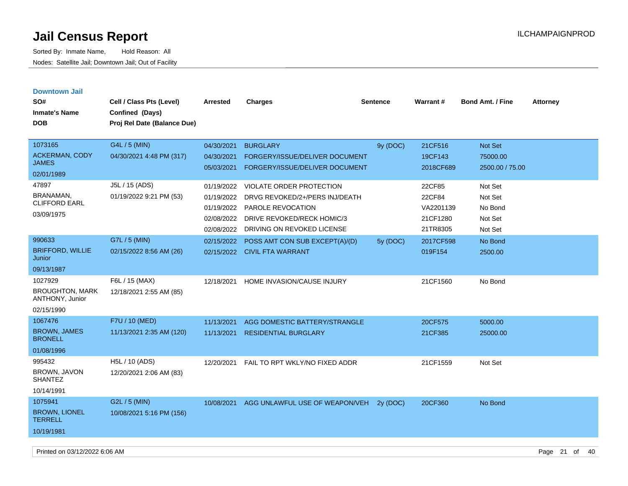| <b>Downtown Jail</b>                      |                             |            |                                           |                 |           |                         |                 |
|-------------------------------------------|-----------------------------|------------|-------------------------------------------|-----------------|-----------|-------------------------|-----------------|
| SO#                                       | Cell / Class Pts (Level)    | Arrested   | <b>Charges</b>                            | <b>Sentence</b> | Warrant#  | <b>Bond Amt. / Fine</b> | <b>Attorney</b> |
| <b>Inmate's Name</b>                      | Confined (Days)             |            |                                           |                 |           |                         |                 |
| <b>DOB</b>                                | Proj Rel Date (Balance Due) |            |                                           |                 |           |                         |                 |
|                                           |                             |            |                                           |                 |           |                         |                 |
| 1073165                                   | G4L / 5 (MIN)               | 04/30/2021 | <b>BURGLARY</b>                           | 9y (DOC)        | 21CF516   | Not Set                 |                 |
| ACKERMAN, CODY                            | 04/30/2021 4:48 PM (317)    | 04/30/2021 | FORGERY/ISSUE/DELIVER DOCUMENT            |                 | 19CF143   | 75000.00                |                 |
| <b>JAMES</b>                              |                             | 05/03/2021 | FORGERY/ISSUE/DELIVER DOCUMENT            |                 | 2018CF689 | 2500.00 / 75.00         |                 |
| 02/01/1989                                |                             |            |                                           |                 |           |                         |                 |
| 47897                                     | J5L / 15 (ADS)              | 01/19/2022 | <b>VIOLATE ORDER PROTECTION</b>           |                 | 22CF85    | Not Set                 |                 |
| BRANAMAN.<br><b>CLIFFORD EARL</b>         | 01/19/2022 9:21 PM (53)     | 01/19/2022 | DRVG REVOKED/2+/PERS INJ/DEATH            |                 | 22CF84    | Not Set                 |                 |
|                                           |                             | 01/19/2022 | PAROLE REVOCATION                         |                 | VA2201139 | No Bond                 |                 |
| 03/09/1975                                |                             | 02/08/2022 | <b>DRIVE REVOKED/RECK HOMIC/3</b>         |                 | 21CF1280  | Not Set                 |                 |
|                                           |                             | 02/08/2022 | DRIVING ON REVOKED LICENSE                |                 | 21TR8305  | Not Set                 |                 |
| 990633                                    | G7L / 5 (MIN)               | 02/15/2022 | POSS AMT CON SUB EXCEPT(A)/(D)            | 5y (DOC)        | 2017CF598 | No Bond                 |                 |
| <b>BRIFFORD, WILLIE</b><br>Junior         | 02/15/2022 8:56 AM (26)     |            | 02/15/2022 CIVIL FTA WARRANT              |                 | 019F154   | 2500.00                 |                 |
| 09/13/1987                                |                             |            |                                           |                 |           |                         |                 |
| 1027929                                   | F6L / 15 (MAX)              | 12/18/2021 | HOME INVASION/CAUSE INJURY                |                 | 21CF1560  | No Bond                 |                 |
| <b>BROUGHTON, MARK</b><br>ANTHONY, Junior | 12/18/2021 2:55 AM (85)     |            |                                           |                 |           |                         |                 |
| 02/15/1990                                |                             |            |                                           |                 |           |                         |                 |
| 1067476                                   | F7U / 10 (MED)              | 11/13/2021 | AGG DOMESTIC BATTERY/STRANGLE             |                 | 20CF575   | 5000.00                 |                 |
| <b>BROWN, JAMES</b><br><b>BRONELL</b>     | 11/13/2021 2:35 AM (120)    | 11/13/2021 | <b>RESIDENTIAL BURGLARY</b>               |                 | 21CF385   | 25000.00                |                 |
| 01/08/1996                                |                             |            |                                           |                 |           |                         |                 |
| 995432                                    | H5L / 10 (ADS)              | 12/20/2021 | FAIL TO RPT WKLY/NO FIXED ADDR            |                 | 21CF1559  | Not Set                 |                 |
| BROWN, JAVON<br><b>SHANTEZ</b>            | 12/20/2021 2:06 AM (83)     |            |                                           |                 |           |                         |                 |
| 10/14/1991                                |                             |            |                                           |                 |           |                         |                 |
| 1075941                                   | G2L / 5 (MIN)               |            | 10/08/2021 AGG UNLAWFUL USE OF WEAPON/VEH | 2v(DOC)         | 20CF360   | No Bond                 |                 |
| <b>BROWN, LIONEL</b><br><b>TERRELL</b>    | 10/08/2021 5:16 PM (156)    |            |                                           |                 |           |                         |                 |
| 10/19/1981                                |                             |            |                                           |                 |           |                         |                 |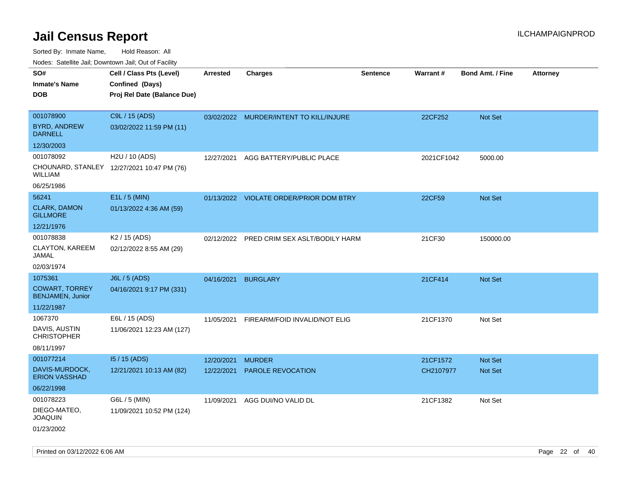| ivouss. Satellite Jali, Downtown Jali, Out of Facility |                                            |            |                                         |                 |                 |                         |                 |
|--------------------------------------------------------|--------------------------------------------|------------|-----------------------------------------|-----------------|-----------------|-------------------------|-----------------|
| SO#                                                    | Cell / Class Pts (Level)                   | Arrested   | <b>Charges</b>                          | <b>Sentence</b> | <b>Warrant#</b> | <b>Bond Amt. / Fine</b> | <b>Attorney</b> |
| <b>Inmate's Name</b>                                   | Confined (Days)                            |            |                                         |                 |                 |                         |                 |
| <b>DOB</b>                                             | Proj Rel Date (Balance Due)                |            |                                         |                 |                 |                         |                 |
|                                                        |                                            |            |                                         |                 |                 |                         |                 |
| 001078900                                              | C9L / 15 (ADS)                             |            | 03/02/2022 MURDER/INTENT TO KILL/INJURE |                 | 22CF252         | Not Set                 |                 |
| BYRD, ANDREW<br><b>DARNELL</b>                         | 03/02/2022 11:59 PM (11)                   |            |                                         |                 |                 |                         |                 |
| 12/30/2003                                             |                                            |            |                                         |                 |                 |                         |                 |
| 001078092                                              | H2U / 10 (ADS)                             | 12/27/2021 | AGG BATTERY/PUBLIC PLACE                |                 | 2021CF1042      | 5000.00                 |                 |
| WILLIAM                                                | CHOUNARD, STANLEY 12/27/2021 10:47 PM (76) |            |                                         |                 |                 |                         |                 |
| 06/25/1986                                             |                                            |            |                                         |                 |                 |                         |                 |
| 56241                                                  | E1L / 5 (MIN)                              |            | 01/13/2022 VIOLATE ORDER/PRIOR DOM BTRY |                 | 22CF59          | <b>Not Set</b>          |                 |
| <b>CLARK, DAMON</b><br><b>GILLMORE</b>                 | 01/13/2022 4:36 AM (59)                    |            |                                         |                 |                 |                         |                 |
| 12/21/1976                                             |                                            |            |                                         |                 |                 |                         |                 |
| 001078838                                              | K <sub>2</sub> / 15 (ADS)                  | 02/12/2022 | PRED CRIM SEX ASLT/BODILY HARM          |                 | 21CF30          | 150000.00               |                 |
| CLAYTON, KAREEM<br>JAMAL                               | 02/12/2022 8:55 AM (29)                    |            |                                         |                 |                 |                         |                 |
| 02/03/1974                                             |                                            |            |                                         |                 |                 |                         |                 |
| 1075361                                                | J6L / 5 (ADS)                              | 04/16/2021 | <b>BURGLARY</b>                         |                 | 21CF414         | Not Set                 |                 |
| <b>COWART, TORREY</b><br>BENJAMEN, Junior              | 04/16/2021 9:17 PM (331)                   |            |                                         |                 |                 |                         |                 |
| 11/22/1987                                             |                                            |            |                                         |                 |                 |                         |                 |
| 1067370                                                | E6L / 15 (ADS)                             | 11/05/2021 | FIREARM/FOID INVALID/NOT ELIG           |                 | 21CF1370        | Not Set                 |                 |
| DAVIS, AUSTIN<br><b>CHRISTOPHER</b>                    | 11/06/2021 12:23 AM (127)                  |            |                                         |                 |                 |                         |                 |
| 08/11/1997                                             |                                            |            |                                         |                 |                 |                         |                 |
| 001077214                                              | 15 / 15 (ADS)                              | 12/20/2021 | <b>MURDER</b>                           |                 | 21CF1572        | <b>Not Set</b>          |                 |
| DAVIS-MURDOCK,<br><b>ERION VASSHAD</b>                 | 12/21/2021 10:13 AM (82)                   | 12/22/2021 | <b>PAROLE REVOCATION</b>                |                 | CH2107977       | <b>Not Set</b>          |                 |
| 06/22/1998                                             |                                            |            |                                         |                 |                 |                         |                 |
| 001078223                                              | G6L / 5 (MIN)                              | 11/09/2021 | AGG DUI/NO VALID DL                     |                 | 21CF1382        | Not Set                 |                 |
| DIEGO-MATEO,<br>JOAQUIN                                | 11/09/2021 10:52 PM (124)                  |            |                                         |                 |                 |                         |                 |
| 01/23/2002                                             |                                            |            |                                         |                 |                 |                         |                 |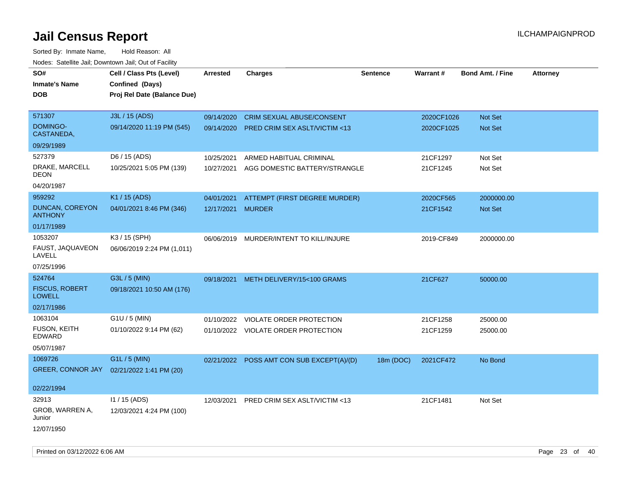Sorted By: Inmate Name, Hold Reason: All Nodes: Satellite Jail; Downtown Jail; Out of Facility

| roacs. Catellite Jall, Downtown Jall, Out of Facility |                             |                   |                                           |                 |            |                         |                 |
|-------------------------------------------------------|-----------------------------|-------------------|-------------------------------------------|-----------------|------------|-------------------------|-----------------|
| SO#                                                   | Cell / Class Pts (Level)    | <b>Arrested</b>   | <b>Charges</b>                            | <b>Sentence</b> | Warrant#   | <b>Bond Amt. / Fine</b> | <b>Attorney</b> |
| <b>Inmate's Name</b>                                  | Confined (Days)             |                   |                                           |                 |            |                         |                 |
| <b>DOB</b>                                            | Proj Rel Date (Balance Due) |                   |                                           |                 |            |                         |                 |
|                                                       |                             |                   |                                           |                 |            |                         |                 |
| 571307                                                | J3L / 15 (ADS)              | 09/14/2020        | <b>CRIM SEXUAL ABUSE/CONSENT</b>          |                 | 2020CF1026 | Not Set                 |                 |
| <b>DOMINGO-</b><br>CASTANEDA,                         | 09/14/2020 11:19 PM (545)   |                   | 09/14/2020 PRED CRIM SEX ASLT/VICTIM <13  |                 | 2020CF1025 | Not Set                 |                 |
| 09/29/1989                                            |                             |                   |                                           |                 |            |                         |                 |
| 527379                                                | D6 / 15 (ADS)               | 10/25/2021        | ARMED HABITUAL CRIMINAL                   |                 | 21CF1297   | Not Set                 |                 |
| DRAKE, MARCELL<br><b>DEON</b>                         | 10/25/2021 5:05 PM (139)    | 10/27/2021        | AGG DOMESTIC BATTERY/STRANGLE             |                 | 21CF1245   | Not Set                 |                 |
| 04/20/1987                                            |                             |                   |                                           |                 |            |                         |                 |
| 959292                                                | K1 / 15 (ADS)               | 04/01/2021        | ATTEMPT (FIRST DEGREE MURDER)             |                 | 2020CF565  | 2000000.00              |                 |
| <b>DUNCAN, COREYON</b><br><b>ANTHONY</b>              | 04/01/2021 8:46 PM (346)    | 12/17/2021 MURDER |                                           |                 | 21CF1542   | Not Set                 |                 |
| 01/17/1989                                            |                             |                   |                                           |                 |            |                         |                 |
| 1053207                                               | K3 / 15 (SPH)               |                   | 06/06/2019 MURDER/INTENT TO KILL/INJURE   |                 | 2019-CF849 | 2000000.00              |                 |
| FAUST, JAQUAVEON<br>LAVELL                            | 06/06/2019 2:24 PM (1,011)  |                   |                                           |                 |            |                         |                 |
| 07/25/1996                                            |                             |                   |                                           |                 |            |                         |                 |
| 524764                                                | G3L / 5 (MIN)               | 09/18/2021        | METH DELIVERY/15<100 GRAMS                |                 | 21CF627    | 50000.00                |                 |
| <b>FISCUS, ROBERT</b><br><b>LOWELL</b>                | 09/18/2021 10:50 AM (176)   |                   |                                           |                 |            |                         |                 |
| 02/17/1986                                            |                             |                   |                                           |                 |            |                         |                 |
| 1063104                                               | $G1U / 5$ (MIN)             | 01/10/2022        | VIOLATE ORDER PROTECTION                  |                 | 21CF1258   | 25000.00                |                 |
| <b>FUSON, KEITH</b><br><b>EDWARD</b>                  | 01/10/2022 9:14 PM (62)     |                   | 01/10/2022 VIOLATE ORDER PROTECTION       |                 | 21CF1259   | 25000.00                |                 |
| 05/07/1987                                            |                             |                   |                                           |                 |            |                         |                 |
| 1069726                                               | G1L / 5 (MIN)               |                   | 02/21/2022 POSS AMT CON SUB EXCEPT(A)/(D) | 18m (DOC)       | 2021CF472  | No Bond                 |                 |
| GREER, CONNOR JAY                                     | 02/21/2022 1:41 PM (20)     |                   |                                           |                 |            |                         |                 |
|                                                       |                             |                   |                                           |                 |            |                         |                 |
| 02/22/1994                                            |                             |                   |                                           |                 |            |                         |                 |
| 32913                                                 | $11 / 15$ (ADS)             |                   | 12/03/2021 PRED CRIM SEX ASLT/VICTIM <13  |                 | 21CF1481   | Not Set                 |                 |
| GROB, WARREN A,<br>Junior                             | 12/03/2021 4:24 PM (100)    |                   |                                           |                 |            |                         |                 |
| 12/07/1950                                            |                             |                   |                                           |                 |            |                         |                 |

Printed on 03/12/2022 6:06 AM Page 23 of 40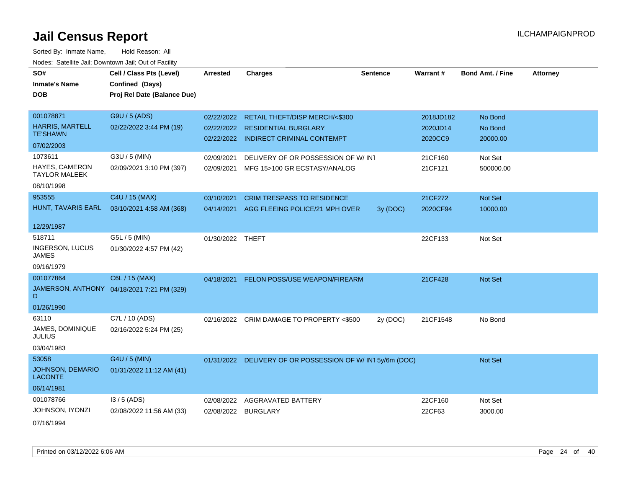| SO#                                       | Cell / Class Pts (Level)                   | <b>Arrested</b>  | <b>Charges</b>                                           | <b>Sentence</b> | <b>Warrant#</b> | <b>Bond Amt. / Fine</b> | <b>Attorney</b> |
|-------------------------------------------|--------------------------------------------|------------------|----------------------------------------------------------|-----------------|-----------------|-------------------------|-----------------|
| <b>Inmate's Name</b>                      | Confined (Days)                            |                  |                                                          |                 |                 |                         |                 |
| <b>DOB</b>                                | Proj Rel Date (Balance Due)                |                  |                                                          |                 |                 |                         |                 |
|                                           |                                            |                  |                                                          |                 |                 |                         |                 |
| 001078871                                 | G9U / 5 (ADS)                              |                  | 02/22/2022 RETAIL THEFT/DISP MERCH/<\$300                |                 | 2018JD182       | No Bond                 |                 |
| <b>HARRIS, MARTELL</b>                    | 02/22/2022 3:44 PM (19)                    |                  | 02/22/2022 RESIDENTIAL BURGLARY                          |                 | 2020JD14        | No Bond                 |                 |
| <b>TE'SHAWN</b>                           |                                            |                  | 02/22/2022 INDIRECT CRIMINAL CONTEMPT                    |                 | 2020CC9         | 20000.00                |                 |
| 07/02/2003                                |                                            |                  |                                                          |                 |                 |                         |                 |
| 1073611                                   | G3U / 5 (MIN)                              | 02/09/2021       | DELIVERY OF OR POSSESSION OF W/INT                       |                 | 21CF160         | Not Set                 |                 |
| HAYES, CAMERON<br><b>TAYLOR MALEEK</b>    | 02/09/2021 3:10 PM (397)                   | 02/09/2021       | MFG 15>100 GR ECSTASY/ANALOG                             |                 | 21CF121         | 500000.00               |                 |
| 08/10/1998                                |                                            |                  |                                                          |                 |                 |                         |                 |
| 953555                                    | C4U / 15 (MAX)                             | 03/10/2021       | <b>CRIM TRESPASS TO RESIDENCE</b>                        |                 | 21CF272         | Not Set                 |                 |
| HUNT, TAVARIS EARL                        | 03/10/2021 4:58 AM (368)                   |                  | 04/14/2021 AGG FLEEING POLICE/21 MPH OVER                | 3y (DOC)        | 2020CF94        | 10000.00                |                 |
| 12/29/1987                                |                                            |                  |                                                          |                 |                 |                         |                 |
| 518711                                    | G5L / 5 (MIN)                              | 01/30/2022 THEFT |                                                          |                 | 22CF133         | Not Set                 |                 |
| INGERSON, LUCUS<br><b>JAMES</b>           | 01/30/2022 4:57 PM (42)                    |                  |                                                          |                 |                 |                         |                 |
| 09/16/1979                                |                                            |                  |                                                          |                 |                 |                         |                 |
| 001077864                                 | C6L / 15 (MAX)                             | 04/18/2021       | FELON POSS/USE WEAPON/FIREARM                            |                 | 21CF428         | Not Set                 |                 |
| D                                         | JAMERSON, ANTHONY 04/18/2021 7:21 PM (329) |                  |                                                          |                 |                 |                         |                 |
| 01/26/1990                                |                                            |                  |                                                          |                 |                 |                         |                 |
| 63110                                     | C7L / 10 (ADS)                             |                  | 02/16/2022 CRIM DAMAGE TO PROPERTY <\$500                | 2y (DOC)        | 21CF1548        | No Bond                 |                 |
| JAMES, DOMINIQUE<br><b>JULIUS</b>         | 02/16/2022 5:24 PM (25)                    |                  |                                                          |                 |                 |                         |                 |
| 03/04/1983                                |                                            |                  |                                                          |                 |                 |                         |                 |
| 53058                                     | G4U / 5 (MIN)                              |                  | 01/31/2022 DELIVERY OF OR POSSESSION OF W/IN15y/6m (DOC) |                 |                 | <b>Not Set</b>          |                 |
| <b>JOHNSON, DEMARIO</b><br><b>LACONTE</b> | 01/31/2022 11:12 AM (41)                   |                  |                                                          |                 |                 |                         |                 |
| 06/14/1981                                |                                            |                  |                                                          |                 |                 |                         |                 |
| 001078766                                 | $13/5$ (ADS)                               | 02/08/2022       | <b>AGGRAVATED BATTERY</b>                                |                 | 22CF160         | Not Set                 |                 |
| JOHNSON, IYONZI                           | 02/08/2022 11:56 AM (33)                   | 02/08/2022       | <b>BURGLARY</b>                                          |                 | 22CF63          | 3000.00                 |                 |
| 07/16/1994                                |                                            |                  |                                                          |                 |                 |                         |                 |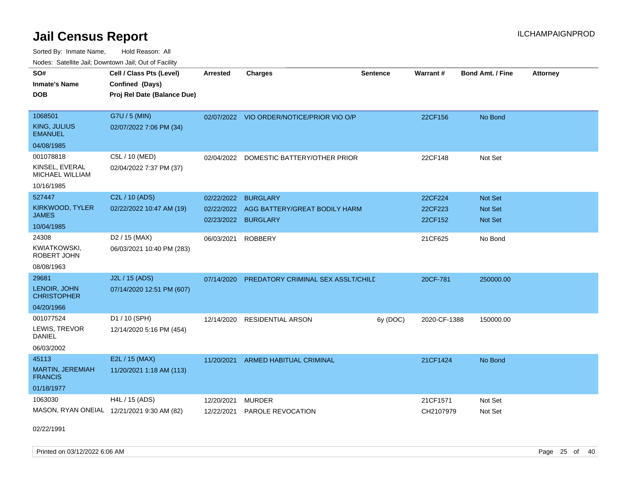Sorted By: Inmate Name, Hold Reason: All Nodes: Satellite Jail; Downtown Jail; Out of Facility

| <u>Houce.</u> Catoling bail, Downtown bail, Out of Fability |                                            |                 |                                           |                 |                 |                         |                 |
|-------------------------------------------------------------|--------------------------------------------|-----------------|-------------------------------------------|-----------------|-----------------|-------------------------|-----------------|
| SO#                                                         | Cell / Class Pts (Level)                   | <b>Arrested</b> | <b>Charges</b>                            | <b>Sentence</b> | <b>Warrant#</b> | <b>Bond Amt. / Fine</b> | <b>Attorney</b> |
| <b>Inmate's Name</b>                                        | Confined (Days)                            |                 |                                           |                 |                 |                         |                 |
| <b>DOB</b>                                                  | Proj Rel Date (Balance Due)                |                 |                                           |                 |                 |                         |                 |
|                                                             |                                            |                 |                                           |                 |                 |                         |                 |
| 1068501                                                     | G7U / 5 (MIN)                              |                 | 02/07/2022 VIO ORDER/NOTICE/PRIOR VIO O/P |                 | 22CF156         | No Bond                 |                 |
| KING, JULIUS<br><b>EMANUEL</b>                              | 02/07/2022 7:06 PM (34)                    |                 |                                           |                 |                 |                         |                 |
| 04/08/1985                                                  |                                            |                 |                                           |                 |                 |                         |                 |
| 001078818                                                   | C5L / 10 (MED)                             | 02/04/2022      | DOMESTIC BATTERY/OTHER PRIOR              |                 | 22CF148         | Not Set                 |                 |
| KINSEL, EVERAL<br>MICHAEL WILLIAM                           | 02/04/2022 7:37 PM (37)                    |                 |                                           |                 |                 |                         |                 |
| 10/16/1985                                                  |                                            |                 |                                           |                 |                 |                         |                 |
| 527447                                                      | C2L / 10 (ADS)                             | 02/22/2022      | <b>BURGLARY</b>                           |                 | 22CF224         | Not Set                 |                 |
| KIRKWOOD, TYLER                                             | 02/22/2022 10:47 AM (19)                   | 02/22/2022      | AGG BATTERY/GREAT BODILY HARM             |                 | 22CF223         | Not Set                 |                 |
| JAMES                                                       |                                            |                 | 02/23/2022 BURGLARY                       |                 | 22CF152         | Not Set                 |                 |
| 10/04/1985                                                  |                                            |                 |                                           |                 |                 |                         |                 |
| 24308                                                       | D <sub>2</sub> / 15 (MAX)                  | 06/03/2021      | <b>ROBBERY</b>                            |                 | 21CF625         | No Bond                 |                 |
| <b>KWIATKOWSKI,</b><br>ROBERT JOHN                          | 06/03/2021 10:40 PM (283)                  |                 |                                           |                 |                 |                         |                 |
| 08/08/1963                                                  |                                            |                 |                                           |                 |                 |                         |                 |
| 29681                                                       | J2L / 15 (ADS)                             | 07/14/2020      | PREDATORY CRIMINAL SEX ASSLT/CHILD        |                 | 20CF-781        | 250000.00               |                 |
| LENOIR, JOHN<br><b>CHRISTOPHER</b>                          | 07/14/2020 12:51 PM (607)                  |                 |                                           |                 |                 |                         |                 |
| 04/20/1966                                                  |                                            |                 |                                           |                 |                 |                         |                 |
| 001077524                                                   | D1 / 10 (SPH)                              | 12/14/2020      | <b>RESIDENTIAL ARSON</b>                  | 6y (DOC)        | 2020-CF-1388    | 150000.00               |                 |
| LEWIS, TREVOR<br>DANIEL                                     | 12/14/2020 5:16 PM (454)                   |                 |                                           |                 |                 |                         |                 |
| 06/03/2002                                                  |                                            |                 |                                           |                 |                 |                         |                 |
| 45113                                                       | E2L / 15 (MAX)                             | 11/20/2021      | ARMED HABITUAL CRIMINAL                   |                 | 21CF1424        | No Bond                 |                 |
| <b>MARTIN, JEREMIAH</b><br><b>FRANCIS</b>                   | 11/20/2021 1:18 AM (113)                   |                 |                                           |                 |                 |                         |                 |
| 01/18/1977                                                  |                                            |                 |                                           |                 |                 |                         |                 |
| 1063030                                                     | H4L / 15 (ADS)                             | 12/20/2021      | <b>MURDER</b>                             |                 | 21CF1571        | Not Set                 |                 |
|                                                             | MASON, RYAN ONEIAL 12/21/2021 9:30 AM (82) | 12/22/2021      | <b>PAROLE REVOCATION</b>                  |                 | CH2107979       | Not Set                 |                 |
|                                                             |                                            |                 |                                           |                 |                 |                         |                 |

02/22/1991

Printed on 03/12/2022 6:06 AM Page 25 of 40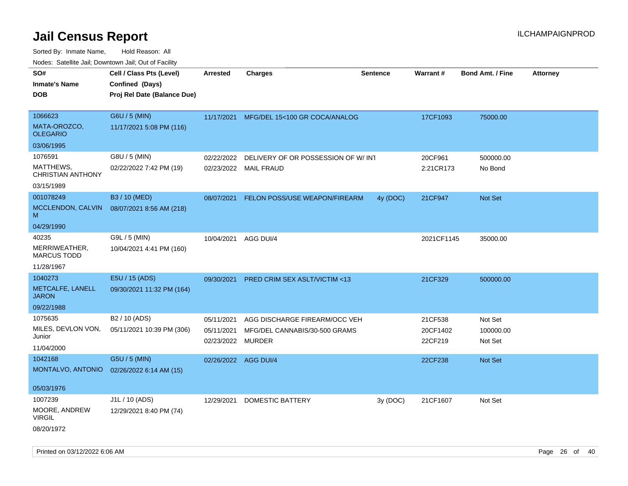| SO#                                   | Cell / Class Pts (Level)    | <b>Arrested</b>      | <b>Charges</b>                          | <b>Sentence</b> | <b>Warrant#</b> | <b>Bond Amt. / Fine</b> | <b>Attorney</b> |
|---------------------------------------|-----------------------------|----------------------|-----------------------------------------|-----------------|-----------------|-------------------------|-----------------|
| <b>Inmate's Name</b>                  | Confined (Days)             |                      |                                         |                 |                 |                         |                 |
| <b>DOB</b>                            | Proj Rel Date (Balance Due) |                      |                                         |                 |                 |                         |                 |
|                                       |                             |                      |                                         |                 |                 |                         |                 |
| 1066623                               | G6U / 5 (MIN)               | 11/17/2021           | MFG/DEL 15<100 GR COCA/ANALOG           |                 | 17CF1093        | 75000.00                |                 |
| MATA-OROZCO,<br><b>OLEGARIO</b>       | 11/17/2021 5:08 PM (116)    |                      |                                         |                 |                 |                         |                 |
| 03/06/1995                            |                             |                      |                                         |                 |                 |                         |                 |
| 1076591                               | G8U / 5 (MIN)               | 02/22/2022           | DELIVERY OF OR POSSESSION OF W/INT      |                 | 20CF961         | 500000.00               |                 |
| MATTHEWS,<br><b>CHRISTIAN ANTHONY</b> | 02/22/2022 7:42 PM (19)     |                      | 02/23/2022 MAIL FRAUD                   |                 | 2:21CR173       | No Bond                 |                 |
| 03/15/1989                            |                             |                      |                                         |                 |                 |                         |                 |
| 001078249                             | B3 / 10 (MED)               | 08/07/2021           | FELON POSS/USE WEAPON/FIREARM           | 4y (DOC)        | 21CF947         | Not Set                 |                 |
| MCCLENDON, CALVIN<br>M                | 08/07/2021 8:56 AM (218)    |                      |                                         |                 |                 |                         |                 |
| 04/29/1990                            |                             |                      |                                         |                 |                 |                         |                 |
| 40235                                 | G9L / 5 (MIN)               | 10/04/2021           | AGG DUI/4                               |                 | 2021CF1145      | 35000.00                |                 |
| MERRIWEATHER,<br><b>MARCUS TODD</b>   | 10/04/2021 4:41 PM (160)    |                      |                                         |                 |                 |                         |                 |
| 11/28/1967                            |                             |                      |                                         |                 |                 |                         |                 |
| 1040273                               | E5U / 15 (ADS)              | 09/30/2021           | <b>PRED CRIM SEX ASLT/VICTIM &lt;13</b> |                 | 21CF329         | 500000.00               |                 |
| METCALFE, LANELL<br><b>JARON</b>      | 09/30/2021 11:32 PM (164)   |                      |                                         |                 |                 |                         |                 |
| 09/22/1988                            |                             |                      |                                         |                 |                 |                         |                 |
| 1075635                               | B2 / 10 (ADS)               | 05/11/2021           | AGG DISCHARGE FIREARM/OCC VEH           |                 | 21CF538         | Not Set                 |                 |
| MILES, DEVLON VON,                    | 05/11/2021 10:39 PM (306)   | 05/11/2021           | MFG/DEL CANNABIS/30-500 GRAMS           |                 | 20CF1402        | 100000.00               |                 |
| Junior                                |                             | 02/23/2022           | <b>MURDER</b>                           |                 | 22CF219         | Not Set                 |                 |
| 11/04/2000                            |                             |                      |                                         |                 |                 |                         |                 |
| 1042168                               | G5U / 5 (MIN)               | 02/26/2022 AGG DUI/4 |                                         |                 | 22CF238         | <b>Not Set</b>          |                 |
| MONTALVO, ANTONIO                     | 02/26/2022 6:14 AM (15)     |                      |                                         |                 |                 |                         |                 |
| 05/03/1976                            |                             |                      |                                         |                 |                 |                         |                 |
| 1007239                               | J1L / 10 (ADS)              | 12/29/2021           | <b>DOMESTIC BATTERY</b>                 | 3y (DOC)        | 21CF1607        | Not Set                 |                 |
| MOORE, ANDREW<br><b>VIRGIL</b>        | 12/29/2021 8:40 PM (74)     |                      |                                         |                 |                 |                         |                 |
| 08/20/1972                            |                             |                      |                                         |                 |                 |                         |                 |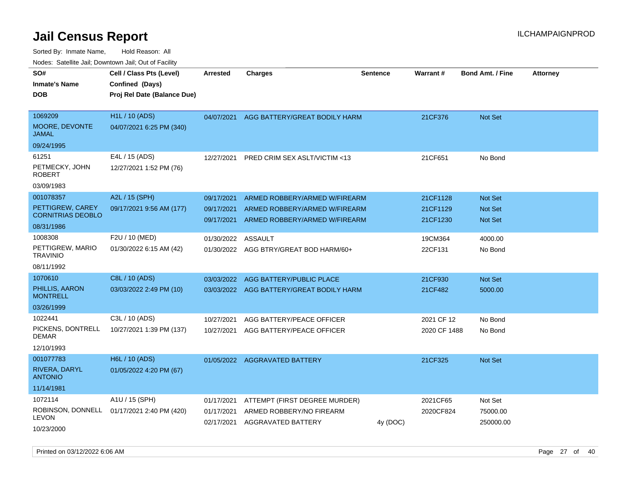Sorted By: Inmate Name, Hold Reason: All Nodes: Satellite Jail; Downtown Jail; Out of Facility

| rouco. Calcinic Jan, Downtown Jan, Out of Facility         |                                                                            |                                        |                                                                                 |                 |                       |                                  |                 |
|------------------------------------------------------------|----------------------------------------------------------------------------|----------------------------------------|---------------------------------------------------------------------------------|-----------------|-----------------------|----------------------------------|-----------------|
| SO#<br>Inmate's Name<br><b>DOB</b>                         | Cell / Class Pts (Level)<br>Confined (Days)<br>Proj Rel Date (Balance Due) | <b>Arrested</b>                        | Charges                                                                         | <b>Sentence</b> | Warrant#              | <b>Bond Amt. / Fine</b>          | <b>Attorney</b> |
| 1069209<br>MOORE, DEVONTE<br>JAMAL                         | H1L / 10 (ADS)<br>04/07/2021 6:25 PM (340)                                 | 04/07/2021                             | AGG BATTERY/GREAT BODILY HARM                                                   |                 | 21CF376               | Not Set                          |                 |
| 09/24/1995                                                 |                                                                            |                                        |                                                                                 |                 |                       |                                  |                 |
| 61251<br>PETMECKY, JOHN<br>ROBERT                          | E4L / 15 (ADS)<br>12/27/2021 1:52 PM (76)                                  | 12/27/2021                             | PRED CRIM SEX ASLT/VICTIM <13                                                   |                 | 21CF651               | No Bond                          |                 |
| 03/09/1983                                                 |                                                                            |                                        |                                                                                 |                 |                       |                                  |                 |
| 001078357<br>PETTIGREW, CAREY<br><b>CORNITRIAS DEOBLO</b>  | A2L / 15 (SPH)<br>09/17/2021 9:56 AM (177)                                 | 09/17/2021<br>09/17/2021               | ARMED ROBBERY/ARMED W/FIREARM<br>ARMED ROBBERY/ARMED W/FIREARM                  |                 | 21CF1128<br>21CF1129  | <b>Not Set</b><br><b>Not Set</b> |                 |
| 08/31/1986                                                 |                                                                            | 09/17/2021                             | ARMED ROBBERY/ARMED W/FIREARM                                                   |                 | 21CF1230              | <b>Not Set</b>                   |                 |
| 1008308<br>PETTIGREW, MARIO<br>TRAVINIO                    | F2U / 10 (MED)<br>01/30/2022 6:15 AM (42)                                  | 01/30/2022<br>01/30/2022               | ASSAULT<br>AGG BTRY/GREAT BOD HARM/60+                                          |                 | 19CM364<br>22CF131    | 4000.00<br>No Bond               |                 |
| 08/11/1992                                                 |                                                                            |                                        |                                                                                 |                 |                       |                                  |                 |
| 1070610<br>PHILLIS, AARON<br><b>MONTRELL</b><br>03/26/1999 | C8L / 10 (ADS)<br>03/03/2022 2:49 PM (10)                                  | 03/03/2022<br>03/03/2022               | AGG BATTERY/PUBLIC PLACE<br>AGG BATTERY/GREAT BODILY HARM                       |                 | 21CF930<br>21CF482    | <b>Not Set</b><br>5000.00        |                 |
| 1022441                                                    | C3L / 10 (ADS)                                                             | 10/27/2021                             | AGG BATTERY/PEACE OFFICER                                                       |                 | 2021 CF 12            | No Bond                          |                 |
| PICKENS, DONTRELL<br>DEMAR                                 | 10/27/2021 1:39 PM (137)                                                   | 10/27/2021                             | AGG BATTERY/PEACE OFFICER                                                       |                 | 2020 CF 1488          | No Bond                          |                 |
| 12/10/1993                                                 |                                                                            |                                        |                                                                                 |                 |                       |                                  |                 |
| 001077783<br>RIVERA, DARYL<br><b>ANTONIO</b>               | H6L / 10 (ADS)<br>01/05/2022 4:20 PM (67)                                  | 01/05/2022                             | <b>AGGRAVATED BATTERY</b>                                                       |                 | 21CF325               | <b>Not Set</b>                   |                 |
| 11/14/1981                                                 |                                                                            |                                        |                                                                                 |                 |                       |                                  |                 |
| 1072114<br>LEVON<br>10/23/2000                             | A1U / 15 (SPH)<br>ROBINSON, DONNELL 01/17/2021 2:40 PM (420)               | 01/17/2021<br>01/17/2021<br>02/17/2021 | ATTEMPT (FIRST DEGREE MURDER)<br>ARMED ROBBERY/NO FIREARM<br>AGGRAVATED BATTERY | 4y (DOC)        | 2021CF65<br>2020CF824 | Not Set<br>75000.00<br>250000.00 |                 |

Printed on 03/12/2022 6:06 AM Page 27 of 40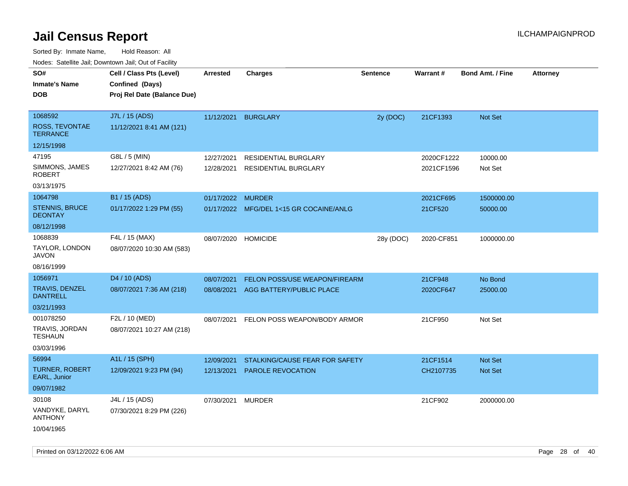|                                                                      | ivouss. Satellite Jali, Downtown Jali, Out of Facility                     |                          |                                                           |                 |                          |                                  |                 |
|----------------------------------------------------------------------|----------------------------------------------------------------------------|--------------------------|-----------------------------------------------------------|-----------------|--------------------------|----------------------------------|-----------------|
| SO#<br>Inmate's Name<br><b>DOB</b>                                   | Cell / Class Pts (Level)<br>Confined (Days)<br>Proj Rel Date (Balance Due) | Arrested                 | <b>Charges</b>                                            | <b>Sentence</b> | <b>Warrant#</b>          | <b>Bond Amt. / Fine</b>          | <b>Attorney</b> |
| 1068592<br>ROSS, TEVONTAE<br><b>TERRANCE</b>                         | J7L / 15 (ADS)<br>11/12/2021 8:41 AM (121)                                 | 11/12/2021               | <b>BURGLARY</b>                                           | 2y (DOC)        | 21CF1393                 | Not Set                          |                 |
| 12/15/1998<br>47195<br>SIMMONS, JAMES<br><b>ROBERT</b><br>03/13/1975 | G8L / 5 (MIN)<br>12/27/2021 8:42 AM (76)                                   | 12/27/2021<br>12/28/2021 | RESIDENTIAL BURGLARY<br><b>RESIDENTIAL BURGLARY</b>       |                 | 2020CF1222<br>2021CF1596 | 10000.00<br>Not Set              |                 |
| 1064798<br><b>STENNIS, BRUCE</b><br><b>DEONTAY</b><br>08/12/1998     | B1 / 15 (ADS)<br>01/17/2022 1:29 PM (55)                                   | 01/17/2022 MURDER        | 01/17/2022 MFG/DEL 1<15 GR COCAINE/ANLG                   |                 | 2021CF695<br>21CF520     | 1500000.00<br>50000.00           |                 |
| 1068839<br>TAYLOR, LONDON<br>JAVON<br>08/16/1999                     | F4L / 15 (MAX)<br>08/07/2020 10:30 AM (583)                                | 08/07/2020               | <b>HOMICIDE</b>                                           | 28y (DOC)       | 2020-CF851               | 1000000.00                       |                 |
| 1056971<br>TRAVIS, DENZEL<br><b>DANTRELL</b><br>03/21/1993           | D <sub>4</sub> / 10 (ADS)<br>08/07/2021 7:36 AM (218)                      | 08/07/2021<br>08/08/2021 | FELON POSS/USE WEAPON/FIREARM<br>AGG BATTERY/PUBLIC PLACE |                 | 21CF948<br>2020CF647     | No Bond<br>25000.00              |                 |
| 001078250<br>TRAVIS, JORDAN<br>TESHAUN<br>03/03/1996                 | F2L / 10 (MED)<br>08/07/2021 10:27 AM (218)                                | 08/07/2021               | FELON POSS WEAPON/BODY ARMOR                              |                 | 21CF950                  | Not Set                          |                 |
| 56994<br>TURNER, ROBERT<br>EARL, Junior<br>09/07/1982                | A1L / 15 (SPH)<br>12/09/2021 9:23 PM (94)                                  | 12/09/2021<br>12/13/2021 | STALKING/CAUSE FEAR FOR SAFETY<br>PAROLE REVOCATION       |                 | 21CF1514<br>CH2107735    | <b>Not Set</b><br><b>Not Set</b> |                 |
| 30108<br>VANDYKE, DARYL<br><b>ANTHONY</b><br>10/04/1965              | J4L / 15 (ADS)<br>07/30/2021 8:29 PM (226)                                 | 07/30/2021               | <b>MURDER</b>                                             |                 | 21CF902                  | 2000000.00                       |                 |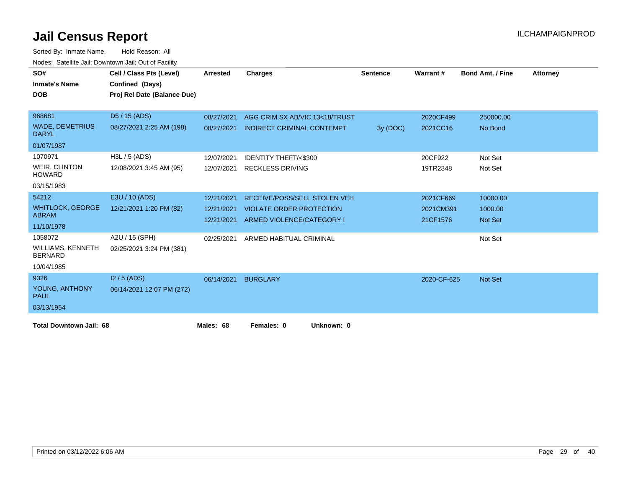| SO#<br><b>Inmate's Name</b><br><b>DOB</b>  | Cell / Class Pts (Level)<br>Confined (Days) | Arrested   | <b>Charges</b>                      | <b>Sentence</b> | Warrant#    | <b>Bond Amt. / Fine</b> | <b>Attorney</b> |
|--------------------------------------------|---------------------------------------------|------------|-------------------------------------|-----------------|-------------|-------------------------|-----------------|
|                                            | Proj Rel Date (Balance Due)                 |            |                                     |                 |             |                         |                 |
| 968681                                     | D5 / 15 (ADS)                               | 08/27/2021 | AGG CRIM SX AB/VIC 13<18/TRUST      |                 | 2020CF499   | 250000.00               |                 |
| <b>WADE, DEMETRIUS</b><br><b>DARYL</b>     | 08/27/2021 2:25 AM (198)                    | 08/27/2021 | <b>INDIRECT CRIMINAL CONTEMPT</b>   | 3y (DOC)        | 2021CC16    | No Bond                 |                 |
| 01/07/1987                                 |                                             |            |                                     |                 |             |                         |                 |
| 1070971                                    | H3L / 5 (ADS)                               | 12/07/2021 | <b>IDENTITY THEFT/&lt;\$300</b>     |                 | 20CF922     | Not Set                 |                 |
| <b>WEIR, CLINTON</b><br><b>HOWARD</b>      | 12/08/2021 3:45 AM (95)                     |            | 12/07/2021 RECKLESS DRIVING         |                 | 19TR2348    | Not Set                 |                 |
| 03/15/1983                                 |                                             |            |                                     |                 |             |                         |                 |
| 54212                                      | E3U / 10 (ADS)                              | 12/21/2021 | <b>RECEIVE/POSS/SELL STOLEN VEH</b> |                 | 2021CF669   | 10000.00                |                 |
| <b>WHITLOCK, GEORGE</b>                    | 12/21/2021 1:20 PM (82)                     | 12/21/2021 | <b>VIOLATE ORDER PROTECTION</b>     |                 | 2021CM391   | 1000.00                 |                 |
| <b>ABRAM</b>                               |                                             | 12/21/2021 | ARMED VIOLENCE/CATEGORY I           |                 | 21CF1576    | <b>Not Set</b>          |                 |
| 11/10/1978                                 |                                             |            |                                     |                 |             |                         |                 |
| 1058072                                    | A2U / 15 (SPH)                              | 02/25/2021 | ARMED HABITUAL CRIMINAL             |                 |             | Not Set                 |                 |
| <b>WILLIAMS, KENNETH</b><br><b>BERNARD</b> | 02/25/2021 3:24 PM (381)                    |            |                                     |                 |             |                         |                 |
| 10/04/1985                                 |                                             |            |                                     |                 |             |                         |                 |
| 9326                                       | $12/5$ (ADS)                                | 06/14/2021 | <b>BURGLARY</b>                     |                 | 2020-CF-625 | <b>Not Set</b>          |                 |
| YOUNG, ANTHONY<br><b>PAUL</b>              | 06/14/2021 12:07 PM (272)                   |            |                                     |                 |             |                         |                 |
| 03/13/1954                                 |                                             |            |                                     |                 |             |                         |                 |
| <b>Total Downtown Jail: 68</b>             |                                             | Males: 68  | Females: 0<br>Unknown: 0            |                 |             |                         |                 |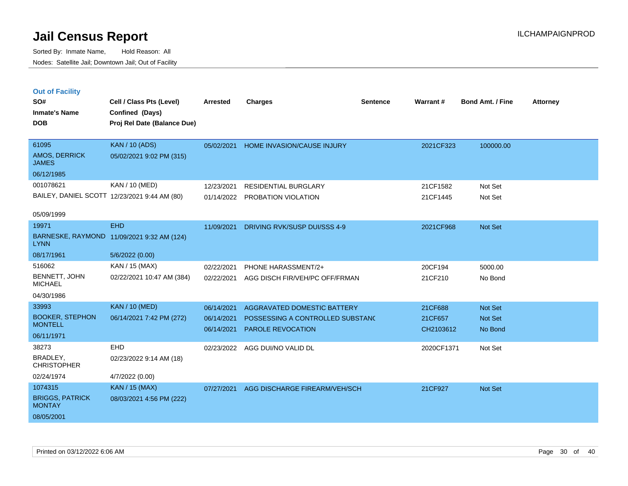Sorted By: Inmate Name, Hold Reason: All Nodes: Satellite Jail; Downtown Jail; Out of Facility

| <b>Out of Facility</b> |                             |
|------------------------|-----------------------------|
| SO#                    | Cell / Class Pts (Level)    |
| <b>Inmate's Name</b>   | Confined (Days)             |
| DOB                    | Proj Rel Date (Balance Due) |
|                        |                             |

| DOR                             | Proj Rei Date (Balance Due)                  |            |                                   |            |                |
|---------------------------------|----------------------------------------------|------------|-----------------------------------|------------|----------------|
| 61095                           | <b>KAN / 10 (ADS)</b>                        | 05/02/2021 | <b>HOME INVASION/CAUSE INJURY</b> | 2021CF323  | 100000.00      |
| AMOS, DERRICK<br><b>JAMES</b>   | 05/02/2021 9:02 PM (315)                     |            |                                   |            |                |
| 06/12/1985                      |                                              |            |                                   |            |                |
| 001078621                       | KAN / 10 (MED)                               | 12/23/2021 | <b>RESIDENTIAL BURGLARY</b>       | 21CF1582   | Not Set        |
|                                 | BAILEY, DANIEL SCOTT 12/23/2021 9:44 AM (80) | 01/14/2022 | PROBATION VIOLATION               | 21CF1445   | Not Set        |
| 05/09/1999                      |                                              |            |                                   |            |                |
| 19971                           | <b>EHD</b>                                   | 11/09/2021 | DRIVING RVK/SUSP DUI/SSS 4-9      | 2021CF968  | <b>Not Set</b> |
| <b>LYNN</b>                     | BARNESKE, RAYMOND 11/09/2021 9:32 AM (124)   |            |                                   |            |                |
| 08/17/1961                      | 5/6/2022 (0.00)                              |            |                                   |            |                |
| 516062                          | KAN / 15 (MAX)                               | 02/22/2021 | PHONE HARASSMENT/2+               | 20CF194    | 5000.00        |
| BENNETT, JOHN<br><b>MICHAEL</b> | 02/22/2021 10:47 AM (384)                    | 02/22/2021 | AGG DISCH FIR/VEH/PC OFF/FRMAN    | 21CF210    | No Bond        |
| 04/30/1986                      |                                              |            |                                   |            |                |
| 33993                           | <b>KAN / 10 (MED)</b>                        | 06/14/2021 | AGGRAVATED DOMESTIC BATTERY       | 21CF688    | <b>Not Set</b> |
| <b>BOOKER, STEPHON</b>          | 06/14/2021 7:42 PM (272)                     | 06/14/2021 | POSSESSING A CONTROLLED SUBSTANC  | 21CF657    | <b>Not Set</b> |
| <b>MONTELL</b>                  |                                              | 06/14/2021 | <b>PAROLE REVOCATION</b>          | CH2103612  | No Bond        |
| 06/11/1971                      |                                              |            |                                   |            |                |
| 38273                           | <b>EHD</b>                                   | 02/23/2022 | AGG DUI/NO VALID DL               | 2020CF1371 | Not Set        |
| BRADLEY.<br><b>CHRISTOPHER</b>  | 02/23/2022 9:14 AM (18)                      |            |                                   |            |                |
| 02/24/1974                      | 4/7/2022 (0.00)                              |            |                                   |            |                |
| 1074315                         | <b>KAN / 15 (MAX)</b>                        | 07/27/2021 | AGG DISCHARGE FIREARM/VEH/SCH     | 21CF927    | <b>Not Set</b> |

**Cell / Class Pts (Level) Arrested Charges Warrant # Bond Amt. / Fine Attorney**

**Sentence**

MONTAY 08/05/2001

BRIGGS, PATRICK

08/03/2021 4:56 PM (222)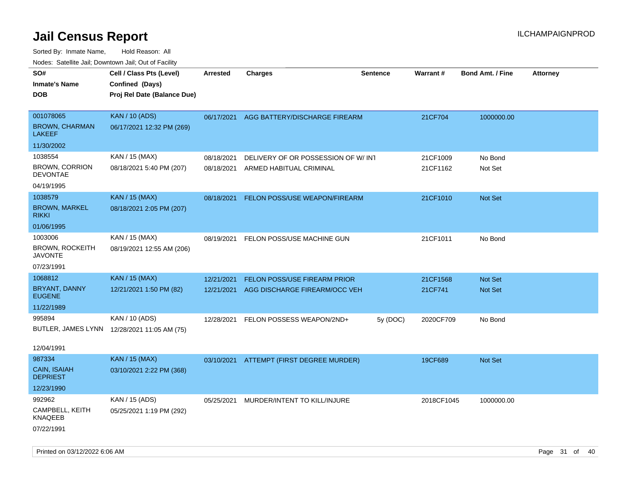| roaco. Calcinio dan, Downtown dan, Cal or Fability |                                                                            |                 |                                          |                 |                 |                         |                 |
|----------------------------------------------------|----------------------------------------------------------------------------|-----------------|------------------------------------------|-----------------|-----------------|-------------------------|-----------------|
| SO#<br>Inmate's Name<br>DOB                        | Cell / Class Pts (Level)<br>Confined (Days)<br>Proj Rel Date (Balance Due) | <b>Arrested</b> | <b>Charges</b>                           | <b>Sentence</b> | <b>Warrant#</b> | <b>Bond Amt. / Fine</b> | <b>Attorney</b> |
| 001078065<br><b>BROWN, CHARMAN</b>                 | <b>KAN / 10 (ADS)</b><br>06/17/2021 12:32 PM (269)                         |                 | 06/17/2021 AGG BATTERY/DISCHARGE FIREARM |                 | 21CF704         | 1000000.00              |                 |
| LAKEEF                                             |                                                                            |                 |                                          |                 |                 |                         |                 |
| 11/30/2002                                         |                                                                            |                 |                                          |                 |                 |                         |                 |
| 1038554                                            | KAN / 15 (MAX)                                                             | 08/18/2021      | DELIVERY OF OR POSSESSION OF W/INT       |                 | 21CF1009        | No Bond                 |                 |
| <b>BROWN, CORRION</b><br><b>DEVONTAE</b>           | 08/18/2021 5:40 PM (207)                                                   | 08/18/2021      | ARMED HABITUAL CRIMINAL                  |                 | 21CF1162        | Not Set                 |                 |
| 04/19/1995                                         |                                                                            |                 |                                          |                 |                 |                         |                 |
| 1038579                                            | <b>KAN / 15 (MAX)</b>                                                      | 08/18/2021      | FELON POSS/USE WEAPON/FIREARM            |                 | 21CF1010        | <b>Not Set</b>          |                 |
| <b>BROWN, MARKEL</b><br>rikki                      | 08/18/2021 2:05 PM (207)                                                   |                 |                                          |                 |                 |                         |                 |
| 01/06/1995                                         |                                                                            |                 |                                          |                 |                 |                         |                 |
| 1003006                                            | KAN / 15 (MAX)                                                             | 08/19/2021      | FELON POSS/USE MACHINE GUN               |                 | 21CF1011        | No Bond                 |                 |
| BROWN, ROCKEITH<br><b>JAVONTE</b>                  | 08/19/2021 12:55 AM (206)                                                  |                 |                                          |                 |                 |                         |                 |
| 07/23/1991                                         |                                                                            |                 |                                          |                 |                 |                         |                 |
| 1068812                                            | <b>KAN</b> / 15 (MAX)                                                      | 12/21/2021      | FELON POSS/USE FIREARM PRIOR             |                 | 21CF1568        | <b>Not Set</b>          |                 |
| BRYANT, DANNY<br><b>EUGENE</b>                     | 12/21/2021 1:50 PM (82)                                                    | 12/21/2021      | AGG DISCHARGE FIREARM/OCC VEH            |                 | 21CF741         | <b>Not Set</b>          |                 |
| 11/22/1989                                         |                                                                            |                 |                                          |                 |                 |                         |                 |
| 995894                                             | KAN / 10 (ADS)                                                             | 12/28/2021      | FELON POSSESS WEAPON/2ND+                | 5y (DOC)        | 2020CF709       | No Bond                 |                 |
|                                                    | BUTLER, JAMES LYNN 12/28/2021 11:05 AM (75)                                |                 |                                          |                 |                 |                         |                 |
| 12/04/1991                                         |                                                                            |                 |                                          |                 |                 |                         |                 |
| 987334                                             | <b>KAN / 15 (MAX)</b>                                                      |                 | 03/10/2021 ATTEMPT (FIRST DEGREE MURDER) |                 | 19CF689         | <b>Not Set</b>          |                 |
| CAIN, ISAIAH<br>DEPRIEST                           | 03/10/2021 2:22 PM (368)                                                   |                 |                                          |                 |                 |                         |                 |
| 12/23/1990                                         |                                                                            |                 |                                          |                 |                 |                         |                 |
| 992962                                             | KAN / 15 (ADS)                                                             | 05/25/2021      | MURDER/INTENT TO KILL/INJURE             |                 | 2018CF1045      | 1000000.00              |                 |
| CAMPBELL, KEITH<br>KNAQEEB                         | 05/25/2021 1:19 PM (292)                                                   |                 |                                          |                 |                 |                         |                 |
| 07/22/1991                                         |                                                                            |                 |                                          |                 |                 |                         |                 |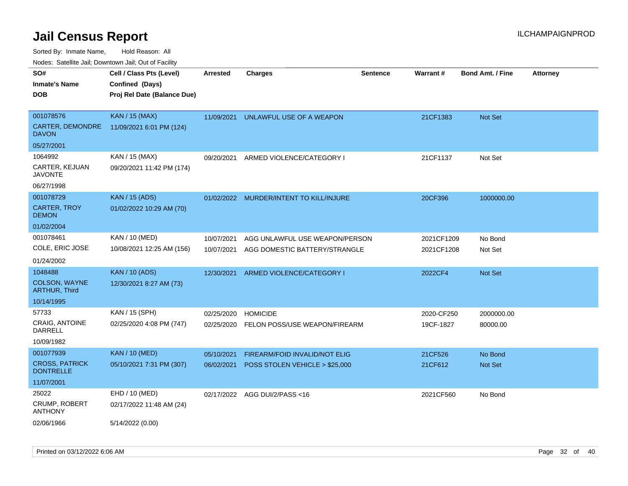Sorted By: Inmate Name, Hold Reason: All

Nodes: Satellite Jail; Downtown Jail; Out of Facility

| SO#                                       | Cell / Class Pts (Level)    | <b>Arrested</b> | <b>Charges</b>                       | <b>Sentence</b> | Warrant#   | <b>Bond Amt. / Fine</b> | <b>Attorney</b> |
|-------------------------------------------|-----------------------------|-----------------|--------------------------------------|-----------------|------------|-------------------------|-----------------|
| <b>Inmate's Name</b>                      | Confined (Days)             |                 |                                      |                 |            |                         |                 |
| <b>DOB</b>                                | Proj Rel Date (Balance Due) |                 |                                      |                 |            |                         |                 |
|                                           |                             |                 |                                      |                 |            |                         |                 |
| 001078576                                 | <b>KAN / 15 (MAX)</b>       | 11/09/2021      | UNLAWFUL USE OF A WEAPON             |                 | 21CF1383   | <b>Not Set</b>          |                 |
| CARTER, DEMONDRE<br><b>DAVON</b>          | 11/09/2021 6:01 PM (124)    |                 |                                      |                 |            |                         |                 |
| 05/27/2001                                |                             |                 |                                      |                 |            |                         |                 |
| 1064992                                   | KAN / 15 (MAX)              | 09/20/2021      | ARMED VIOLENCE/CATEGORY I            |                 | 21CF1137   | Not Set                 |                 |
| CARTER, KEJUAN<br><b>JAVONTE</b>          | 09/20/2021 11:42 PM (174)   |                 |                                      |                 |            |                         |                 |
| 06/27/1998                                |                             |                 |                                      |                 |            |                         |                 |
| 001078729                                 | <b>KAN</b> / 15 (ADS)       | 01/02/2022      | MURDER/INTENT TO KILL/INJURE         |                 | 20CF396    | 1000000.00              |                 |
| <b>CARTER, TROY</b><br><b>DEMON</b>       | 01/02/2022 10:29 AM (70)    |                 |                                      |                 |            |                         |                 |
| 01/02/2004                                |                             |                 |                                      |                 |            |                         |                 |
| 001078461                                 | KAN / 10 (MED)              | 10/07/2021      | AGG UNLAWFUL USE WEAPON/PERSON       |                 | 2021CF1209 | No Bond                 |                 |
| COLE, ERIC JOSE                           | 10/08/2021 12:25 AM (156)   | 10/07/2021      | AGG DOMESTIC BATTERY/STRANGLE        |                 | 2021CF1208 | Not Set                 |                 |
| 01/24/2002                                |                             |                 |                                      |                 |            |                         |                 |
| 1048488                                   | <b>KAN / 10 (ADS)</b>       | 12/30/2021      | ARMED VIOLENCE/CATEGORY I            |                 | 2022CF4    | Not Set                 |                 |
| COLSON, WAYNE<br><b>ARTHUR, Third</b>     | 12/30/2021 8:27 AM (73)     |                 |                                      |                 |            |                         |                 |
| 10/14/1995                                |                             |                 |                                      |                 |            |                         |                 |
| 57733                                     | KAN / 15 (SPH)              | 02/25/2020      | <b>HOMICIDE</b>                      |                 | 2020-CF250 | 2000000.00              |                 |
| <b>CRAIG, ANTOINE</b><br>DARRELL          | 02/25/2020 4:08 PM (747)    | 02/25/2020      | FELON POSS/USE WEAPON/FIREARM        |                 | 19CF-1827  | 80000.00                |                 |
| 10/09/1982                                |                             |                 |                                      |                 |            |                         |                 |
| 001077939                                 | <b>KAN / 10 (MED)</b>       | 05/10/2021      | <b>FIREARM/FOID INVALID/NOT ELIG</b> |                 | 21CF526    | No Bond                 |                 |
| <b>CROSS, PATRICK</b><br><b>DONTRELLE</b> | 05/10/2021 7:31 PM (307)    | 06/02/2021      | POSS STOLEN VEHICLE > \$25,000       |                 | 21CF612    | Not Set                 |                 |
| 11/07/2001                                |                             |                 |                                      |                 |            |                         |                 |
| 25022                                     | EHD / 10 (MED)              |                 | 02/17/2022 AGG DUI/2/PASS<16         |                 | 2021CF560  | No Bond                 |                 |
| CRUMP, ROBERT<br><b>ANTHONY</b>           | 02/17/2022 11:48 AM (24)    |                 |                                      |                 |            |                         |                 |
| 02/06/1966                                | 5/14/2022 (0.00)            |                 |                                      |                 |            |                         |                 |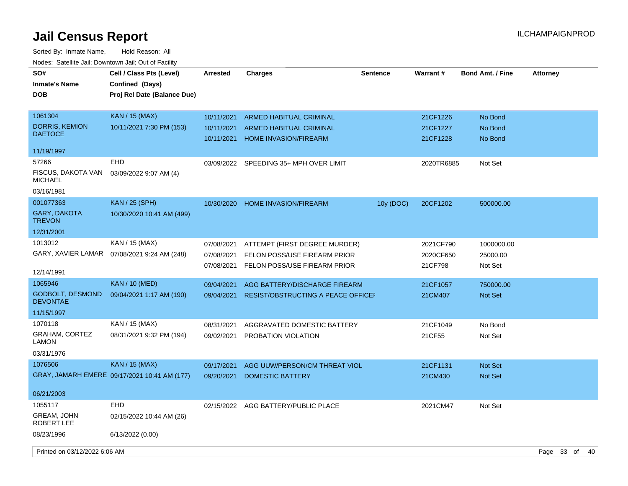| SO#<br><b>Inmate's Name</b><br><b>DOB</b>  | Cell / Class Pts (Level)<br>Confined (Days)<br>Proj Rel Date (Balance Due) | <b>Arrested</b>          | <b>Charges</b>                                                 | <b>Sentence</b> | Warrant#             | <b>Bond Amt. / Fine</b> | <b>Attorney</b>   |
|--------------------------------------------|----------------------------------------------------------------------------|--------------------------|----------------------------------------------------------------|-----------------|----------------------|-------------------------|-------------------|
| 1061304                                    | <b>KAN / 15 (MAX)</b>                                                      | 10/11/2021               | <b>ARMED HABITUAL CRIMINAL</b>                                 |                 | 21CF1226             | No Bond                 |                   |
| <b>DORRIS, KEMION</b><br><b>DAETOCE</b>    | 10/11/2021 7:30 PM (153)                                                   | 10/11/2021<br>10/11/2021 | <b>ARMED HABITUAL CRIMINAL</b><br><b>HOME INVASION/FIREARM</b> |                 | 21CF1227<br>21CF1228 | No Bond<br>No Bond      |                   |
| 11/19/1997                                 |                                                                            |                          |                                                                |                 |                      |                         |                   |
| 57266                                      | <b>EHD</b>                                                                 | 03/09/2022               | SPEEDING 35+ MPH OVER LIMIT                                    |                 | 2020TR6885           | Not Set                 |                   |
| FISCUS, DAKOTA VAN<br><b>MICHAEL</b>       | 03/09/2022 9:07 AM (4)                                                     |                          |                                                                |                 |                      |                         |                   |
| 03/16/1981                                 |                                                                            |                          |                                                                |                 |                      |                         |                   |
| 001077363                                  | <b>KAN / 25 (SPH)</b>                                                      | 10/30/2020               | <b>HOME INVASION/FIREARM</b>                                   | 10y (DOC)       | 20CF1202             | 500000.00               |                   |
| GARY, DAKOTA<br><b>TREVON</b>              | 10/30/2020 10:41 AM (499)                                                  |                          |                                                                |                 |                      |                         |                   |
| 12/31/2001                                 |                                                                            |                          |                                                                |                 |                      |                         |                   |
| 1013012                                    | KAN / 15 (MAX)                                                             | 07/08/2021               | ATTEMPT (FIRST DEGREE MURDER)                                  |                 | 2021CF790            | 1000000.00              |                   |
| GARY, XAVIER LAMAR                         | 07/08/2021 9:24 AM (248)                                                   | 07/08/2021               | FELON POSS/USE FIREARM PRIOR                                   |                 | 2020CF650            | 25000.00                |                   |
| 12/14/1991                                 |                                                                            | 07/08/2021               | FELON POSS/USE FIREARM PRIOR                                   |                 | 21CF798              | Not Set                 |                   |
| 1065946                                    | <b>KAN</b> / 10 (MED)                                                      | 09/04/2021               | AGG BATTERY/DISCHARGE FIREARM                                  |                 | 21CF1057             | 750000.00               |                   |
| <b>GODBOLT, DESMOND</b><br><b>DEVONTAE</b> | 09/04/2021 1:17 AM (190)                                                   | 09/04/2021               | RESIST/OBSTRUCTING A PEACE OFFICEI                             |                 | 21CM407              | <b>Not Set</b>          |                   |
| 11/15/1997                                 |                                                                            |                          |                                                                |                 |                      |                         |                   |
| 1070118                                    | KAN / 15 (MAX)                                                             | 08/31/2021               | AGGRAVATED DOMESTIC BATTERY                                    |                 | 21CF1049             | No Bond                 |                   |
| <b>GRAHAM, CORTEZ</b><br>LAMON             | 08/31/2021 9:32 PM (194)                                                   | 09/02/2021               | PROBATION VIOLATION                                            |                 | 21CF55               | Not Set                 |                   |
| 03/31/1976                                 |                                                                            |                          |                                                                |                 |                      |                         |                   |
| 1076506                                    | <b>KAN / 15 (MAX)</b>                                                      | 09/17/2021               | AGG UUW/PERSON/CM THREAT VIOL                                  |                 | 21CF1131             | Not Set                 |                   |
|                                            | GRAY, JAMARH EMERE 09/17/2021 10:41 AM (177)                               | 09/20/2021               | <b>DOMESTIC BATTERY</b>                                        |                 | 21CM430              | Not Set                 |                   |
| 06/21/2003                                 |                                                                            |                          |                                                                |                 |                      |                         |                   |
| 1055117                                    | <b>EHD</b>                                                                 | 02/15/2022               | AGG BATTERY/PUBLIC PLACE                                       |                 | 2021CM47             | Not Set                 |                   |
| GREAM, JOHN<br>ROBERT LEE                  | 02/15/2022 10:44 AM (26)                                                   |                          |                                                                |                 |                      |                         |                   |
| 08/23/1996                                 | 6/13/2022 (0.00)                                                           |                          |                                                                |                 |                      |                         |                   |
| Printed on 03/12/2022 6:06 AM              |                                                                            |                          |                                                                |                 |                      |                         | Page 33 of<br>-40 |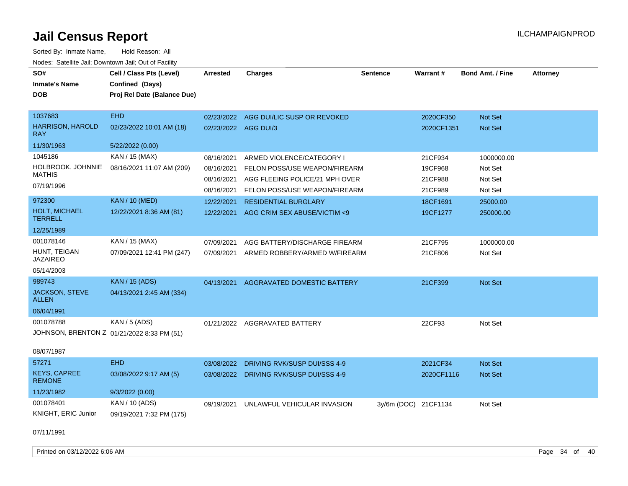| SO#<br><b>Inmate's Name</b><br><b>DOB</b> | Cell / Class Pts (Level)<br>Confined (Days)<br>Proj Rel Date (Balance Due) | <b>Arrested</b>      | <b>Charges</b>                          | <b>Sentence</b>      | Warrant#   | <b>Bond Amt. / Fine</b> | <b>Attorney</b> |
|-------------------------------------------|----------------------------------------------------------------------------|----------------------|-----------------------------------------|----------------------|------------|-------------------------|-----------------|
| 1037683                                   | <b>EHD</b>                                                                 |                      | 02/23/2022 AGG DUI/LIC SUSP OR REVOKED  |                      | 2020CF350  | Not Set                 |                 |
| <b>HARRISON, HAROLD</b><br><b>RAY</b>     | 02/23/2022 10:01 AM (18)                                                   | 02/23/2022 AGG DUI/3 |                                         |                      | 2020CF1351 | Not Set                 |                 |
| 11/30/1963                                | 5/22/2022 (0.00)                                                           |                      |                                         |                      |            |                         |                 |
| 1045186                                   | KAN / 15 (MAX)                                                             | 08/16/2021           | ARMED VIOLENCE/CATEGORY I               |                      | 21CF934    | 1000000.00              |                 |
| HOLBROOK, JOHNNIE                         | 08/16/2021 11:07 AM (209)                                                  | 08/16/2021           | FELON POSS/USE WEAPON/FIREARM           |                      | 19CF968    | Not Set                 |                 |
| <b>MATHIS</b>                             |                                                                            | 08/16/2021           | AGG FLEEING POLICE/21 MPH OVER          |                      | 21CF988    | Not Set                 |                 |
| 07/19/1996                                |                                                                            | 08/16/2021           | FELON POSS/USE WEAPON/FIREARM           |                      | 21CF989    | Not Set                 |                 |
| 972300                                    | <b>KAN / 10 (MED)</b>                                                      | 12/22/2021           | <b>RESIDENTIAL BURGLARY</b>             |                      | 18CF1691   | 25000.00                |                 |
| HOLT, MICHAEL<br><b>TERRELL</b>           | 12/22/2021 8:36 AM (81)                                                    | 12/22/2021           | AGG CRIM SEX ABUSE/VICTIM <9            |                      | 19CF1277   | 250000.00               |                 |
| 12/25/1989                                |                                                                            |                      |                                         |                      |            |                         |                 |
| 001078146                                 | KAN / 15 (MAX)                                                             | 07/09/2021           | AGG BATTERY/DISCHARGE FIREARM           |                      | 21CF795    | 1000000.00              |                 |
| HUNT, TEIGAN<br><b>JAZAIREO</b>           | 07/09/2021 12:41 PM (247)                                                  | 07/09/2021           | ARMED ROBBERY/ARMED W/FIREARM           |                      | 21CF806    | Not Set                 |                 |
| 05/14/2003                                |                                                                            |                      |                                         |                      |            |                         |                 |
| 989743                                    | <b>KAN</b> / 15 (ADS)                                                      | 04/13/2021           | AGGRAVATED DOMESTIC BATTERY             |                      | 21CF399    | Not Set                 |                 |
| <b>JACKSON, STEVE</b><br><b>ALLEN</b>     | 04/13/2021 2:45 AM (334)                                                   |                      |                                         |                      |            |                         |                 |
| 06/04/1991                                |                                                                            |                      |                                         |                      |            |                         |                 |
| 001078788                                 | <b>KAN / 5 (ADS)</b>                                                       |                      | 01/21/2022 AGGRAVATED BATTERY           |                      | 22CF93     | Not Set                 |                 |
|                                           | JOHNSON, BRENTON Z 01/21/2022 8:33 PM (51)                                 |                      |                                         |                      |            |                         |                 |
| 08/07/1987                                |                                                                            |                      |                                         |                      |            |                         |                 |
| 57271                                     | <b>EHD</b>                                                                 | 03/08/2022           | DRIVING RVK/SUSP DUI/SSS 4-9            |                      | 2021CF34   | Not Set                 |                 |
| <b>KEYS, CAPREE</b><br><b>REMONE</b>      | 03/08/2022 9:17 AM (5)                                                     |                      | 03/08/2022 DRIVING RVK/SUSP DUI/SSS 4-9 |                      | 2020CF1116 | Not Set                 |                 |
| 11/23/1982                                | 9/3/2022(0.00)                                                             |                      |                                         |                      |            |                         |                 |
| 001078401                                 | KAN / 10 (ADS)                                                             |                      | 09/19/2021 UNLAWFUL VEHICULAR INVASION  | 3y/6m (DOC) 21CF1134 |            | Not Set                 |                 |
| <b>KNIGHT, ERIC Junior</b>                | 09/19/2021 7:32 PM (175)                                                   |                      |                                         |                      |            |                         |                 |
| 07/11/1991                                |                                                                            |                      |                                         |                      |            |                         |                 |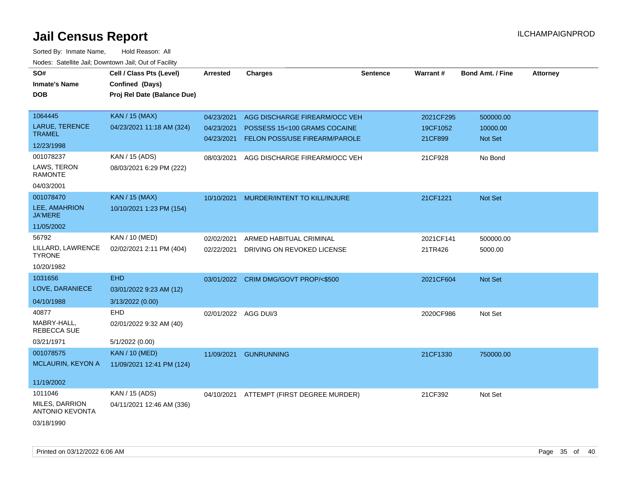| SO#<br><b>Inmate's Name</b><br><b>DOB</b> | Cell / Class Pts (Level)<br>Confined (Days)<br>Proj Rel Date (Balance Due) | <b>Arrested</b>      | <b>Charges</b>                       | <b>Sentence</b> | <b>Warrant#</b> | <b>Bond Amt. / Fine</b> | <b>Attorney</b> |
|-------------------------------------------|----------------------------------------------------------------------------|----------------------|--------------------------------------|-----------------|-----------------|-------------------------|-----------------|
| 1064445                                   | <b>KAN / 15 (MAX)</b>                                                      | 04/23/2021           | AGG DISCHARGE FIREARM/OCC VEH        |                 | 2021CF295       | 500000.00               |                 |
| LARUE, TERENCE<br><b>TRAMEL</b>           | 04/23/2021 11:18 AM (324)                                                  | 04/23/2021           | POSSESS 15<100 GRAMS COCAINE         |                 | 19CF1052        | 10000.00                |                 |
| 12/23/1998                                |                                                                            | 04/23/2021           | FELON POSS/USE FIREARM/PAROLE        |                 | 21CF899         | Not Set                 |                 |
| 001078237                                 | KAN / 15 (ADS)                                                             | 08/03/2021           | AGG DISCHARGE FIREARM/OCC VEH        |                 | 21CF928         | No Bond                 |                 |
| LAWS, TERON<br><b>RAMONTE</b>             | 08/03/2021 6:29 PM (222)                                                   |                      |                                      |                 |                 |                         |                 |
| 04/03/2001                                |                                                                            |                      |                                      |                 |                 |                         |                 |
| 001078470                                 | <b>KAN / 15 (MAX)</b>                                                      | 10/10/2021           | MURDER/INTENT TO KILL/INJURE         |                 | 21CF1221        | Not Set                 |                 |
| LEE, AMAHRION<br><b>JA'MERE</b>           | 10/10/2021 1:23 PM (154)                                                   |                      |                                      |                 |                 |                         |                 |
| 11/05/2002                                |                                                                            |                      |                                      |                 |                 |                         |                 |
| 56792                                     | KAN / 10 (MED)                                                             | 02/02/2021           | ARMED HABITUAL CRIMINAL              |                 | 2021CF141       | 500000.00               |                 |
| LILLARD, LAWRENCE<br><b>TYRONE</b>        | 02/02/2021 2:11 PM (404)                                                   | 02/22/2021           | DRIVING ON REVOKED LICENSE           |                 | 21TR426         | 5000.00                 |                 |
| 10/20/1982                                |                                                                            |                      |                                      |                 |                 |                         |                 |
| 1031656                                   | <b>EHD</b>                                                                 |                      | 03/01/2022 CRIM DMG/GOVT PROP/<\$500 |                 | 2021CF604       | Not Set                 |                 |
| LOVE, DARANIECE                           | 03/01/2022 9:23 AM (12)                                                    |                      |                                      |                 |                 |                         |                 |
| 04/10/1988                                | 3/13/2022 (0.00)                                                           |                      |                                      |                 |                 |                         |                 |
| 40877                                     | <b>EHD</b>                                                                 | 02/01/2022 AGG DUI/3 |                                      |                 | 2020CF986       | Not Set                 |                 |
| MABRY-HALL,<br><b>REBECCA SUE</b>         | 02/01/2022 9:32 AM (40)                                                    |                      |                                      |                 |                 |                         |                 |
| 03/21/1971                                | 5/1/2022 (0.00)                                                            |                      |                                      |                 |                 |                         |                 |
| 001078575                                 | <b>KAN / 10 (MED)</b>                                                      |                      | 11/09/2021 GUNRUNNING                |                 | 21CF1330        | 750000.00               |                 |
| <b>MCLAURIN, KEYON A</b>                  | 11/09/2021 12:41 PM (124)                                                  |                      |                                      |                 |                 |                         |                 |
| 11/19/2002                                |                                                                            |                      |                                      |                 |                 |                         |                 |
| 1011046                                   | KAN / 15 (ADS)                                                             | 04/10/2021           | ATTEMPT (FIRST DEGREE MURDER)        |                 | 21CF392         | Not Set                 |                 |
| MILES, DARRION<br><b>ANTONIO KEVONTA</b>  | 04/11/2021 12:46 AM (336)                                                  |                      |                                      |                 |                 |                         |                 |
| 03/18/1990                                |                                                                            |                      |                                      |                 |                 |                         |                 |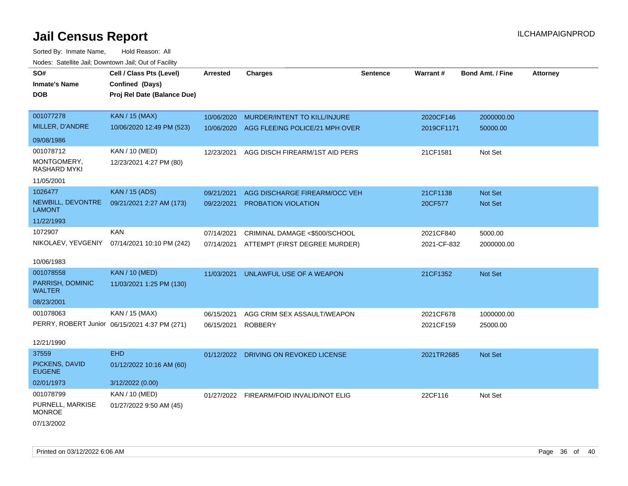| SO#                                | Cell / Class Pts (Level)                      | <b>Arrested</b> | <b>Charges</b>                           | <b>Sentence</b> | <b>Warrant#</b> | <b>Bond Amt. / Fine</b> | <b>Attorney</b> |
|------------------------------------|-----------------------------------------------|-----------------|------------------------------------------|-----------------|-----------------|-------------------------|-----------------|
| <b>Inmate's Name</b>               | Confined (Days)                               |                 |                                          |                 |                 |                         |                 |
| <b>DOB</b>                         | Proj Rel Date (Balance Due)                   |                 |                                          |                 |                 |                         |                 |
|                                    |                                               |                 |                                          |                 |                 |                         |                 |
| 001077278                          | <b>KAN / 15 (MAX)</b>                         | 10/06/2020      | MURDER/INTENT TO KILL/INJURE             |                 | 2020CF146       | 2000000.00              |                 |
| MILLER, D'ANDRE                    | 10/06/2020 12:49 PM (523)                     | 10/06/2020      | AGG FLEEING POLICE/21 MPH OVER           |                 | 2019CF1171      | 50000.00                |                 |
| 09/08/1986                         |                                               |                 |                                          |                 |                 |                         |                 |
| 001078712                          | <b>KAN / 10 (MED)</b>                         | 12/23/2021      | AGG DISCH FIREARM/1ST AID PERS           |                 | 21CF1581        | Not Set                 |                 |
| MONTGOMERY,<br>RASHARD MYKI        | 12/23/2021 4:27 PM (80)                       |                 |                                          |                 |                 |                         |                 |
| 11/05/2001                         |                                               |                 |                                          |                 |                 |                         |                 |
| 1026477                            | <b>KAN / 15 (ADS)</b>                         | 09/21/2021      | AGG DISCHARGE FIREARM/OCC VEH            |                 | 21CF1138        | Not Set                 |                 |
| NEWBILL, DEVONTRE<br><b>LAMONT</b> | 09/21/2021 2:27 AM (173)                      | 09/22/2021      | PROBATION VIOLATION                      |                 | 20CF577         | Not Set                 |                 |
| 11/22/1993                         |                                               |                 |                                          |                 |                 |                         |                 |
| 1072907                            | <b>KAN</b>                                    | 07/14/2021      | CRIMINAL DAMAGE <\$500/SCHOOL            |                 | 2021CF840       | 5000.00                 |                 |
| NIKOLAEV, YEVGENIY                 | 07/14/2021 10:10 PM (242)                     | 07/14/2021      | ATTEMPT (FIRST DEGREE MURDER)            |                 | 2021-CF-832     | 2000000.00              |                 |
| 10/06/1983                         |                                               |                 |                                          |                 |                 |                         |                 |
| 001078558                          | <b>KAN / 10 (MED)</b>                         | 11/03/2021      | UNLAWFUL USE OF A WEAPON                 |                 | 21CF1352        | Not Set                 |                 |
| PARRISH, DOMINIC                   | 11/03/2021 1:25 PM (130)                      |                 |                                          |                 |                 |                         |                 |
| <b>WALTER</b>                      |                                               |                 |                                          |                 |                 |                         |                 |
| 08/23/2001                         |                                               |                 |                                          |                 |                 |                         |                 |
| 001078063                          | KAN / 15 (MAX)                                | 06/15/2021      | AGG CRIM SEX ASSAULT/WEAPON              |                 | 2021CF678       | 1000000.00              |                 |
|                                    | PERRY, ROBERT Junior 06/15/2021 4:37 PM (271) | 06/15/2021      | ROBBERY                                  |                 | 2021CF159       | 25000.00                |                 |
|                                    |                                               |                 |                                          |                 |                 |                         |                 |
| 12/21/1990                         |                                               |                 |                                          |                 |                 |                         |                 |
| 37559                              | <b>EHD</b>                                    |                 | 01/12/2022 DRIVING ON REVOKED LICENSE    |                 | 2021TR2685      | Not Set                 |                 |
| PICKENS, DAVID<br><b>EUGENE</b>    | 01/12/2022 10:16 AM (60)                      |                 |                                          |                 |                 |                         |                 |
| 02/01/1973                         | 3/12/2022 (0.00)                              |                 |                                          |                 |                 |                         |                 |
| 001078799                          | KAN / 10 (MED)                                |                 | 01/27/2022 FIREARM/FOID INVALID/NOT ELIG |                 | 22CF116         | Not Set                 |                 |
| PURNELL, MARKISE<br><b>MONROE</b>  | 01/27/2022 9:50 AM (45)                       |                 |                                          |                 |                 |                         |                 |
| 07/13/2002                         |                                               |                 |                                          |                 |                 |                         |                 |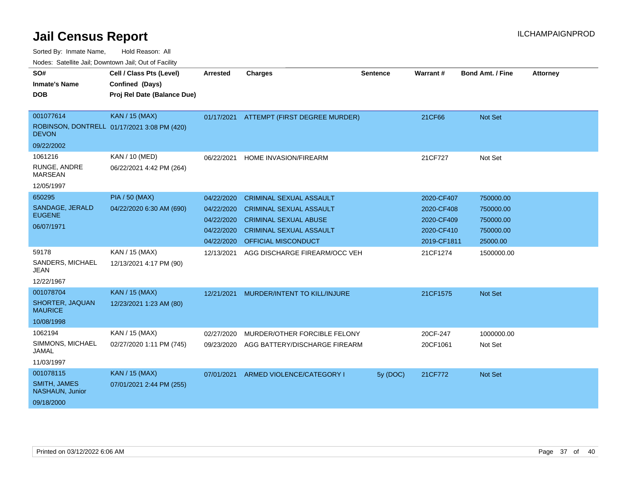| Nodes. Satellite Jali, Downtown Jali, Out of Facility |                                             |                 |                                          |                 |                 |                         |                 |
|-------------------------------------------------------|---------------------------------------------|-----------------|------------------------------------------|-----------------|-----------------|-------------------------|-----------------|
| SO#                                                   | Cell / Class Pts (Level)                    | <b>Arrested</b> | <b>Charges</b>                           | <b>Sentence</b> | <b>Warrant#</b> | <b>Bond Amt. / Fine</b> | <b>Attorney</b> |
| <b>Inmate's Name</b>                                  | Confined (Days)                             |                 |                                          |                 |                 |                         |                 |
| <b>DOB</b>                                            | Proj Rel Date (Balance Due)                 |                 |                                          |                 |                 |                         |                 |
|                                                       |                                             |                 |                                          |                 |                 |                         |                 |
| 001077614                                             | <b>KAN / 15 (MAX)</b>                       |                 | 01/17/2021 ATTEMPT (FIRST DEGREE MURDER) |                 | 21CF66          | Not Set                 |                 |
| <b>DEVON</b>                                          | ROBINSON, DONTRELL 01/17/2021 3:08 PM (420) |                 |                                          |                 |                 |                         |                 |
| 09/22/2002                                            |                                             |                 |                                          |                 |                 |                         |                 |
| 1061216                                               | KAN / 10 (MED)                              | 06/22/2021      | HOME INVASION/FIREARM                    |                 | 21CF727         | Not Set                 |                 |
| RUNGE, ANDRE<br><b>MARSEAN</b>                        | 06/22/2021 4:42 PM (264)                    |                 |                                          |                 |                 |                         |                 |
| 12/05/1997                                            |                                             |                 |                                          |                 |                 |                         |                 |
| 650295                                                | <b>PIA / 50 (MAX)</b>                       | 04/22/2020      | <b>CRIMINAL SEXUAL ASSAULT</b>           |                 | 2020-CF407      | 750000.00               |                 |
| SANDAGE, JERALD                                       | 04/22/2020 6:30 AM (690)                    | 04/22/2020      | <b>CRIMINAL SEXUAL ASSAULT</b>           |                 | 2020-CF408      | 750000.00               |                 |
| <b>EUGENE</b>                                         |                                             | 04/22/2020      | <b>CRIMINAL SEXUAL ABUSE</b>             |                 | 2020-CF409      | 750000.00               |                 |
| 06/07/1971                                            |                                             | 04/22/2020      | <b>CRIMINAL SEXUAL ASSAULT</b>           |                 | 2020-CF410      | 750000.00               |                 |
|                                                       |                                             | 04/22/2020      | OFFICIAL MISCONDUCT                      |                 | 2019-CF1811     | 25000.00                |                 |
| 59178                                                 | KAN / 15 (MAX)                              | 12/13/2021      | AGG DISCHARGE FIREARM/OCC VEH            |                 | 21CF1274        | 1500000.00              |                 |
| SANDERS, MICHAEL<br><b>JEAN</b>                       | 12/13/2021 4:17 PM (90)                     |                 |                                          |                 |                 |                         |                 |
| 12/22/1967                                            |                                             |                 |                                          |                 |                 |                         |                 |
| 001078704                                             | <b>KAN / 15 (MAX)</b>                       | 12/21/2021      | MURDER/INTENT TO KILL/INJURE             |                 | 21CF1575        | Not Set                 |                 |
| SHORTER, JAQUAN<br><b>MAURICE</b>                     | 12/23/2021 1:23 AM (80)                     |                 |                                          |                 |                 |                         |                 |
| 10/08/1998                                            |                                             |                 |                                          |                 |                 |                         |                 |
| 1062194                                               | KAN / 15 (MAX)                              | 02/27/2020      | MURDER/OTHER FORCIBLE FELONY             |                 | 20CF-247        | 1000000.00              |                 |
| SIMMONS, MICHAEL<br><b>JAMAL</b>                      | 02/27/2020 1:11 PM (745)                    | 09/23/2020      | AGG BATTERY/DISCHARGE FIREARM            |                 | 20CF1061        | Not Set                 |                 |
| 11/03/1997                                            |                                             |                 |                                          |                 |                 |                         |                 |
| 001078115                                             | <b>KAN / 15 (MAX)</b>                       | 07/01/2021      | ARMED VIOLENCE/CATEGORY I                | 5y (DOC)        | 21CF772         | Not Set                 |                 |
| <b>SMITH, JAMES</b><br>NASHAUN, Junior                | 07/01/2021 2:44 PM (255)                    |                 |                                          |                 |                 |                         |                 |
| 09/18/2000                                            |                                             |                 |                                          |                 |                 |                         |                 |
|                                                       |                                             |                 |                                          |                 |                 |                         |                 |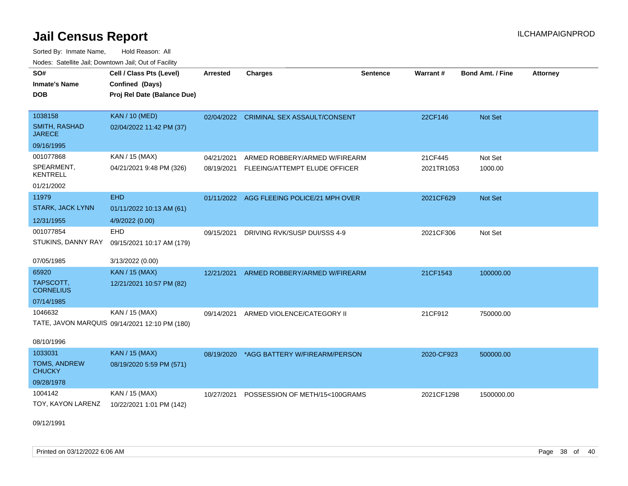Sorted By: Inmate Name, Hold Reason: All Nodes: Satellite Jail; Downtown Jail; Out of Facility

| SO#                            | Cell / Class Pts (Level)                      | <b>Arrested</b> | <b>Charges</b>                            | <b>Sentence</b> | Warrant#   | Bond Amt. / Fine | <b>Attorney</b> |
|--------------------------------|-----------------------------------------------|-----------------|-------------------------------------------|-----------------|------------|------------------|-----------------|
| <b>Inmate's Name</b>           | Confined (Days)                               |                 |                                           |                 |            |                  |                 |
| <b>DOB</b>                     | Proj Rel Date (Balance Due)                   |                 |                                           |                 |            |                  |                 |
|                                |                                               |                 |                                           |                 |            |                  |                 |
| 1038158                        | <b>KAN / 10 (MED)</b>                         |                 | 02/04/2022 CRIMINAL SEX ASSAULT/CONSENT   |                 | 22CF146    | Not Set          |                 |
| SMITH, RASHAD<br><b>JARECE</b> | 02/04/2022 11:42 PM (37)                      |                 |                                           |                 |            |                  |                 |
| 09/16/1995                     |                                               |                 |                                           |                 |            |                  |                 |
| 001077868                      | KAN / 15 (MAX)                                | 04/21/2021      | ARMED ROBBERY/ARMED W/FIREARM             |                 | 21CF445    | Not Set          |                 |
| SPEARMENT,<br>KENTRELL         | 04/21/2021 9:48 PM (326)                      | 08/19/2021      | FLEEING/ATTEMPT ELUDE OFFICER             |                 | 2021TR1053 | 1000.00          |                 |
| 01/21/2002                     |                                               |                 |                                           |                 |            |                  |                 |
| 11979                          | <b>EHD</b>                                    |                 | 01/11/2022 AGG FLEEING POLICE/21 MPH OVER |                 | 2021CF629  | <b>Not Set</b>   |                 |
| <b>STARK, JACK LYNN</b>        | 01/11/2022 10:13 AM (61)                      |                 |                                           |                 |            |                  |                 |
| 12/31/1955                     | 4/9/2022 (0.00)                               |                 |                                           |                 |            |                  |                 |
| 001077854                      | <b>EHD</b>                                    | 09/15/2021      | DRIVING RVK/SUSP DUI/SSS 4-9              |                 | 2021CF306  | Not Set          |                 |
| STUKINS, DANNY RAY             | 09/15/2021 10:17 AM (179)                     |                 |                                           |                 |            |                  |                 |
| 07/05/1985                     | 3/13/2022 (0.00)                              |                 |                                           |                 |            |                  |                 |
| 65920                          | <b>KAN / 15 (MAX)</b>                         | 12/21/2021      | ARMED ROBBERY/ARMED W/FIREARM             |                 | 21CF1543   | 100000.00        |                 |
| TAPSCOTT,<br><b>CORNELIUS</b>  | 12/21/2021 10:57 PM (82)                      |                 |                                           |                 |            |                  |                 |
| 07/14/1985                     |                                               |                 |                                           |                 |            |                  |                 |
| 1046632                        | KAN / 15 (MAX)                                | 09/14/2021      | ARMED VIOLENCE/CATEGORY II                |                 | 21CF912    | 750000.00        |                 |
|                                | TATE, JAVON MARQUIS 09/14/2021 12:10 PM (180) |                 |                                           |                 |            |                  |                 |
| 08/10/1996                     |                                               |                 |                                           |                 |            |                  |                 |
| 1033031                        | <b>KAN / 15 (MAX)</b>                         | 08/19/2020      | *AGG BATTERY W/FIREARM/PERSON             |                 | 2020-CF923 | 500000.00        |                 |
| TOMS, ANDREW<br><b>CHUCKY</b>  | 08/19/2020 5:59 PM (571)                      |                 |                                           |                 |            |                  |                 |
| 09/28/1978                     |                                               |                 |                                           |                 |            |                  |                 |
| 1004142                        | KAN / 15 (MAX)                                | 10/27/2021      | POSSESSION OF METH/15<100GRAMS            |                 | 2021CF1298 | 1500000.00       |                 |
| TOY, KAYON LARENZ              | 10/22/2021 1:01 PM (142)                      |                 |                                           |                 |            |                  |                 |

09/12/1991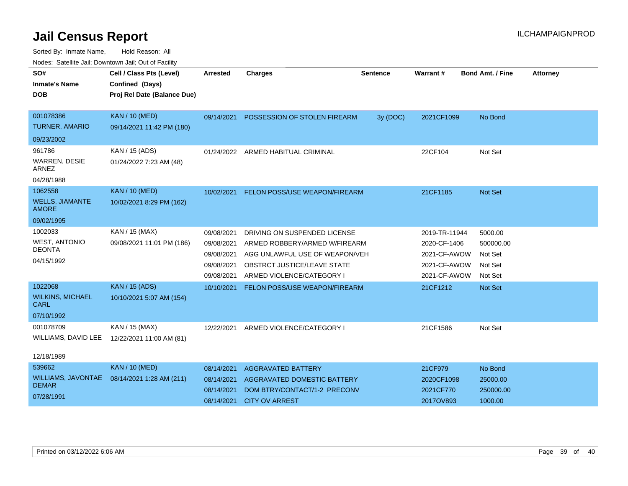| SO#<br><b>Inmate's Name</b><br><b>DOB</b>                         | Cell / Class Pts (Level)<br>Confined (Days)<br>Proj Rel Date (Balance Due) | <b>Arrested</b>                                                    | <b>Charges</b>                                                                                                                                              | <b>Sentence</b> | <b>Warrant#</b>                                                               | <b>Bond Amt. / Fine</b>                               | <b>Attorney</b> |
|-------------------------------------------------------------------|----------------------------------------------------------------------------|--------------------------------------------------------------------|-------------------------------------------------------------------------------------------------------------------------------------------------------------|-----------------|-------------------------------------------------------------------------------|-------------------------------------------------------|-----------------|
| 001078386<br><b>TURNER, AMARIO</b>                                | <b>KAN / 10 (MED)</b><br>09/14/2021 11:42 PM (180)                         | 09/14/2021                                                         | POSSESSION OF STOLEN FIREARM                                                                                                                                | 3y (DOC)        | 2021CF1099                                                                    | No Bond                                               |                 |
| 09/23/2002                                                        |                                                                            |                                                                    |                                                                                                                                                             |                 |                                                                               |                                                       |                 |
| 961786<br><b>WARREN, DESIE</b><br><b>ARNEZ</b><br>04/28/1988      | KAN / 15 (ADS)<br>01/24/2022 7:23 AM (48)                                  | 01/24/2022                                                         | ARMED HABITUAL CRIMINAL                                                                                                                                     |                 | 22CF104                                                                       | Not Set                                               |                 |
| 1062558<br><b>WELLS, JIAMANTE</b><br><b>AMORE</b><br>09/02/1995   | <b>KAN / 10 (MED)</b><br>10/02/2021 8:29 PM (162)                          |                                                                    | 10/02/2021 FELON POSS/USE WEAPON/FIREARM                                                                                                                    |                 | 21CF1185                                                                      | <b>Not Set</b>                                        |                 |
| 1002033<br><b>WEST, ANTONIO</b><br><b>DEONTA</b><br>04/15/1992    | KAN / 15 (MAX)<br>09/08/2021 11:01 PM (186)                                | 09/08/2021<br>09/08/2021<br>09/08/2021<br>09/08/2021<br>09/08/2021 | DRIVING ON SUSPENDED LICENSE<br>ARMED ROBBERY/ARMED W/FIREARM<br>AGG UNLAWFUL USE OF WEAPON/VEH<br>OBSTRCT JUSTICE/LEAVE STATE<br>ARMED VIOLENCE/CATEGORY I |                 | 2019-TR-11944<br>2020-CF-1406<br>2021-CF-AWOW<br>2021-CF-AWOW<br>2021-CF-AWOW | 5000.00<br>500000.00<br>Not Set<br>Not Set<br>Not Set |                 |
| 1022068<br><b>WILKINS, MICHAEL</b><br><b>CARL</b><br>07/10/1992   | <b>KAN / 15 (ADS)</b><br>10/10/2021 5:07 AM (154)                          | 10/10/2021                                                         | <b>FELON POSS/USE WEAPON/FIREARM</b>                                                                                                                        |                 | 21CF1212                                                                      | <b>Not Set</b>                                        |                 |
| 001078709<br>WILLIAMS, DAVID LEE                                  | KAN / 15 (MAX)<br>12/22/2021 11:00 AM (81)                                 | 12/22/2021                                                         | ARMED VIOLENCE/CATEGORY I                                                                                                                                   |                 | 21CF1586                                                                      | Not Set                                               |                 |
| 12/18/1989                                                        |                                                                            |                                                                    |                                                                                                                                                             |                 |                                                                               |                                                       |                 |
| 539662<br><b>WILLIAMS, JAVONTAE</b><br><b>DEMAR</b><br>07/28/1991 | <b>KAN / 10 (MED)</b><br>08/14/2021 1:28 AM (211)                          | 08/14/2021<br>08/14/2021<br>08/14/2021<br>08/14/2021               | <b>AGGRAVATED BATTERY</b><br>AGGRAVATED DOMESTIC BATTERY<br>DOM BTRY/CONTACT/1-2 PRECONV<br><b>CITY OV ARREST</b>                                           |                 | 21CF979<br>2020CF1098<br>2021CF770<br>2017OV893                               | No Bond<br>25000.00<br>250000.00<br>1000.00           |                 |